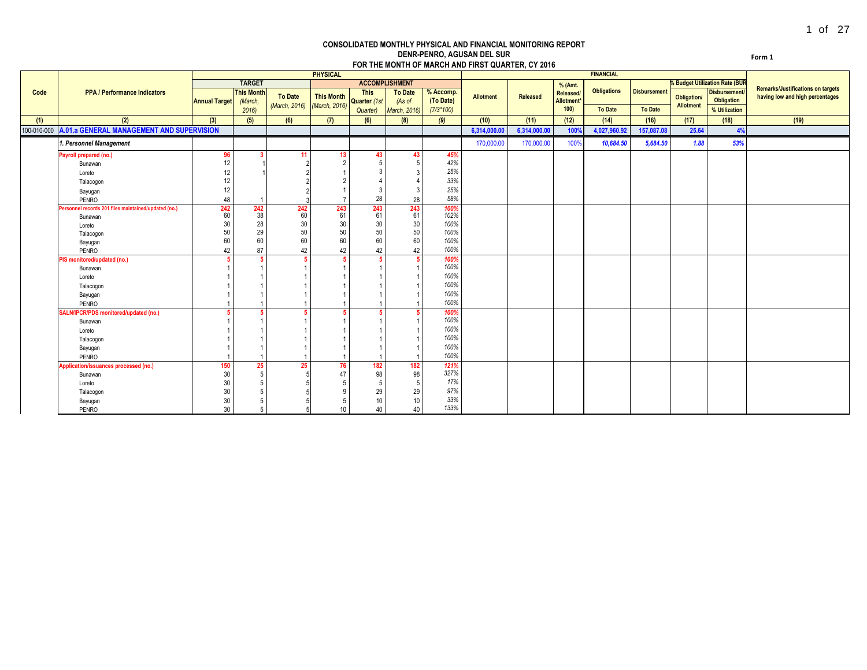#### **CONSOLIDATED MONTHLY PHYSICAL AND FINANCIAL MONITORING REPORT DENR-PENRO, AGUSAN DEL SUR FOR THE MONTH OF MARCH AND FIRST QUARTER, CY 2016**

**Form 1**

|             |                                                      |                      |                   |                | <b>PHYSICAL</b>   |              |                       |             |                  |                 |            | <b>FINANCIAL</b>   |                     |                                 |                                       |                                                                             |
|-------------|------------------------------------------------------|----------------------|-------------------|----------------|-------------------|--------------|-----------------------|-------------|------------------|-----------------|------------|--------------------|---------------------|---------------------------------|---------------------------------------|-----------------------------------------------------------------------------|
|             |                                                      |                      | <b>TARGET</b>     |                |                   |              | <b>ACCOMPLISHMENT</b> |             |                  |                 | % (Amt.    |                    |                     |                                 | <b>% Budget Utilization Rate (BUR</b> |                                                                             |
| Code        | <b>PPA / Performance Indicators</b>                  |                      | <b>This Month</b> | <b>To Date</b> | <b>This Month</b> | <b>This</b>  | <b>To Date</b>        | % Accomp.   | <b>Allotment</b> | <b>Released</b> | Released/  | <b>Obligations</b> | <b>Disbursement</b> |                                 | <b>Disbursement</b>                   | <b>Remarks/Justifications on targets</b><br>having low and high percentages |
|             |                                                      | <b>Annual Target</b> | (March,           |                |                   | Quarter (1st | (As of                | (To Date)   |                  |                 | Allotment* |                    |                     | Obligation/<br><b>Allotment</b> | Obligation                            |                                                                             |
|             |                                                      |                      | 2016              | (March, 2016)  | (March, 2016)     | Quarter)     | <b>March, 2016)</b>   | $(7/3*100)$ |                  |                 | 100        | To Date            | To Date             |                                 | % Utilization                         |                                                                             |
| (1)         | (2)                                                  | (3)                  | (5)               | (6)            | (7)               | (6)          | (8)                   | (9)         | (10)             | (11)            | (12)       | (14)               | (16)                | (17)                            | (18)                                  | (19)                                                                        |
| 100-010-000 | A.01.a GENERAL MANAGEMENT AND SUPERVISION            |                      |                   |                |                   |              |                       |             | 6,314,000.00     | 6,314,000.00    | 100%       | 4,027,960.92       | 157,087.08          | 25.64                           | 4%                                    |                                                                             |
|             | . Personnel Management                               |                      |                   |                |                   |              |                       |             | 170,000.00       | 170,000.00      | 100%       | 10,684.50          | 5,684.50            | 1.88                            | 53%                                   |                                                                             |
|             | Payroll prepared (no.)                               | 96                   |                   | -11            | 13                | 43           | 43                    | 45%         |                  |                 |            |                    |                     |                                 |                                       |                                                                             |
|             | Bunawan                                              | 12                   |                   |                |                   | 5            |                       | 42%         |                  |                 |            |                    |                     |                                 |                                       |                                                                             |
|             | Loreto                                               | 12                   |                   |                |                   | 3            |                       | 25%         |                  |                 |            |                    |                     |                                 |                                       |                                                                             |
|             | Talacogon                                            | 12                   |                   |                |                   |              |                       | 33%         |                  |                 |            |                    |                     |                                 |                                       |                                                                             |
|             | Bayugan                                              | 12                   |                   |                |                   | 3            |                       | 25%         |                  |                 |            |                    |                     |                                 |                                       |                                                                             |
|             | PENRO                                                | 48                   |                   |                |                   | 28           | 28                    | 58%         |                  |                 |            |                    |                     |                                 |                                       |                                                                             |
|             | Personnel records 201 files maintained/updated (no.) | 242                  | 242               | 242            | 243               | 243          | 243                   | 100%        |                  |                 |            |                    |                     |                                 |                                       |                                                                             |
|             | Bunawan                                              | 60                   | 38                | 60             | 61                | 61           | 61                    | 102%        |                  |                 |            |                    |                     |                                 |                                       |                                                                             |
|             | Loreto                                               | 30                   | 28                | 30             | 30                | 30           | 30                    | 100%        |                  |                 |            |                    |                     |                                 |                                       |                                                                             |
|             | Talacogon                                            | 50                   | 29                | 50             | 50                | 50           | 50                    | 100%        |                  |                 |            |                    |                     |                                 |                                       |                                                                             |
|             | Bayugan                                              | 60                   | 60                | 60             | 60                | 60           | 60                    | 100%        |                  |                 |            |                    |                     |                                 |                                       |                                                                             |
|             | PENRO                                                | 42                   | 87                | 42             | 42                | 42           | 42                    | 100%        |                  |                 |            |                    |                     |                                 |                                       |                                                                             |
|             | PIS monitored/updated (no.)                          |                      |                   |                |                   | -5           |                       | 100%        |                  |                 |            |                    |                     |                                 |                                       |                                                                             |
|             | Bunawan                                              |                      |                   |                |                   |              |                       | 100%        |                  |                 |            |                    |                     |                                 |                                       |                                                                             |
|             | Loreto                                               |                      |                   |                |                   |              |                       | 100%        |                  |                 |            |                    |                     |                                 |                                       |                                                                             |
|             | Talacogon                                            |                      |                   |                |                   |              |                       | 100%        |                  |                 |            |                    |                     |                                 |                                       |                                                                             |
|             | Bayugan                                              |                      |                   |                |                   |              |                       | 100%        |                  |                 |            |                    |                     |                                 |                                       |                                                                             |
|             | PENRO                                                |                      |                   |                |                   |              |                       | 100%        |                  |                 |            |                    |                     |                                 |                                       |                                                                             |
|             | SALN/IPCR/PDS monitored/updated (no.)                |                      |                   |                |                   |              |                       | 100%        |                  |                 |            |                    |                     |                                 |                                       |                                                                             |
|             | Bunawan                                              |                      |                   |                |                   |              |                       | 100%        |                  |                 |            |                    |                     |                                 |                                       |                                                                             |
|             | Loreto                                               |                      |                   |                |                   |              |                       | 100%        |                  |                 |            |                    |                     |                                 |                                       |                                                                             |
|             | Talacogon                                            |                      |                   |                |                   |              |                       | 100%        |                  |                 |            |                    |                     |                                 |                                       |                                                                             |
|             | Bayugan                                              |                      |                   |                |                   |              |                       | 100%        |                  |                 |            |                    |                     |                                 |                                       |                                                                             |
|             | PENRO                                                |                      |                   |                |                   |              |                       | 100%        |                  |                 |            |                    |                     |                                 |                                       |                                                                             |
|             | Application/issuances processed (no.)                | 150                  | 25                | 25             | 76                | 182          | 182                   | 121%        |                  |                 |            |                    |                     |                                 |                                       |                                                                             |
|             | Bunawan                                              | 30                   | 5                 |                | 47                | 98           | 98                    | 327%        |                  |                 |            |                    |                     |                                 |                                       |                                                                             |
|             | Loreto                                               | 30                   |                   |                |                   | 5            |                       | 17%         |                  |                 |            |                    |                     |                                 |                                       |                                                                             |
|             | Talacogon                                            | 30                   |                   |                |                   | 29           | 29                    | 97%         |                  |                 |            |                    |                     |                                 |                                       |                                                                             |
|             | Bayugan                                              | 30                   |                   |                |                   | 10           | 10                    | 33%         |                  |                 |            |                    |                     |                                 |                                       |                                                                             |
|             | PENRO                                                | 30                   | 5                 |                | 10                | 40           | 40                    | 133%        |                  |                 |            |                    |                     |                                 |                                       |                                                                             |
|             |                                                      |                      |                   |                |                   |              |                       |             |                  |                 |            |                    |                     |                                 |                                       |                                                                             |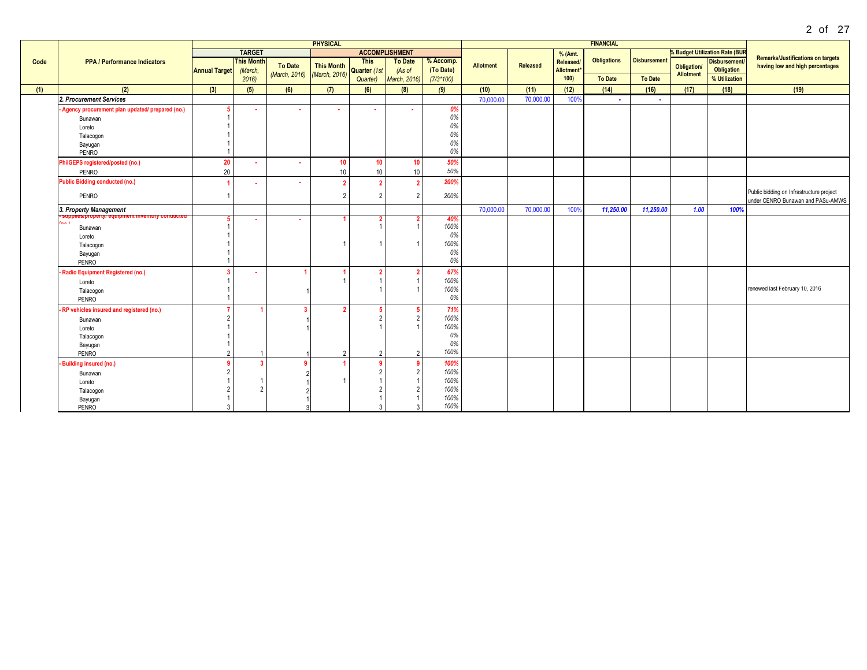|      |                                                                       |                         |                   |                | <b>PHYSICAL</b>   |              |                       |             |                  |                 |            | <b>FINANCIAL</b>   |                     |                                        |                                       |                                          |
|------|-----------------------------------------------------------------------|-------------------------|-------------------|----------------|-------------------|--------------|-----------------------|-------------|------------------|-----------------|------------|--------------------|---------------------|----------------------------------------|---------------------------------------|------------------------------------------|
|      |                                                                       |                         | <b>TARGET</b>     |                |                   |              | <b>ACCOMPLISHMENT</b> |             |                  |                 | % (Amt.    |                    |                     |                                        | <b>% Budget Utilization Rate (BUR</b> |                                          |
| Code | <b>PPA / Performance Indicators</b>                                   |                         | <b>This Month</b> |                |                   | <b>This</b>  | <b>To Date</b>        | % Accomp.   |                  |                 | Released/  | <b>Obligations</b> | <b>Disbursement</b> |                                        | <b>Disbursement</b>                   | <b>Remarks/Justifications on targets</b> |
|      |                                                                       | <b>Annual Target</b>    | (March,           | <b>To Date</b> | <b>This Month</b> | Quarter (1st | (As of                | (To Date)   | <b>Allotment</b> | <b>Released</b> | Allotment* |                    |                     | <b>Obligation/</b><br><b>Allotment</b> | Obligation                            | having low and high percentages          |
|      |                                                                       |                         | 2016              | (March, 2016)  | (March, 2016)     | Quarter)     | March, 2016)          | $(7/3*100)$ |                  |                 | 100)       | <b>To Date</b>     | <b>To Date</b>      |                                        | % Utilization                         |                                          |
| (1)  | (2)                                                                   | (3)                     | (5)               | (6)            | (7)               | (6)          | (8)                   | (9)         | (10)             | (11)            | (12)       | (14)               | (16)                | (17)                                   | (18)                                  | (19)                                     |
|      | 2. Procurement Services                                               |                         |                   |                |                   |              |                       |             | 70,000.00        | 70,000.00       | 100%       | $\sim$             | $\sim$              |                                        |                                       |                                          |
|      | - Agency procurement plan updated/ prepared (no.)                     |                         |                   |                |                   |              |                       | 0%          |                  |                 |            |                    |                     |                                        |                                       |                                          |
|      | Bunawan                                                               |                         |                   |                |                   |              |                       | 0%          |                  |                 |            |                    |                     |                                        |                                       |                                          |
|      | Loreto                                                                |                         |                   |                |                   |              |                       | 0%          |                  |                 |            |                    |                     |                                        |                                       |                                          |
|      | Talacogon                                                             |                         |                   |                |                   |              |                       | 0%          |                  |                 |            |                    |                     |                                        |                                       |                                          |
|      | Bayugan                                                               |                         |                   |                |                   |              |                       | 0%          |                  |                 |            |                    |                     |                                        |                                       |                                          |
|      | PENRO                                                                 |                         |                   |                |                   |              |                       | 0%          |                  |                 |            |                    |                     |                                        |                                       |                                          |
|      | PhilGEPS registered/posted (no.)                                      | 20                      |                   |                | 10 <sup>°</sup>   | 10           | 10                    | 50%         |                  |                 |            |                    |                     |                                        |                                       |                                          |
|      | PENRO                                                                 | 20                      |                   |                | 10                | 10           | 10                    | 50%         |                  |                 |            |                    |                     |                                        |                                       |                                          |
|      | <b>Public Bidding conducted (no.)</b>                                 | $\overline{\mathbf{A}}$ | ٠                 |                |                   |              | -2                    | 200%        |                  |                 |            |                    |                     |                                        |                                       |                                          |
|      | PENRO                                                                 | $\overline{1}$          |                   |                | $\overline{2}$    |              | $\overline{2}$        | 200%        |                  |                 |            |                    |                     |                                        |                                       | Public bidding on Infrastructure project |
|      |                                                                       |                         |                   |                |                   |              |                       |             |                  |                 |            |                    |                     |                                        |                                       | under CENRO Bunawan and PASu-AMWS        |
|      | 3. Property Management                                                |                         |                   |                |                   |              |                       |             | 70,000.00        | 70,000.00       | 100%       | 11,250.00          | 11,250.00           | 1.00                                   | 100%                                  |                                          |
|      | <del>upplies/property/ equipment inventory conducte</del> t.<br>a a A |                         |                   |                |                   |              |                       | 40%         |                  |                 |            |                    |                     |                                        |                                       |                                          |
|      | Bunawan                                                               |                         |                   |                |                   |              |                       | 100%        |                  |                 |            |                    |                     |                                        |                                       |                                          |
|      | Loreto                                                                |                         |                   |                |                   |              |                       | 0%          |                  |                 |            |                    |                     |                                        |                                       |                                          |
|      | Talacogon                                                             |                         |                   |                |                   |              |                       | 100%        |                  |                 |            |                    |                     |                                        |                                       |                                          |
|      | Bayugan                                                               |                         |                   |                |                   |              |                       | 0%          |                  |                 |            |                    |                     |                                        |                                       |                                          |
|      | PENRO                                                                 |                         |                   |                |                   |              |                       | 0%          |                  |                 |            |                    |                     |                                        |                                       |                                          |
|      | Radio Equipment Registered (no.)                                      | $\mathbf{3}$            |                   |                |                   |              |                       | 67%         |                  |                 |            |                    |                     |                                        |                                       |                                          |
|      | Loreto                                                                |                         |                   |                |                   |              |                       | 100%        |                  |                 |            |                    |                     |                                        |                                       |                                          |
|      | Talacogon                                                             |                         |                   |                |                   |              |                       | 100%        |                  |                 |            |                    |                     |                                        |                                       | renewed last February 10, 2016           |
|      | PENRO                                                                 |                         |                   |                |                   |              |                       | 0%          |                  |                 |            |                    |                     |                                        |                                       |                                          |
|      | - RP vehicles insured and registered (no.)                            | $\overline{7}$          |                   |                |                   |              |                       | 71%         |                  |                 |            |                    |                     |                                        |                                       |                                          |
|      | Bunawan                                                               | $\overline{2}$          |                   |                |                   |              | $\mathcal{D}$         | 100%        |                  |                 |            |                    |                     |                                        |                                       |                                          |
|      | Loreto                                                                |                         |                   |                |                   |              |                       | 100%        |                  |                 |            |                    |                     |                                        |                                       |                                          |
|      | Talacogon                                                             |                         |                   |                |                   |              |                       | 0%          |                  |                 |            |                    |                     |                                        |                                       |                                          |
|      | Bayugan                                                               |                         |                   |                |                   |              |                       | 0%          |                  |                 |            |                    |                     |                                        |                                       |                                          |
|      | PENRO                                                                 | $\overline{2}$          |                   |                | $\overline{2}$    | 2            | $\mathcal{L}$         | 100%        |                  |                 |            |                    |                     |                                        |                                       |                                          |
|      | <b>Building insured (no.)</b>                                         | $\overline{9}$          | -3                |                |                   |              |                       | 100%        |                  |                 |            |                    |                     |                                        |                                       |                                          |
|      | Bunawan                                                               | $\overline{2}$          |                   |                |                   |              | $\overline{2}$        | 100%        |                  |                 |            |                    |                     |                                        |                                       |                                          |
|      | Loreto                                                                |                         |                   |                |                   |              |                       | 100%        |                  |                 |            |                    |                     |                                        |                                       |                                          |
|      | Talacogon                                                             | $\overline{2}$          | $\mathcal{P}$     |                |                   |              |                       | 100%        |                  |                 |            |                    |                     |                                        |                                       |                                          |
|      | Bayugan                                                               |                         |                   |                |                   |              |                       | 100%        |                  |                 |            |                    |                     |                                        |                                       |                                          |
|      | PENRO                                                                 | $\mathcal{R}$           |                   |                |                   |              |                       | 100%        |                  |                 |            |                    |                     |                                        |                                       |                                          |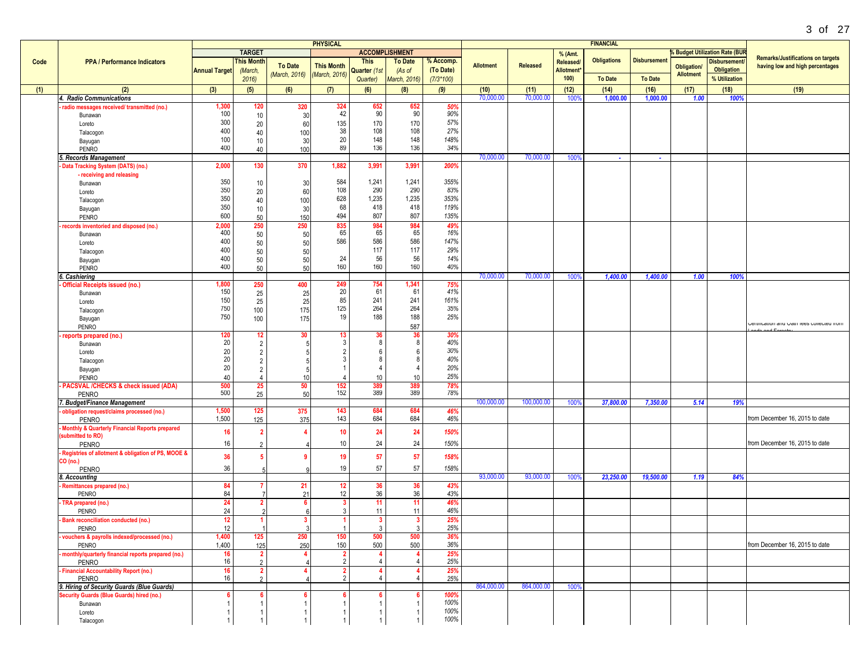|      |                                                                                         |                                                            |                                  |                |                     |                                        |                          |                        |                  |                 |                               |                    |                     |                    |                                          | 3 of 27                                    |
|------|-----------------------------------------------------------------------------------------|------------------------------------------------------------|----------------------------------|----------------|---------------------|----------------------------------------|--------------------------|------------------------|------------------|-----------------|-------------------------------|--------------------|---------------------|--------------------|------------------------------------------|--------------------------------------------|
|      |                                                                                         |                                                            |                                  |                | <b>PHYSICAL</b>     |                                        |                          |                        |                  |                 |                               | <b>FINANCIAL</b>   |                     |                    |                                          |                                            |
|      |                                                                                         |                                                            | <b>TARGET</b>                    |                |                     | <b>ACCOMPLISHMENT</b>                  |                          |                        |                  |                 | % (Amt.                       |                    |                     |                    | <b>6 Budget Utilization Rate (BUR</b>    | <b>Remarks/Justifications on targets</b>   |
| Code | <b>PPA / Performance Indicators</b>                                                     | <b>Annual Target</b>                                       | <b>This Month</b><br>(March,     | <b>To Date</b> | <b>This Month</b>   | <b>This</b><br>Quarter (1st            | <b>To Date</b><br>(As of | % Accomp.<br>(To Date) | <b>Allotment</b> | <b>Released</b> | Released/<br><b>Allotment</b> | <b>Obligations</b> | <b>Disbursement</b> | <b>Obligation/</b> | <b>Disbursement</b><br><b>Obligation</b> | having low and high percentages            |
|      |                                                                                         |                                                            | 2016                             | (March, 2016)  | (March, 2016)       | Quarter)                               | March, 2016)             | $(7/3*100)$            |                  |                 | 100)                          | <b>To Date</b>     | <b>To Date</b>      | <b>Allotment</b>   | % Utilization                            |                                            |
| (1)  | (2)                                                                                     | (3)                                                        | (5)                              | (6)            | (7)                 | (6)                                    | (8)                      | (9)                    | (10)             | (11)            | (12)                          | (14)               | (16)                | (17)               | (18)                                     | (19)                                       |
|      | 4. Radio Communications                                                                 |                                                            |                                  |                |                     |                                        |                          |                        | 70,000.00        | 70,000.0        | 100 <sup>o</sup>              | 1,000.00           | 1,000.00            | 1.00               | 100%                                     |                                            |
|      | radio messages received/transmitted (no.)<br>Bunawan                                    | 1,300<br>100                                               | 120<br>10                        | 320<br>30      | 324<br>42           | 652<br>90                              | 652<br>90                | 50%<br>90%             |                  |                 |                               |                    |                     |                    |                                          |                                            |
|      | Loreto                                                                                  | 300                                                        | 20                               | 60             | 135                 | 170                                    | 170                      | 57%                    |                  |                 |                               |                    |                     |                    |                                          |                                            |
|      | Talacogon                                                                               | 400                                                        | 40                               | 100            | 38                  | 108                                    | 108                      | 27%                    |                  |                 |                               |                    |                     |                    |                                          |                                            |
|      | Bayugan<br>PENRO                                                                        | 100<br>400                                                 | 10<br>40                         | 30<br>100      | 20<br>89            | 148<br>136                             | 148<br>136               | 148%<br>34%            |                  |                 |                               |                    |                     |                    |                                          |                                            |
|      | 5. Records Management                                                                   |                                                            |                                  |                |                     |                                        |                          |                        | 70,000.00        | 70,000.00       | 100%                          | a.                 | $\sim$              |                    |                                          |                                            |
|      | Data Tracking System (DATS) (no.)                                                       | 2,000                                                      | 130                              | 370            | 1,882               | 3,991                                  | 3,991                    | 200%                   |                  |                 |                               |                    |                     |                    |                                          |                                            |
|      | - receiving and releasing<br>Bunawan                                                    | 350                                                        | 10                               | 30             | 584                 | 1,241                                  | 1,241                    | 355%                   |                  |                 |                               |                    |                     |                    |                                          |                                            |
|      | Loreto                                                                                  | 350                                                        | 20                               | 60             | 108                 | 290                                    | 290                      | 83%                    |                  |                 |                               |                    |                     |                    |                                          |                                            |
|      | Talacogon                                                                               | 350                                                        | 40                               | 100            | 628                 | 1,235                                  | 1,235                    | 353%                   |                  |                 |                               |                    |                     |                    |                                          |                                            |
|      | Bayugan<br>PENRO                                                                        | 350<br>600                                                 | 10<br>50                         | 30<br>150      | 68<br>494           | 418<br>807                             | 418<br>807               | 119%<br>135%           |                  |                 |                               |                    |                     |                    |                                          |                                            |
|      | records inventoried and disposed (no.)                                                  | 2,000                                                      | 250                              | 250            | 835                 | 984                                    | 984                      | 49%                    |                  |                 |                               |                    |                     |                    |                                          |                                            |
|      | Bunawan                                                                                 | 400                                                        | 50                               | 50             | 65                  | 65                                     | 65                       | 16%                    |                  |                 |                               |                    |                     |                    |                                          |                                            |
|      | Loreto                                                                                  | 400<br>400                                                 | 50<br>50                         | 50<br>50       | 586                 | 586<br>117                             | 586<br>117               | 147%<br>29%            |                  |                 |                               |                    |                     |                    |                                          |                                            |
|      | Talacogon<br>Bayugan                                                                    | 400                                                        | 50                               | 50             | 24                  | 56                                     | 56                       | 14%                    |                  |                 |                               |                    |                     |                    |                                          |                                            |
|      | <b>PENRO</b>                                                                            | 400                                                        | 50                               | 50             | 160                 | 160                                    | 160                      | 40%                    |                  |                 |                               |                    |                     |                    |                                          |                                            |
|      | 6. Cashiering<br>Official Receipts issued (no.)                                         | 1,800                                                      | 250                              | 400            | 249                 | 754                                    | 1,341                    | 75%                    | 70,000.00        | 70,000.00       | 100%                          | 1,400.00           | 1,400.00            | 1.00               | 100%                                     |                                            |
|      | Bunawan                                                                                 | 150                                                        | 25                               | 25             | 20                  | 61                                     | 61                       | 41%                    |                  |                 |                               |                    |                     |                    |                                          |                                            |
|      | Loreto                                                                                  | 150                                                        | 25                               | 25             | 85                  | 241                                    | 241                      | 161%                   |                  |                 |                               |                    |                     |                    |                                          |                                            |
|      | Talacogon<br>Bayugan                                                                    | 750<br>750                                                 | 100<br>100                       | 175<br>175     | 125<br>19           | 264<br>188                             | 264<br>188               | 35%<br>25%             |                  |                 |                               |                    |                     |                    |                                          |                                            |
|      | <b>PENRO</b>                                                                            |                                                            |                                  |                |                     |                                        | 587                      |                        |                  |                 |                               |                    |                     |                    |                                          | <b>CALITICATION SHE LIBO DOMECTED IN A</b> |
|      | reports prepared (no.)                                                                  | $\begin{array}{c} \n \textbf{120} \\ \n 20 \n \end{array}$ | 12 <sup>°</sup>                  | 30             | 13                  | $\begin{array}{c} 36 \\ 8 \end{array}$ | $\frac{36}{8}$           | 30%<br>40%             |                  |                 |                               |                    |                     |                    |                                          |                                            |
|      | Bunawan<br>Loreto                                                                       | $20\,$                                                     | $\overline{2}$<br>$\overline{2}$ | -5             | 3                   | 6                                      | 6                        | 30%                    |                  |                 |                               |                    |                     |                    |                                          |                                            |
|      | Talacogon                                                                               | 20                                                         | $\overline{2}$                   | 5              | 3                   | 8                                      | 8                        | 40%                    |                  |                 |                               |                    |                     |                    |                                          |                                            |
|      | Bayugan                                                                                 | 20                                                         | $\overline{2}$                   | -5             |                     | $\overline{4}$                         | $\overline{4}$           | 20%<br>25%             |                  |                 |                               |                    |                     |                    |                                          |                                            |
|      | <b>PENRO</b><br>- PACSVAL /CHECKS & check issued (ADA)                                  | 40<br>500                                                  | $\overline{4}$<br>25             | 10<br>50       | 152                 | 10                                     | 10                       | 78%                    |                  |                 |                               |                    |                     |                    |                                          |                                            |
|      | PENRO                                                                                   | 500                                                        | 25                               | 50             | 152                 | 389<br>389                             | 389<br>389               | 78%                    |                  |                 |                               |                    |                     |                    |                                          |                                            |
|      | 7. Budget/Finance Management                                                            |                                                            |                                  |                | 143                 |                                        |                          |                        | 100,000.00       | 100,000.00      | 100%                          | 37,800.00          | 7,350.00            | 5.14               | 19%                                      |                                            |
|      | obligation request/claims processed (no.)<br>PENRO                                      | 1,500<br>1,500                                             | 125<br>125                       | 375<br>375     | 143                 | 684<br>684                             | 684<br>684               | 46%<br>46%             |                  |                 |                               |                    |                     |                    |                                          | from December 16, 2015 to date             |
|      | Monthly & Quarterly Financial Reports prepared                                          | 16                                                         | $\mathbf{2}$                     |                | 10                  | 24                                     | 24                       | 150%                   |                  |                 |                               |                    |                     |                    |                                          |                                            |
|      | submitted to RO)<br>PENRO                                                               | 16                                                         |                                  |                | 10                  | 24                                     | 24                       | 150%                   |                  |                 |                               |                    |                     |                    |                                          | from December 16, 2015 to date             |
|      | Registries of allotment & obligation of PS, MOOE &                                      | 36                                                         | 5                                |                | 19                  | 57                                     | 57                       | 158%                   |                  |                 |                               |                    |                     |                    |                                          |                                            |
|      | CO (no.)<br><b>PENRO</b>                                                                | 36                                                         |                                  |                | 19                  | 57                                     | 57                       | 158%                   |                  |                 |                               |                    |                     |                    |                                          |                                            |
|      | 8. Accounting                                                                           |                                                            |                                  |                |                     |                                        |                          |                        | 93,000.00        | 93,000.00       | 100%                          | 23,250.00          | 19,500.00           | 1.19               | 84%                                      |                                            |
|      | Remittances prepared (no.)                                                              | 84                                                         |                                  | 21             | 12                  | 36                                     | 36                       | 43%                    |                  |                 |                               |                    |                     |                    |                                          |                                            |
|      | PENRO<br>TRA prepared (no.)                                                             | 84<br>24                                                   | $\mathbf{2}$                     | -21<br>6       | 12<br>3             | 36<br>11                               | 36<br>11                 | 43%<br>46%             |                  |                 |                               |                    |                     |                    |                                          |                                            |
|      | PENRO                                                                                   | 24                                                         | C                                |                | $\mathbf{3}$        | 11                                     | 11                       | 46%                    |                  |                 |                               |                    |                     |                    |                                          |                                            |
|      | <b>Bank reconciliation conducted (no.)</b>                                              | 12                                                         |                                  | 3              |                     | $\mathbf{3}$                           | $\mathbf{3}$             | 25%                    |                  |                 |                               |                    |                     |                    |                                          |                                            |
|      | PENRO<br>vouchers & payrolls indexed/processed (no.)                                    | 12<br>1,400                                                | 125                              | 250            | 150                 | 3<br>500                               | 3<br>500                 | 25%<br>36%             |                  |                 |                               |                    |                     |                    |                                          |                                            |
|      | PENRO                                                                                   | 1,400                                                      | 125                              | 250            | 150                 | 500                                    | 500                      | 36%                    |                  |                 |                               |                    |                     |                    |                                          | from December 16, 2015 to date             |
|      | - monthly/quarterly financial reports prepared (no.)                                    | 16<br>16                                                   | $\mathbf{2}$                     |                | 2<br>$\overline{2}$ | 4<br>$\overline{4}$                    | 4<br>$\overline{4}$      | 25%                    |                  |                 |                               |                    |                     |                    |                                          |                                            |
|      | PENRO<br><b>Financial Accountability Report (no.)</b>                                   | 16                                                         | $\mathfrak{p}$<br>$\overline{2}$ |                | $\overline{2}$      |                                        | 4                        | 25%<br>25%             |                  |                 |                               |                    |                     |                    |                                          |                                            |
|      | PENRO                                                                                   | 16                                                         | 2                                |                | $\overline{2}$      |                                        | 4                        | 25%                    |                  |                 |                               |                    |                     |                    |                                          |                                            |
|      | 9. Hiring of Security Guards (Blue Guards)<br>Security Guards (Blue Guards) hired (no.) |                                                            |                                  |                |                     |                                        |                          | 100%                   | 864,000.00       | 864,000.00      | 100%                          |                    |                     |                    |                                          |                                            |
|      | Bunawan                                                                                 | 6<br>$\mathbf{1}$                                          | 6                                | 6              |                     |                                        | -6<br>$\mathbf{1}$       | 100%                   |                  |                 |                               |                    |                     |                    |                                          |                                            |
|      | Loreto                                                                                  | $\mathbf{1}$                                               |                                  |                |                     |                                        | -1                       | 100%                   |                  |                 |                               |                    |                     |                    |                                          |                                            |
|      | Talacogon                                                                               |                                                            |                                  |                |                     |                                        |                          | 100%                   |                  |                 |                               |                    |                     |                    |                                          |                                            |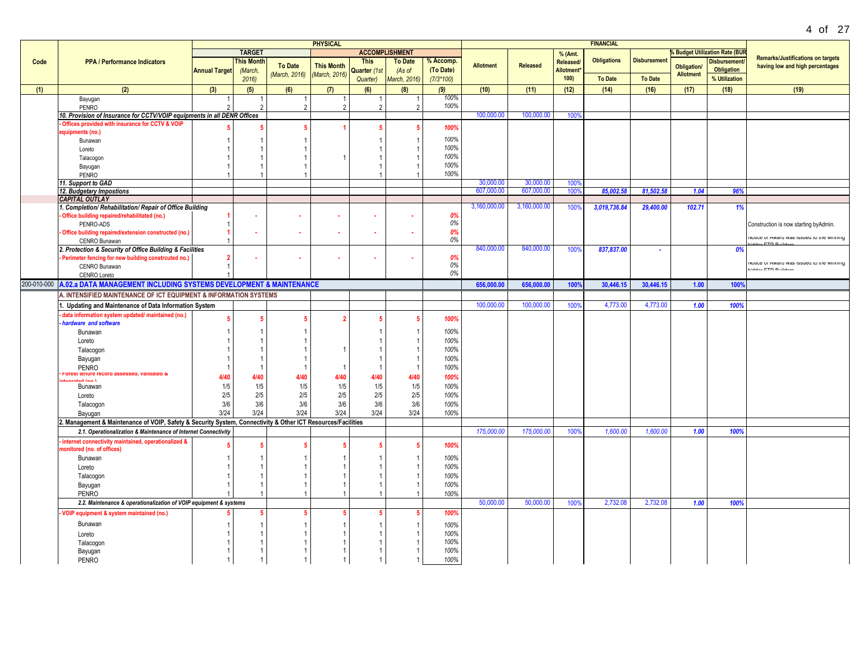|      |                                                                                                                 |                      |                   |                | <b>PHYSICAL</b>   |              |                       |             |                  |                 |           | <b>FINANCIAL</b>   |                     |                                        |                                       |                                                                             |
|------|-----------------------------------------------------------------------------------------------------------------|----------------------|-------------------|----------------|-------------------|--------------|-----------------------|-------------|------------------|-----------------|-----------|--------------------|---------------------|----------------------------------------|---------------------------------------|-----------------------------------------------------------------------------|
|      |                                                                                                                 |                      | <b>TARGET</b>     |                |                   |              | <b>ACCOMPLISHMENT</b> |             |                  |                 | % (Amt.   |                    |                     |                                        | <b>% Budget Utilization Rate (BUR</b> |                                                                             |
| Code | <b>PPA / Performance Indicators</b>                                                                             |                      | <b>This Month</b> | <b>To Date</b> | <b>This Month</b> | <b>This</b>  | <b>To Date</b>        | % Accomp.   | <b>Allotment</b> | <b>Released</b> | Released/ | <b>Obligations</b> | <b>Disbursement</b> |                                        | <b>Disbursement</b>                   | <b>Remarks/Justifications on targets</b><br>having low and high percentages |
|      |                                                                                                                 | <b>Annual Target</b> | (March,           | (March, 2016)  | (March, 2016)     | Quarter (1st | (As of                | (To Date)   |                  |                 | Allotment |                    |                     | <b>Obligation/</b><br><b>Allotment</b> | Obligation                            |                                                                             |
|      |                                                                                                                 |                      | 2016              |                |                   | Quarter)     | March, 2016)          | $(7/3*100)$ |                  |                 | 100)      | <b>To Date</b>     | <b>To Date</b>      |                                        | % Utilization                         |                                                                             |
| (1)  | (2)                                                                                                             | (3)                  | (5)               | (6)            | (7)               | (6)          | (8)                   | (9)         | (10)             | (11)            | (12)      | (14)               | (16)                | (17)                                   | (18)                                  | (19)                                                                        |
|      | Bayugan                                                                                                         |                      |                   |                | -1                |              |                       | 100%        |                  |                 |           |                    |                     |                                        |                                       |                                                                             |
|      | PENRO                                                                                                           | $\mathfrak{D}$       | $\mathcal{D}$     | $\mathfrak{D}$ | $\mathfrak{p}$    |              | $\mathcal{D}$         | 100%        |                  |                 |           |                    |                     |                                        |                                       |                                                                             |
|      | 10. Provision of Insurance for CCTV/VOIP equipments in all DENR Offices                                         |                      |                   |                |                   |              |                       |             | 100,000.00       | 100,000.00      | 100%      |                    |                     |                                        |                                       |                                                                             |
|      | Offices provided with insurance for CCTV & VOIP                                                                 |                      |                   |                |                   |              |                       | 100%        |                  |                 |           |                    |                     |                                        |                                       |                                                                             |
|      | equipments (no.)                                                                                                |                      |                   |                |                   |              |                       | 100%        |                  |                 |           |                    |                     |                                        |                                       |                                                                             |
|      | Bunawan                                                                                                         |                      |                   |                |                   |              |                       | 100%        |                  |                 |           |                    |                     |                                        |                                       |                                                                             |
|      | Loreto<br>Talacogon                                                                                             |                      |                   |                |                   |              |                       | 100%        |                  |                 |           |                    |                     |                                        |                                       |                                                                             |
|      | Bayugan                                                                                                         |                      |                   |                |                   |              |                       | 100%        |                  |                 |           |                    |                     |                                        |                                       |                                                                             |
|      | PENRO                                                                                                           |                      |                   |                |                   |              |                       | 100%        |                  |                 |           |                    |                     |                                        |                                       |                                                                             |
|      | 11. Support to GAD                                                                                              |                      |                   |                |                   |              |                       |             | 30,000.00        | 30,000.00       | 100%      |                    |                     |                                        |                                       |                                                                             |
|      | 12. Budgetary Impostions                                                                                        |                      |                   |                |                   |              |                       |             | 607.000.00       | 607.000.00      | 100%      | 85,002.58          | 81.502.58           | 1.04                                   | 96%                                   |                                                                             |
|      | <b>CAPITAL OUTLAY</b>                                                                                           |                      |                   |                |                   |              |                       |             |                  |                 |           |                    |                     |                                        |                                       |                                                                             |
|      | 1. Completion/ Rehabilitation/ Repair of Office Building                                                        |                      |                   |                |                   |              |                       |             | 3,160,000.00     | 3,160,000.00    | 100%      | 3,019,736.84       | 29,400.00           | 102.71                                 | 1%                                    |                                                                             |
|      | Office building repaired/rehabilitated (no.)                                                                    |                      |                   |                |                   |              |                       | 0%          |                  |                 |           |                    |                     |                                        |                                       |                                                                             |
|      | PENRO-ADS                                                                                                       |                      |                   |                |                   |              |                       | 0%          |                  |                 |           |                    |                     |                                        |                                       | Construction is now starting byAdmin.                                       |
|      | Office building repaired/extension constructed (no.)                                                            |                      |                   |                |                   |              |                       | 0%<br>0%    |                  |                 |           |                    |                     |                                        |                                       | NOTICE OF WARD AND ISSUED TO THE MILITING                                   |
|      | CENRO Bunawan                                                                                                   |                      |                   |                |                   |              |                       |             | 840,000.00       | 840,000.00      |           |                    |                     |                                        | 0%                                    |                                                                             |
|      | 2. Protection & Security of Office Building & Facilities<br>Perimeter fencing for new building constrcuted no.) | $\overline{2}$       | ×.                |                |                   |              |                       | 0%          |                  |                 | 100%      | 837,837.00         | ٠                   |                                        |                                       |                                                                             |
|      | CENRO Bunawan                                                                                                   | $\overline{1}$       |                   |                |                   |              |                       | 0%          |                  |                 |           |                    |                     |                                        |                                       | NOTICE OF WARREN MAY ISSUED TO THE MITHING                                  |
|      | CENRO Loreto                                                                                                    |                      |                   |                |                   |              |                       | 0%          |                  |                 |           |                    |                     |                                        |                                       | <b>GRAND FITH BUILDING</b>                                                  |
|      | 200-010-000 A.02.a DATA MANAGEMENT INCLUDING SYSTEMS DEVELOPMENT & MAINTENANCE                                  |                      |                   |                |                   |              |                       |             | 656,000.00       | 656,000.00      | 100%      | 30,446.15          | 30,446.15           | 1.00                                   | 100%                                  |                                                                             |
|      | A. INTENSIFIED MAINTENANCE OF ICT EQUIPMENT & INFORMATION SYSTEMS                                               |                      |                   |                |                   |              |                       |             |                  |                 |           |                    |                     |                                        |                                       |                                                                             |
|      |                                                                                                                 |                      |                   |                |                   |              |                       |             | 100,000.00       | 100,000.00      | 100%      | 4,773.00           | 4,773.00            | 1.00                                   | 100%                                  |                                                                             |
|      | 1. Updating and Maintenance of Data Information System<br>data information system updated/ maintained (no.      |                      |                   |                |                   |              |                       |             |                  |                 |           |                    |                     |                                        |                                       |                                                                             |
|      | hardware and software                                                                                           |                      |                   |                | -2                |              |                       | 100%        |                  |                 |           |                    |                     |                                        |                                       |                                                                             |
|      | Bunawan                                                                                                         |                      |                   |                |                   |              |                       | 100%        |                  |                 |           |                    |                     |                                        |                                       |                                                                             |
|      | Loreto                                                                                                          |                      |                   |                |                   |              |                       | 100%        |                  |                 |           |                    |                     |                                        |                                       |                                                                             |
|      | Talacogon                                                                                                       |                      |                   |                |                   |              |                       | 100%        |                  |                 |           |                    |                     |                                        |                                       |                                                                             |
|      | Bayugan                                                                                                         |                      |                   |                |                   |              |                       | 100%        |                  |                 |           |                    |                     |                                        |                                       |                                                                             |
|      | <b>PENRO</b>                                                                                                    |                      |                   |                | -1                |              |                       | 100%        |                  |                 |           |                    |                     |                                        |                                       |                                                                             |
|      | ord assessed, validated &<br><b>FOREST TENUTE FEI</b>                                                           | 4/40                 | 4/40              | 4/40           | 4/40              | 4/40         | 4/40                  | 100%        |                  |                 |           |                    |                     |                                        |                                       |                                                                             |
|      | í on) hater<br>Bunawan                                                                                          | 1/5                  | 1/5               | 1/5            | 1/5               | 1/5          | 1/5                   | 100%        |                  |                 |           |                    |                     |                                        |                                       |                                                                             |
|      | Loreto                                                                                                          | 2/5                  | 2/5               | 2/5            | 2/5               | 2/5          | $2/5$                 | 100%        |                  |                 |           |                    |                     |                                        |                                       |                                                                             |
|      | Talacogon                                                                                                       | 3/6                  | 3/6               | 3/6            | 3/6               | 3/6          | 3/6                   | 100%        |                  |                 |           |                    |                     |                                        |                                       |                                                                             |
|      | Bayugan                                                                                                         | 3/24                 | 3/24              | 3/24           | 3/24              | 3/24         | 3/24                  | 100%        |                  |                 |           |                    |                     |                                        |                                       |                                                                             |
|      | 2. Management & Maintenance of VOIP, Safety & Security System, Connectivity & Other ICT Resources/Facilities    |                      |                   |                |                   |              |                       |             |                  |                 |           |                    |                     |                                        |                                       |                                                                             |
|      | 2.1. Operationalization & Maintenance of Internet Connectivity                                                  |                      |                   |                |                   |              |                       |             | 175,000.00       | 175,000.00      | 100%      | 1,600.0            | 1.600.00            | 1.00                                   | 100%                                  |                                                                             |
|      | internet connectivity maintained, operationalized &                                                             |                      | -5                |                |                   |              |                       | 100%        |                  |                 |           |                    |                     |                                        |                                       |                                                                             |
|      | nonitored (no. of offices)                                                                                      |                      |                   |                |                   |              |                       |             |                  |                 |           |                    |                     |                                        |                                       |                                                                             |
|      | Bunawan                                                                                                         |                      |                   |                |                   |              |                       | 100%        |                  |                 |           |                    |                     |                                        |                                       |                                                                             |
|      | Loreto                                                                                                          |                      |                   |                |                   |              |                       | 100%        |                  |                 |           |                    |                     |                                        |                                       |                                                                             |
|      | Talacogon                                                                                                       |                      |                   |                |                   |              |                       | 100%        |                  |                 |           |                    |                     |                                        |                                       |                                                                             |
|      | Bayugan                                                                                                         |                      |                   |                |                   |              |                       | 100%        |                  |                 |           |                    |                     |                                        |                                       |                                                                             |
|      | <b>PENRO</b>                                                                                                    |                      |                   |                | -1                |              |                       | 100%        |                  |                 |           |                    |                     |                                        |                                       |                                                                             |
|      | 2.2. Maintenance & operationalization of VOIP equipment & systems                                               |                      |                   |                |                   |              |                       |             | 50.000.00        | 50,000.00       | 100%      | 2,732.08           | 2,732.08            | 1.00                                   | 100%                                  |                                                                             |
|      | VOIP equipment & system maintained (no.)                                                                        |                      |                   |                | 5                 |              |                       | 100%        |                  |                 |           |                    |                     |                                        |                                       |                                                                             |
|      | Bunawan                                                                                                         |                      |                   |                |                   |              |                       | 100%        |                  |                 |           |                    |                     |                                        |                                       |                                                                             |
|      | Loreto                                                                                                          |                      |                   |                |                   |              |                       | 100%        |                  |                 |           |                    |                     |                                        |                                       |                                                                             |
|      | Talacogon                                                                                                       |                      |                   |                |                   |              |                       | 100%        |                  |                 |           |                    |                     |                                        |                                       |                                                                             |
|      | Bayugan                                                                                                         |                      |                   |                |                   |              |                       | 100%        |                  |                 |           |                    |                     |                                        |                                       |                                                                             |
|      | <b>PENRO</b>                                                                                                    |                      |                   |                |                   |              |                       | 100%        |                  |                 |           |                    |                     |                                        |                                       |                                                                             |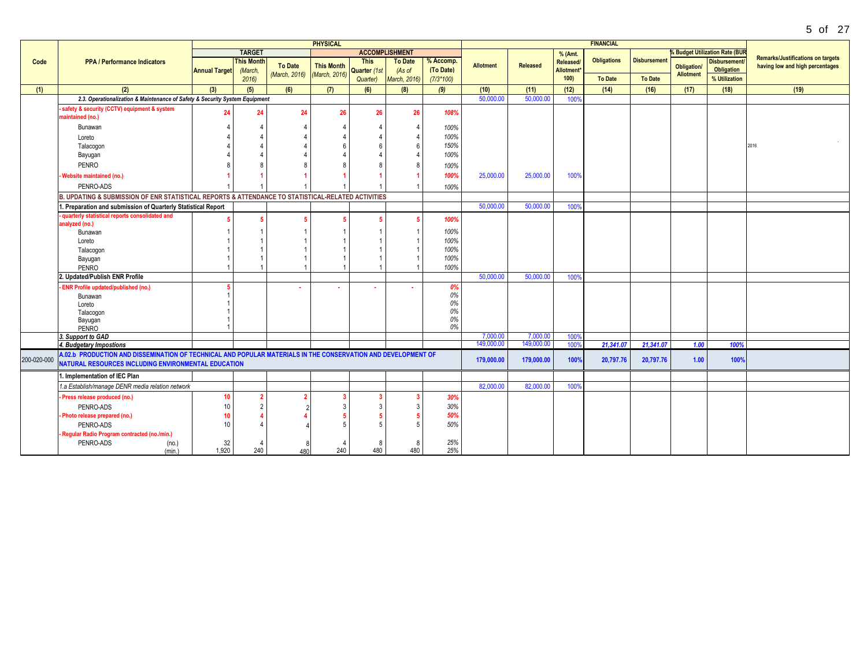|             |                                                                                                                                                                      |                      |                   |                | <b>PHYSICAL</b>   |              |                       |             |                  |                 |                        | <b>FINANCIAL</b>   |                     |                                        |                                       |                                                                             |
|-------------|----------------------------------------------------------------------------------------------------------------------------------------------------------------------|----------------------|-------------------|----------------|-------------------|--------------|-----------------------|-------------|------------------|-----------------|------------------------|--------------------|---------------------|----------------------------------------|---------------------------------------|-----------------------------------------------------------------------------|
|             |                                                                                                                                                                      |                      | <b>TARGET</b>     |                |                   |              | <b>ACCOMPLISHMENT</b> |             |                  |                 | % (Amt.                |                    |                     |                                        | <b>% Budget Utilization Rate (BUR</b> |                                                                             |
| Code        | <b>PPA / Performance Indicators</b>                                                                                                                                  |                      | <b>This Month</b> | <b>To Date</b> | <b>This Month</b> | <b>This</b>  | <b>To Date</b>        | % Accomp.   | <b>Allotment</b> | <b>Released</b> | Released/              | <b>Obligations</b> | <b>Disbursement</b> |                                        | <b>Disbursement</b>                   | <b>Remarks/Justifications on targets</b><br>having low and high percentages |
|             |                                                                                                                                                                      | <b>Annual Target</b> | (March,           | (March, 2016)  | (March, 2016)     | Quarter (1st | (As of                | (To Date)   |                  |                 | Allotment <sup>*</sup> |                    |                     | <b>Obligation/</b><br><b>Allotment</b> | Obligation                            |                                                                             |
|             |                                                                                                                                                                      |                      | 2016              |                |                   | Quarter)     | March, 2016)          | $(7/3*100)$ |                  |                 | 100)                   | <b>To Date</b>     | <b>To Date</b>      |                                        | % Utilization                         |                                                                             |
| (1)         | (2)                                                                                                                                                                  | (3)                  | (5)               | (6)            | (7)               | (6)          | (8)                   | (9)         | (10)             | (11)            | (12)                   | (14)               | (16)                | (17)                                   | (18)                                  | (19)                                                                        |
|             | 2.3. Operationalization & Maintenance of Safety & Security System Equipment                                                                                          |                      |                   |                |                   |              |                       |             | 50,000.00        | 50,000.00       | 100%                   |                    |                     |                                        |                                       |                                                                             |
|             | - safety & security (CCTV) equipment & system                                                                                                                        | 24                   | 24                | 24             | 26                | 26           | 26                    | 108%        |                  |                 |                        |                    |                     |                                        |                                       |                                                                             |
|             | maintained (no.)                                                                                                                                                     |                      |                   |                |                   |              |                       |             |                  |                 |                        |                    |                     |                                        |                                       |                                                                             |
|             | Bunawan                                                                                                                                                              |                      |                   |                |                   |              |                       | 100%        |                  |                 |                        |                    |                     |                                        |                                       |                                                                             |
|             | Loreto                                                                                                                                                               |                      |                   |                |                   |              |                       | 100%        |                  |                 |                        |                    |                     |                                        |                                       |                                                                             |
|             | Talacogon                                                                                                                                                            |                      |                   |                |                   |              | -6                    | 150%        |                  |                 |                        |                    |                     |                                        |                                       | 2016                                                                        |
|             | Bayugan                                                                                                                                                              |                      |                   |                |                   |              |                       | 100%        |                  |                 |                        |                    |                     |                                        |                                       |                                                                             |
|             | <b>PENRO</b>                                                                                                                                                         |                      |                   |                |                   |              |                       | 100%        |                  |                 |                        |                    |                     |                                        |                                       |                                                                             |
|             | Website maintained (no.)                                                                                                                                             |                      |                   |                |                   |              |                       | 100%        | 25,000.00        | 25,000.00       | 100%                   |                    |                     |                                        |                                       |                                                                             |
|             | PENRO-ADS                                                                                                                                                            |                      |                   |                |                   |              |                       | 100%        |                  |                 |                        |                    |                     |                                        |                                       |                                                                             |
|             | B. UPDATING & SUBMISSION OF ENR STATISTICAL REPORTS & ATTENDANCE TO STATISTICAL-RELATED ACTIVITIES                                                                   |                      |                   |                |                   |              |                       |             |                  |                 |                        |                    |                     |                                        |                                       |                                                                             |
|             | 1. Preparation and submission of Quarterly Statistical Report                                                                                                        |                      |                   |                |                   |              |                       |             | 50,000.00        | 50,000.00       | 100%                   |                    |                     |                                        |                                       |                                                                             |
|             | quarterly statistical reports consolidated and                                                                                                                       |                      |                   |                |                   |              |                       | 100%        |                  |                 |                        |                    |                     |                                        |                                       |                                                                             |
|             | analyzed (no.)                                                                                                                                                       |                      |                   |                |                   |              |                       |             |                  |                 |                        |                    |                     |                                        |                                       |                                                                             |
|             | Bunawan                                                                                                                                                              |                      |                   |                |                   |              |                       | 100%        |                  |                 |                        |                    |                     |                                        |                                       |                                                                             |
|             | Loreto                                                                                                                                                               |                      |                   |                |                   |              |                       | 100%        |                  |                 |                        |                    |                     |                                        |                                       |                                                                             |
|             | Talacogon                                                                                                                                                            |                      |                   |                |                   |              |                       | 100%        |                  |                 |                        |                    |                     |                                        |                                       |                                                                             |
|             | Bayugan                                                                                                                                                              |                      |                   |                |                   |              |                       | 100%        |                  |                 |                        |                    |                     |                                        |                                       |                                                                             |
|             | PENRO                                                                                                                                                                |                      |                   |                |                   |              |                       | 100%        |                  |                 |                        |                    |                     |                                        |                                       |                                                                             |
|             | 2. Updated/Publish ENR Profile                                                                                                                                       |                      |                   |                |                   |              |                       |             | 50,000.00        | 50,000.00       | 100%                   |                    |                     |                                        |                                       |                                                                             |
|             | <b>ENR Profile updated/published (no.)</b>                                                                                                                           |                      |                   |                |                   |              |                       | 0%<br>0%    |                  |                 |                        |                    |                     |                                        |                                       |                                                                             |
|             | Bunawan<br>Loreto                                                                                                                                                    |                      |                   |                |                   |              |                       | 0%          |                  |                 |                        |                    |                     |                                        |                                       |                                                                             |
|             | Talacogon                                                                                                                                                            |                      |                   |                |                   |              |                       | 0%          |                  |                 |                        |                    |                     |                                        |                                       |                                                                             |
|             | Bayugan                                                                                                                                                              |                      |                   |                |                   |              |                       | 0%          |                  |                 |                        |                    |                     |                                        |                                       |                                                                             |
|             | PENRO                                                                                                                                                                |                      |                   |                |                   |              |                       | 0%          |                  |                 |                        |                    |                     |                                        |                                       |                                                                             |
|             | 3. Support to GAD                                                                                                                                                    |                      |                   |                |                   |              |                       |             | 7,000.00         | 7,000.00        | 100%                   |                    |                     |                                        |                                       |                                                                             |
|             | 4. Budgetary Impostions                                                                                                                                              |                      |                   |                |                   |              |                       |             | 149,000.00       | 149,000.00      | 100                    | 21,341.07          | 21.341.07           | 1.00                                   | 100%                                  |                                                                             |
| 200-020-000 | A.02.b PRODUCTION AND DISSEMINATION OF TECHNICAL AND POPULAR MATERIALS IN THE CONSERVATION AND DEVELOPMENT OF<br>NATURAL RESOURCES INCLUDING ENVIRONMENTAL EDUCATION |                      |                   |                |                   |              |                       |             | 179,000.00       | 179,000.00      | 100%                   | 20,797.76          | 20,797.76           | 1.00                                   | 100%                                  |                                                                             |
|             | 1. Implementation of IEC Plan                                                                                                                                        |                      |                   |                |                   |              |                       |             |                  |                 |                        |                    |                     |                                        |                                       |                                                                             |
|             | 1.a Establish/manage DENR media relation network                                                                                                                     |                      |                   |                |                   |              |                       |             | 82,000.00        | 82,000.00       | 100%                   |                    |                     |                                        |                                       |                                                                             |
|             | - Press release produced (no.)                                                                                                                                       | 10                   |                   |                |                   |              |                       | 30%         |                  |                 |                        |                    |                     |                                        |                                       |                                                                             |
|             | PENRO-ADS                                                                                                                                                            | 10                   | $\mathcal{P}$     |                |                   |              |                       | 30%         |                  |                 |                        |                    |                     |                                        |                                       |                                                                             |
|             | - Photo release prepared (no.)                                                                                                                                       | 10                   |                   |                |                   |              |                       | 50%         |                  |                 |                        |                    |                     |                                        |                                       |                                                                             |
|             | PENRO-ADS                                                                                                                                                            | 10                   |                   |                |                   |              |                       | 50%         |                  |                 |                        |                    |                     |                                        |                                       |                                                                             |
|             | Regular Radio Program contracted (no./min.)                                                                                                                          |                      |                   |                |                   |              |                       |             |                  |                 |                        |                    |                     |                                        |                                       |                                                                             |
|             | PENRO-ADS<br>(no.)                                                                                                                                                   | 32                   |                   |                |                   | 8            |                       | 25%         |                  |                 |                        |                    |                     |                                        |                                       |                                                                             |
|             | (min.)                                                                                                                                                               | 1.920                | 240               | 480            | 240               | 480          | 480                   | 25%         |                  |                 |                        |                    |                     |                                        |                                       |                                                                             |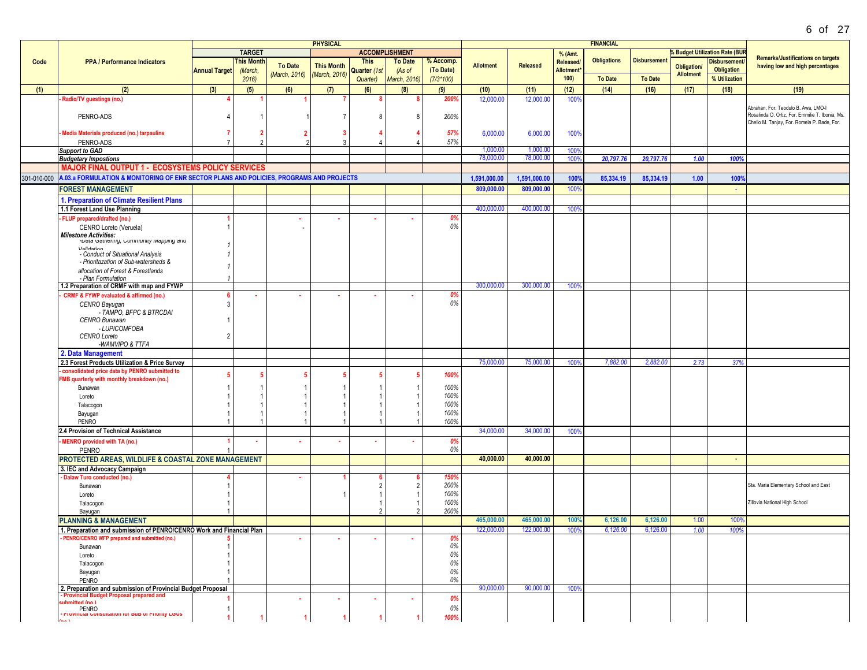|             |                                                                                                               |                      |                   |                | <b>PHYSICAL</b>   |              |                       |             |                  |                 |                        | <b>FINANCIAL</b>   |                    |                    |                                           |                                                 |
|-------------|---------------------------------------------------------------------------------------------------------------|----------------------|-------------------|----------------|-------------------|--------------|-----------------------|-------------|------------------|-----------------|------------------------|--------------------|--------------------|--------------------|-------------------------------------------|-------------------------------------------------|
|             |                                                                                                               |                      | <b>TARGET</b>     |                |                   |              | <b>ACCOMPLISHMENT</b> |             |                  |                 | % (Amt.                |                    |                    |                    | <b>&amp; Budget Utilization Rate (BUR</b> |                                                 |
| Code        | <b>PPA / Performance Indicators</b>                                                                           |                      | <b>This Month</b> |                |                   | <b>This</b>  | <b>To Date</b>        | % Accomp.   |                  |                 | Released/              | <b>Obligations</b> | <b>Disbursemen</b> |                    | <b>Disbursement</b>                       | <b>Remarks/Justifications on targets</b>        |
|             |                                                                                                               | <b>Annual Target</b> | (March,           | <b>To Date</b> | <b>This Month</b> | Quarter (1st | (As of                | (To Date)   | <b>Allotment</b> | <b>Released</b> | Allotment <sup>*</sup> |                    |                    | <b>Obligation/</b> | <b>Obligation</b>                         | having low and high percentages                 |
|             |                                                                                                               |                      | 2016              | (March, 2016)  | March, 2016)      | Quarter)     | March, 2016)          | $(7/3*100)$ |                  |                 | 100                    | <b>To Date</b>     | <b>To Date</b>     | <b>Allotment</b>   | % Utilization                             |                                                 |
|             |                                                                                                               |                      |                   |                |                   |              |                       |             |                  |                 |                        |                    |                    |                    |                                           |                                                 |
| (1)         | (2)                                                                                                           | (3)                  | (5)               | (6)            | (7)               | (6)          | (8)                   | (9)         | (10)             | (11)            | (12)                   | (14)               | (16)               | (17)               | (18)                                      | (19)                                            |
|             | Radio/TV guestings (no.)                                                                                      |                      |                   |                |                   |              |                       | 200%        | 12,000.00        | 12,000.00       | 100%                   |                    |                    |                    |                                           |                                                 |
|             |                                                                                                               |                      |                   |                |                   |              |                       |             |                  |                 |                        |                    |                    |                    |                                           | Abrahan, For. Teodulo B. Awa, LMO-I             |
|             | PENRO-ADS                                                                                                     |                      |                   |                |                   |              |                       | 200%        |                  |                 |                        |                    |                    |                    |                                           | Rosalinda O. Ortiz, For. Emmilie T. Ibonia, Ms. |
|             |                                                                                                               |                      |                   |                |                   |              |                       |             |                  |                 |                        |                    |                    |                    |                                           | Chello M. Tanjay, For. Romela P. Bade, For.     |
|             | Media Materials produced (no.) tarpaulins                                                                     |                      |                   |                | -3                |              |                       | 57%         | 6,000.00         | 6,000.00        | 100%                   |                    |                    |                    |                                           |                                                 |
|             | PENRO-ADS                                                                                                     |                      |                   |                |                   |              |                       | 57%         |                  |                 |                        |                    |                    |                    |                                           |                                                 |
|             | <b>Support to GAD</b>                                                                                         |                      |                   |                |                   |              |                       |             | 1,000.00         | 1,000.0         | 100%                   |                    |                    |                    |                                           |                                                 |
|             |                                                                                                               |                      |                   |                |                   |              |                       |             | 78,000.00        | 78,000.00       |                        | 20,797.76          |                    | 1.00               |                                           |                                                 |
|             | <b>Budgetary Impostions</b>                                                                                   |                      |                   |                |                   |              |                       |             |                  |                 | 100                    |                    | 20,797.76          |                    | 100%                                      |                                                 |
|             | MAJOR FINAL OUTPUT 1 - ECOSYSTEMS POLICY SERVICES                                                             |                      |                   |                |                   |              |                       |             |                  |                 |                        |                    |                    |                    |                                           |                                                 |
| 301-010-000 | A.03.a FORMULATION & MONITORING OF ENR SECTOR PLANS AND POLICIES, PROGRAMS AND PROJECTS                       |                      |                   |                |                   |              |                       |             | 1,591,000.00     | 1,591,000.00    | 100%                   | 85,334.19          | 85,334.19          | 1.00               | 100%                                      |                                                 |
|             | <b>FOREST MANAGEMENT</b>                                                                                      |                      |                   |                |                   |              |                       |             | 809,000.00       | 809,000.00      | 100%                   |                    |                    |                    |                                           |                                                 |
|             |                                                                                                               |                      |                   |                |                   |              |                       |             |                  |                 |                        |                    |                    |                    |                                           |                                                 |
|             | 1. Preparation of Climate Resilient Plans                                                                     |                      |                   |                |                   |              |                       |             |                  |                 |                        |                    |                    |                    |                                           |                                                 |
|             | 1.1 Forest Land Use Planning                                                                                  |                      |                   |                |                   |              |                       |             | 400,000.00       | 400,000.00      | 100%                   |                    |                    |                    |                                           |                                                 |
|             | FLUP prepared/drafted (no.)                                                                                   |                      |                   |                | ٠                 | ٠            |                       | 0%          |                  |                 |                        |                    |                    |                    |                                           |                                                 |
|             | CENRO Loreto (Veruela)                                                                                        |                      |                   |                |                   |              |                       | 0%          |                  |                 |                        |                    |                    |                    |                                           |                                                 |
|             | Milestone Activities:<br>-Data Gatnering, Community Mapping and                                               |                      |                   |                |                   |              |                       |             |                  |                 |                        |                    |                    |                    |                                           |                                                 |
|             |                                                                                                               |                      |                   |                |                   |              |                       |             |                  |                 |                        |                    |                    |                    |                                           |                                                 |
|             | <b>Validation</b><br>- Conduct of Situational Analysis                                                        |                      |                   |                |                   |              |                       |             |                  |                 |                        |                    |                    |                    |                                           |                                                 |
|             | - Prioritazation of Sub-watersheds &                                                                          |                      |                   |                |                   |              |                       |             |                  |                 |                        |                    |                    |                    |                                           |                                                 |
|             |                                                                                                               |                      |                   |                |                   |              |                       |             |                  |                 |                        |                    |                    |                    |                                           |                                                 |
|             | allocation of Forest & Forestlands                                                                            |                      |                   |                |                   |              |                       |             |                  |                 |                        |                    |                    |                    |                                           |                                                 |
|             | - Plan Formulation<br>1.2 Preparation of CRMF with map and FYWP                                               |                      |                   |                |                   |              |                       |             | 300,000.00       | 300,000.00      | 100%                   |                    |                    |                    |                                           |                                                 |
|             |                                                                                                               |                      |                   |                |                   |              |                       |             |                  |                 |                        |                    |                    |                    |                                           |                                                 |
|             | <b>CRMF &amp; FYWP evaluated &amp; affirmed (no.)</b>                                                         |                      |                   |                | $\sim$            | ×            |                       | 0%          |                  |                 |                        |                    |                    |                    |                                           |                                                 |
|             | CENRO Bayugan                                                                                                 | $\mathbf{3}$         |                   |                |                   |              |                       | 0%          |                  |                 |                        |                    |                    |                    |                                           |                                                 |
|             | - TAMPO. BFPC & BTRCDAI                                                                                       |                      |                   |                |                   |              |                       |             |                  |                 |                        |                    |                    |                    |                                           |                                                 |
|             | <b>CENRO Bunawan</b>                                                                                          |                      |                   |                |                   |              |                       |             |                  |                 |                        |                    |                    |                    |                                           |                                                 |
|             | - LUPICOMFOBA                                                                                                 |                      |                   |                |                   |              |                       |             |                  |                 |                        |                    |                    |                    |                                           |                                                 |
|             | <b>CENRO Loreto</b>                                                                                           | $\mathfrak{p}$       |                   |                |                   |              |                       |             |                  |                 |                        |                    |                    |                    |                                           |                                                 |
|             | -WAMVIPO & TTFA                                                                                               |                      |                   |                |                   |              |                       |             |                  |                 |                        |                    |                    |                    |                                           |                                                 |
|             | 2. Data Management                                                                                            |                      |                   |                |                   |              |                       |             |                  |                 |                        |                    |                    |                    |                                           |                                                 |
|             | 2.3 Forest Products Utilization & Price Survey                                                                |                      |                   |                |                   |              |                       |             | 75,000.00        | 75,000.00       | 100%                   | 7,882.00           | 2,882.00           | 2.73               | 37%                                       |                                                 |
|             | consolidated price data by PENRO submitted to                                                                 |                      |                   |                |                   |              |                       | 100%        |                  |                 |                        |                    |                    |                    |                                           |                                                 |
|             | FMB quarterly with monthly breakdown (no.)                                                                    |                      |                   |                |                   |              |                       |             |                  |                 |                        |                    |                    |                    |                                           |                                                 |
|             | Bunawan                                                                                                       |                      |                   |                |                   |              |                       | 100%        |                  |                 |                        |                    |                    |                    |                                           |                                                 |
|             | Loreto                                                                                                        |                      |                   |                |                   |              |                       | 100%        |                  |                 |                        |                    |                    |                    |                                           |                                                 |
|             | Talacogon                                                                                                     |                      |                   |                |                   |              |                       | 100%        |                  |                 |                        |                    |                    |                    |                                           |                                                 |
|             | Bayugan                                                                                                       |                      |                   |                |                   |              |                       | 100%        |                  |                 |                        |                    |                    |                    |                                           |                                                 |
|             | PENRO                                                                                                         |                      |                   |                |                   |              |                       | 100%        |                  |                 |                        |                    |                    |                    |                                           |                                                 |
|             | 2.4 Provision of Technical Assistance                                                                         |                      |                   |                |                   |              |                       |             | 34,000.0         | 34,000.0        | 100%                   |                    |                    |                    |                                           |                                                 |
|             | <b>MENRO provided with TA (no.)</b>                                                                           |                      |                   |                |                   |              |                       | 0%          |                  |                 |                        |                    |                    |                    |                                           |                                                 |
|             | <b>PENRO</b>                                                                                                  |                      |                   |                |                   |              |                       | 0%          |                  |                 |                        |                    |                    |                    |                                           |                                                 |
|             |                                                                                                               |                      |                   |                |                   |              |                       |             |                  |                 |                        |                    |                    |                    |                                           |                                                 |
|             | PROTECTED AREAS, WILDLIFE & COASTAL ZONE MANAGEMENT                                                           |                      |                   |                |                   |              |                       |             | 40,000.00        | 40,000.00       |                        |                    |                    |                    | $\sim$                                    |                                                 |
|             | 3. IEC and Advocacy Campaign                                                                                  |                      |                   |                |                   |              |                       |             |                  |                 |                        |                    |                    |                    |                                           |                                                 |
|             | - Dalaw Turo conducted (no.)                                                                                  |                      |                   |                |                   |              |                       | 150%        |                  |                 |                        |                    |                    |                    |                                           |                                                 |
|             | Bunawan                                                                                                       |                      |                   |                |                   |              |                       | 200%        |                  |                 |                        |                    |                    |                    |                                           | Sta. Maria Elementary School and East           |
|             | Loreto                                                                                                        |                      |                   |                |                   |              |                       | 100%        |                  |                 |                        |                    |                    |                    |                                           |                                                 |
|             | Talacogon                                                                                                     |                      |                   |                |                   |              |                       | 100%        |                  |                 |                        |                    |                    |                    |                                           | Zillovia National High School                   |
|             | Bayugan                                                                                                       |                      |                   |                |                   |              |                       | 200%        |                  |                 |                        |                    |                    |                    |                                           |                                                 |
|             | <b>PLANNING &amp; MANAGEMENT</b>                                                                              |                      |                   |                |                   |              |                       |             | 465,000.00       | 465,000.00      | 100%                   | 6,126.00           | 6,126.00           | 1.00               | 100%                                      |                                                 |
|             | 1. Preparation and submission of PENRO/CENRO Work and Financial Plan                                          |                      |                   |                |                   |              |                       |             | 122,000.00       | 122,000.00      | 100%                   | 6,126.00           | 6,126.00           | 1.00               | 100%                                      |                                                 |
|             | PENRO/CENRO WFP prepared and submitted (no.)                                                                  |                      |                   |                | ٠                 |              |                       | 0%          |                  |                 |                        |                    |                    |                    |                                           |                                                 |
|             | Bunawan                                                                                                       |                      |                   |                |                   |              |                       | 0%          |                  |                 |                        |                    |                    |                    |                                           |                                                 |
|             | Loreto                                                                                                        |                      |                   |                |                   |              |                       | 0%          |                  |                 |                        |                    |                    |                    |                                           |                                                 |
|             |                                                                                                               |                      |                   |                |                   |              |                       | 0%          |                  |                 |                        |                    |                    |                    |                                           |                                                 |
|             | Talacogon                                                                                                     |                      |                   |                |                   |              |                       | 0%          |                  |                 |                        |                    |                    |                    |                                           |                                                 |
|             | Bayugan                                                                                                       |                      |                   |                |                   |              |                       | 0%          |                  |                 |                        |                    |                    |                    |                                           |                                                 |
|             | PENRO                                                                                                         |                      |                   |                |                   |              |                       |             |                  |                 |                        |                    |                    |                    |                                           |                                                 |
|             | 2. Preparation and submission of Provincial Budget Proposal<br><b>Provincial Budget Proposal prepared and</b> |                      |                   |                |                   |              |                       |             | 90,000.00        | 90,000.00       | 100%                   |                    |                    |                    |                                           |                                                 |
|             | <b>Con) hattimdus</b>                                                                                         |                      |                   |                | ×.                | ×            |                       | 0%          |                  |                 |                        |                    |                    |                    |                                           |                                                 |
|             | PENRO                                                                                                         |                      |                   |                |                   |              |                       | 0%          |                  |                 |                        |                    |                    |                    |                                           |                                                 |
|             | <b>Provincial Consultation for Dub of Priority LOUS</b><br>tan 1                                              |                      |                   |                |                   |              |                       | 100%        |                  |                 |                        |                    |                    |                    |                                           |                                                 |
|             |                                                                                                               |                      |                   |                |                   |              |                       |             |                  |                 |                        |                    |                    |                    |                                           |                                                 |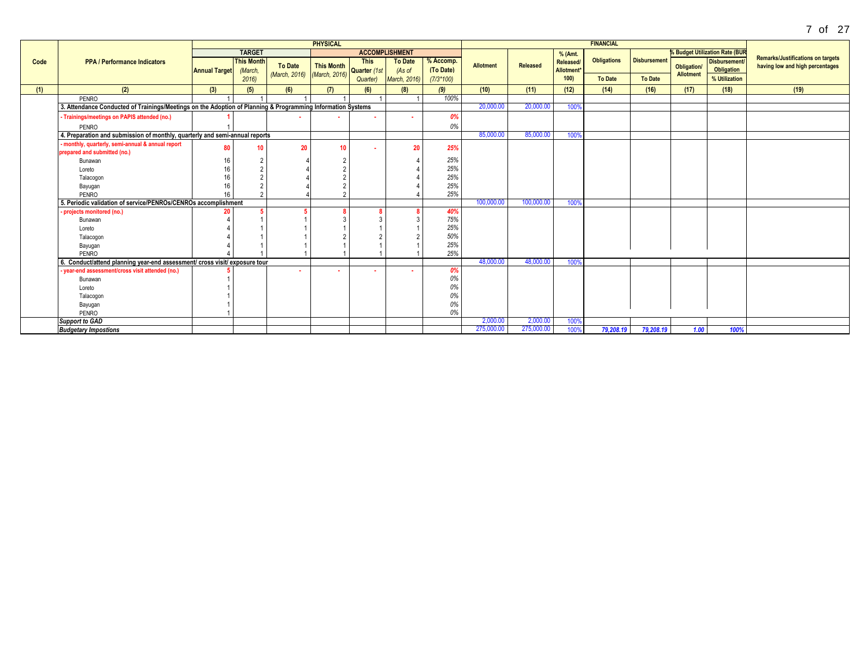|      |                                                                                                             |                      |                   |                             | <b>PHYSICAL</b>             |             |                       |             |                  |            |           | <b>FINANCIAL</b>   |                     |                  |                                       |                                          |
|------|-------------------------------------------------------------------------------------------------------------|----------------------|-------------------|-----------------------------|-----------------------------|-------------|-----------------------|-------------|------------------|------------|-----------|--------------------|---------------------|------------------|---------------------------------------|------------------------------------------|
|      |                                                                                                             |                      | <b>TARGET</b>     |                             |                             |             | <b>ACCOMPLISHMENT</b> |             |                  |            | % (Amt.   |                    |                     |                  | <b>% Budget Utilization Rate (BUR</b> |                                          |
| Code | <b>PPA / Performance Indicators</b>                                                                         |                      | <b>This Month</b> |                             |                             | <b>This</b> | <b>To Date</b>        | % Accomp.   |                  |            | Released/ | <b>Obligations</b> | <b>Disbursement</b> |                  | Disbursement/                         | <b>Remarks/Justifications on targets</b> |
|      |                                                                                                             | <b>Annual Target</b> | (March,           | <b>To Date</b>              | This Month<br>Quarter (1st) |             | (As of                | (To Date)   | <b>Allotment</b> | Released   | Allotment |                    |                     | Obligation/      | Obligation                            | having low and high percentages          |
|      |                                                                                                             |                      | 2016              | (March, 2016) (March, 2016) |                             | Quarter)    | <b>March, 2016)</b>   | $(7/3*100)$ |                  |            | 100)      | <b>To Date</b>     | <b>To Date</b>      | <b>Allotment</b> | % Utilization                         |                                          |
| (1)  | (2)                                                                                                         | (3)                  | (5)               | (6)                         | (7)                         | (6)         | (8)                   | (9)         | (10)             | (11)       | (12)      | (14)               | (16)                | (17)             | (18)                                  | (19)                                     |
|      | PENRO                                                                                                       |                      |                   |                             |                             |             |                       | 100%        |                  |            |           |                    |                     |                  |                                       |                                          |
|      | 3. Attendance Conducted of Trainings/Meetings on the Adoption of Planning & Programming Information Systems |                      |                   |                             |                             |             |                       |             | 20,000.00        | 20,000.00  | 100%      |                    |                     |                  |                                       |                                          |
|      | - Trainings/meetings on PAPIS attended (no.)                                                                |                      |                   |                             |                             | $\sim$      | ٠                     | 0%          |                  |            |           |                    |                     |                  |                                       |                                          |
|      | PENRO                                                                                                       |                      |                   |                             |                             |             |                       | 0%          |                  |            |           |                    |                     |                  |                                       |                                          |
|      | 4. Preparation and submission of monthly, quarterly and semi-annual reports                                 |                      |                   |                             |                             |             |                       |             | 85,000.00        | 85,000.00  | 100%      |                    |                     |                  |                                       |                                          |
|      | - monthly, quarterly, semi-annual & annual report                                                           | 80                   | 10                | 20                          |                             |             | 20                    | 25%         |                  |            |           |                    |                     |                  |                                       |                                          |
|      | prepared and submitted (no.)                                                                                |                      |                   |                             |                             |             |                       |             |                  |            |           |                    |                     |                  |                                       |                                          |
|      | Bunawan                                                                                                     | 16                   |                   |                             |                             |             |                       | 25%         |                  |            |           |                    |                     |                  |                                       |                                          |
|      | Loreto                                                                                                      | 16                   |                   |                             |                             |             |                       | 25%         |                  |            |           |                    |                     |                  |                                       |                                          |
|      | Talacogon                                                                                                   | 16                   |                   |                             |                             |             |                       | 25%         |                  |            |           |                    |                     |                  |                                       |                                          |
|      | Bayugan                                                                                                     | 16                   |                   |                             |                             |             |                       | 25%         |                  |            |           |                    |                     |                  |                                       |                                          |
|      | PENRO                                                                                                       | 16                   |                   |                             |                             |             |                       | 25%         |                  |            |           |                    |                     |                  |                                       |                                          |
|      | 5. Periodic validation of service/PENROs/CENROs accomplishment                                              |                      |                   |                             |                             |             |                       |             | 100,000.00       | 100,000.00 | 100%      |                    |                     |                  |                                       |                                          |
|      | - projects monitored (no.)                                                                                  |                      |                   |                             |                             |             |                       | 40%         |                  |            |           |                    |                     |                  |                                       |                                          |
|      | Bunawan                                                                                                     |                      |                   |                             |                             |             |                       | 75%         |                  |            |           |                    |                     |                  |                                       |                                          |
|      | Loreto                                                                                                      |                      |                   |                             |                             |             |                       | 25%         |                  |            |           |                    |                     |                  |                                       |                                          |
|      | Talacogon                                                                                                   |                      |                   |                             |                             |             |                       | 50%         |                  |            |           |                    |                     |                  |                                       |                                          |
|      | Bayugan                                                                                                     |                      |                   |                             |                             |             |                       | 25%         |                  |            |           |                    |                     |                  |                                       |                                          |
|      | PENRO                                                                                                       |                      |                   |                             |                             |             |                       | 25%         |                  |            |           |                    |                     |                  |                                       |                                          |
|      | 6. Conduct/attend planning year-end assessment/ cross visit/ exposure tour                                  |                      |                   |                             |                             |             |                       |             | 48,000.00        | 48,000.00  | 100%      |                    |                     |                  |                                       |                                          |
|      | year-end assessment/cross visit attended (no.)                                                              |                      |                   |                             |                             |             |                       | 0%          |                  |            |           |                    |                     |                  |                                       |                                          |
|      | Bunawan                                                                                                     |                      |                   |                             |                             |             |                       | 0%          |                  |            |           |                    |                     |                  |                                       |                                          |
|      | Loreto                                                                                                      |                      |                   |                             |                             |             |                       | 0%          |                  |            |           |                    |                     |                  |                                       |                                          |
|      | Talacogon                                                                                                   |                      |                   |                             |                             |             |                       | 0%          |                  |            |           |                    |                     |                  |                                       |                                          |
|      | Bayugan                                                                                                     |                      |                   |                             |                             |             |                       | 0%          |                  |            |           |                    |                     |                  |                                       |                                          |
|      | PENRO                                                                                                       |                      |                   |                             |                             |             |                       | 0%          |                  |            |           |                    |                     |                  |                                       |                                          |
|      | <b>Support to GAD</b>                                                                                       |                      |                   |                             |                             |             |                       |             | 2,000.00         | 2,000.00   | 100%      |                    |                     |                  |                                       |                                          |
|      | <b>Budgetary Impostions</b>                                                                                 |                      |                   |                             |                             |             |                       |             | 275,000.00       | 275,000.00 | 100%      | 79,208.19          | 79.208.19           | 1.00             | 100%                                  |                                          |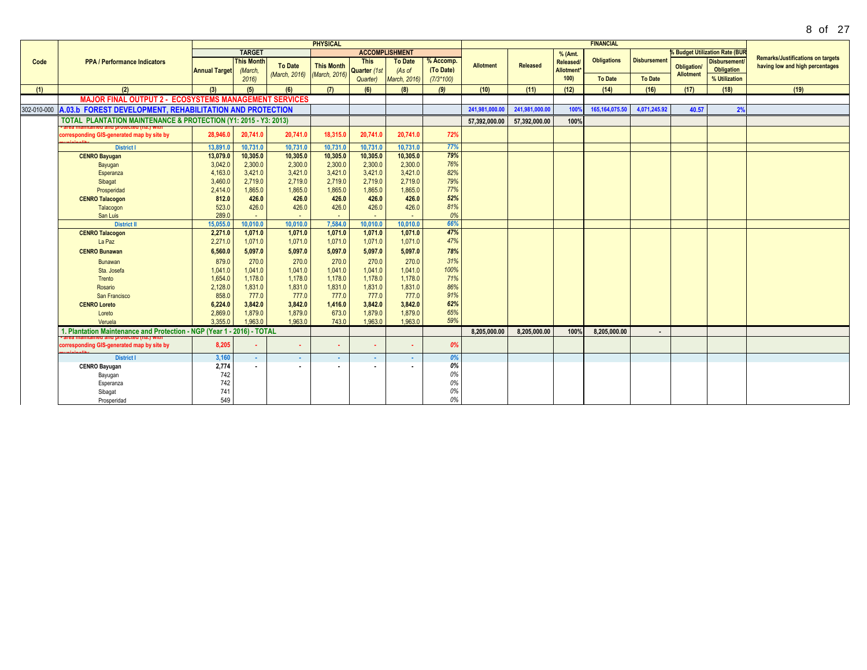|      |                                                                                   |                      |                              |                    | <b>PHYSICAL</b>   |                             |                          |                        |                  |                 |                                     | <b>FINANCIAL</b>   |                     |                  |                                       |                                                                             |
|------|-----------------------------------------------------------------------------------|----------------------|------------------------------|--------------------|-------------------|-----------------------------|--------------------------|------------------------|------------------|-----------------|-------------------------------------|--------------------|---------------------|------------------|---------------------------------------|-----------------------------------------------------------------------------|
|      |                                                                                   |                      | <b>TARGET</b>                |                    |                   |                             | <b>ACCOMPLISHMENT</b>    |                        |                  |                 | % (Amt.                             |                    |                     |                  | <b>% Budget Utilization Rate (BUR</b> |                                                                             |
| Code | <b>PPA / Performance Indicators</b>                                               | <b>Annual Target</b> | <b>This Month</b><br>(March, | <b>To Date</b>     | <b>This Month</b> | <b>This</b><br>Quarter (1st | <b>To Date</b><br>(As of | % Accomp.<br>(To Date) | <b>Allotment</b> | <b>Released</b> | Released/<br>Allotment <sup>®</sup> | <b>Obligations</b> | <b>Disbursement</b> | Obligation/      | <b>Disbursement</b><br>Obligation     | <b>Remarks/Justifications on targets</b><br>having low and high percentages |
|      |                                                                                   |                      | 2016                         | (March, 2016)      | (March, 2016)     | Quarter)                    | March, 2016)             | $(7/3*100)$            |                  |                 | 100                                 | <b>To Date</b>     | <b>To Date</b>      | <b>Allotment</b> | % Utilization                         |                                                                             |
| (1)  | (2)                                                                               | (3)                  | (5)                          | (6)                | (7)               | (6)                         | (8)                      | (9)                    | (10)             | (11)            | (12)                                | (14)               | (16)                | (17)             | (18)                                  | (19)                                                                        |
|      | <b>MAJOR FINAL OUTPUT 2 - ECOSYSTEMS MANAGEMENT SERVICES</b>                      |                      |                              |                    |                   |                             |                          |                        |                  |                 |                                     |                    |                     |                  |                                       |                                                                             |
|      | 302-010-000 A.03.b FOREST DEVELOPMENT, REHABILITATION AND PROTECTION              |                      |                              |                    |                   |                             |                          |                        | 241,981,000.00   | 241,981,000.00  | 100%                                | 165, 164, 075.50   | 4,071,245.92        | 40.57            | 2%                                    |                                                                             |
|      | <b>TOTAL PLANTATION MAINTENANCE &amp; PROTECTION (Y1: 2015 - Y3: 2013)</b>        |                      |                              |                    |                   |                             |                          |                        | 57,392,000.00    | 57,392,000.00   | 100%                                |                    |                     |                  |                                       |                                                                             |
|      | corresponding GIS-generated map by site by<br><b>Statistics</b>                   | 28.946.0             | 20,741.0                     | 20,741.0           | 18,315.0          | 20.741.0                    | 20.741.0                 | 72%                    |                  |                 |                                     |                    |                     |                  |                                       |                                                                             |
|      | <b>District I</b>                                                                 | 13,891.0             | 10,731.0                     | 10.731.0           | 10,731.0          | 10,731.0                    | 10,731.0                 | 77%                    |                  |                 |                                     |                    |                     |                  |                                       |                                                                             |
|      | <b>CENRO Bayugan</b>                                                              | 13,079.0             | 10,305.0                     | 10,305.0           | 10,305.0          | 10,305.0                    | 10,305.0                 | 79%                    |                  |                 |                                     |                    |                     |                  |                                       |                                                                             |
|      | Bayugan                                                                           | 3,042.0              | 2,300.0                      | 2,300.0            | 2,300.0           | 2,300.0                     | 2,300.0                  | 76%                    |                  |                 |                                     |                    |                     |                  |                                       |                                                                             |
|      | Esperanza                                                                         | 4,163.0              | 3,421.0                      | 3,421.0            | 3,421.0           | 3,421.0                     | 3,421.0                  | 82%                    |                  |                 |                                     |                    |                     |                  |                                       |                                                                             |
|      | Sibagat                                                                           | 3,460.0              | 2,719.0                      | 2,719.0            | 2,719.0           | 2,719.0                     | 2,719.0                  | 79%<br>77%             |                  |                 |                                     |                    |                     |                  |                                       |                                                                             |
|      | Prosperidad<br><b>CENRO Talacogon</b>                                             | 2,414.0<br>812.0     | 1,865.0<br>426.0             | 1,865.0<br>426.0   | 1,865.0<br>426.0  | 1,865.0<br>426.0            | 1,865.0<br>426.0         | 52%                    |                  |                 |                                     |                    |                     |                  |                                       |                                                                             |
|      | Talacogon                                                                         | 523.0                | 426.0                        | 426.0              | 426.0             | 426.0                       | 426.0                    | 81%                    |                  |                 |                                     |                    |                     |                  |                                       |                                                                             |
|      | San Luis                                                                          | 289.0                |                              |                    |                   |                             |                          | 0%                     |                  |                 |                                     |                    |                     |                  |                                       |                                                                             |
|      | <b>District II</b>                                                                | 15,055.0             | 10,010.0                     | 10,010.0           | 7,584.0           | 10,010.0                    | 10,010.0                 | 66%                    |                  |                 |                                     |                    |                     |                  |                                       |                                                                             |
|      | <b>CENRO Talacogon</b>                                                            | 2,271.0              | 1,071.0                      | 1,071.0            | 1,071.0           | 1,071.0                     | 1,071.0                  | 47%                    |                  |                 |                                     |                    |                     |                  |                                       |                                                                             |
|      | La Paz                                                                            | 2,271.0              | 1,071.0                      | 1.071.0            | 1,071.0           | 1,071.0                     | 1,071.0                  | 47%                    |                  |                 |                                     |                    |                     |                  |                                       |                                                                             |
|      | <b>CENRO Bunawan</b>                                                              | 6,560.0              | 5,097.0                      | 5,097.0            | 5,097.0           | 5,097.0                     | 5,097.0                  | 78%                    |                  |                 |                                     |                    |                     |                  |                                       |                                                                             |
|      | Bunawan                                                                           | 879.0                | 270.0                        | 270.0              | 270.0             | 270.0                       | 270.0                    | 31%                    |                  |                 |                                     |                    |                     |                  |                                       |                                                                             |
|      | Sta, Josefa                                                                       | 1.041.0              | 1.041.0                      | 1,041.0            | 1,041.0           | 1,041.0                     | 1,041.0                  | 100%                   |                  |                 |                                     |                    |                     |                  |                                       |                                                                             |
|      | Trento                                                                            | 1,654.0              | 1,178.0                      | 1,178.0            | 1,178.0           | 1,178.0                     | 1,178.0                  | 71%                    |                  |                 |                                     |                    |                     |                  |                                       |                                                                             |
|      | Rosario                                                                           | 2,128.0              | 1,831.0                      | 1,831.0            | 1,831.0           | 1,831.0                     | 1,831.0                  | 86%                    |                  |                 |                                     |                    |                     |                  |                                       |                                                                             |
|      | San Francisco                                                                     | 858.0                | 777.0                        | 777.0              | 777.0             | 777.0                       | 777.0                    | 91%                    |                  |                 |                                     |                    |                     |                  |                                       |                                                                             |
|      | <b>CENRO Loreto</b>                                                               | 6,224.0              | 3,842.0                      | 3,842.0            | 1,416.0           | 3,842.0                     | 3,842.0                  | 62%                    |                  |                 |                                     |                    |                     |                  |                                       |                                                                             |
|      | Loreto                                                                            | 2,869.0<br>3.355.0   | 1,879.0<br>1,963.0           | 1,879.0<br>1.963.0 | 673.0<br>743.0    | 1,879.0<br>1,963.0          | 1,879.0<br>1,963.0       | 65%<br>59%             |                  |                 |                                     |                    |                     |                  |                                       |                                                                             |
|      | Veruela<br>1. Plantation Maintenance and Protection - NGP (Year 1 - 2016) - TOTAL |                      |                              |                    |                   |                             |                          |                        | 8.205.000.00     | 8.205.000.00    | 100%                                | 8,205,000.00       |                     |                  |                                       |                                                                             |
|      |                                                                                   |                      |                              |                    |                   |                             |                          |                        |                  |                 |                                     |                    |                     |                  |                                       |                                                                             |
|      | corresponding GIS-generated map by site by                                        | 8,205                | ۰.                           | ж.                 | ٠                 | ٠                           | . .                      | 0%                     |                  |                 |                                     |                    |                     |                  |                                       |                                                                             |
|      | <b>District I</b>                                                                 | 3,160                | $\sim$                       | $\sim$             | $\sim$            | $\sim$                      | $\sim$                   | 0%                     |                  |                 |                                     |                    |                     |                  |                                       |                                                                             |
|      | <b>CENRO Bayugan</b>                                                              | 2,774                | $\sim$                       |                    |                   | ×.                          |                          | 0%                     |                  |                 |                                     |                    |                     |                  |                                       |                                                                             |
|      | Bayugan                                                                           | 742                  |                              |                    |                   |                             |                          | 0%                     |                  |                 |                                     |                    |                     |                  |                                       |                                                                             |
|      | Esperanza                                                                         | 742                  |                              |                    |                   |                             |                          | 0%                     |                  |                 |                                     |                    |                     |                  |                                       |                                                                             |
|      | Sibagat                                                                           | 741                  |                              |                    |                   |                             |                          | 0%<br>0%               |                  |                 |                                     |                    |                     |                  |                                       |                                                                             |
|      | Prosperidad                                                                       | 549                  |                              |                    |                   |                             |                          |                        |                  |                 |                                     |                    |                     |                  |                                       |                                                                             |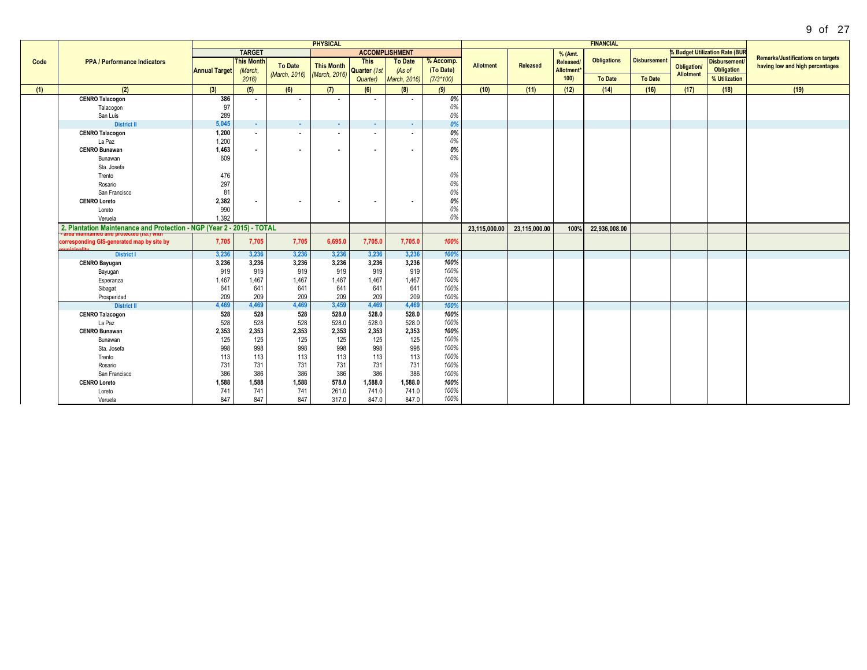|      |                                                                        |                      |                              |                             | <b>PHYSICAL</b>   |                             |                          |                        |                  |                 |                               | <b>FINANCIAL</b>   |                     |                    |                                       |                                                                             |
|------|------------------------------------------------------------------------|----------------------|------------------------------|-----------------------------|-------------------|-----------------------------|--------------------------|------------------------|------------------|-----------------|-------------------------------|--------------------|---------------------|--------------------|---------------------------------------|-----------------------------------------------------------------------------|
|      |                                                                        |                      | <b>TARGET</b>                |                             |                   |                             | <b>ACCOMPLISHMENT</b>    |                        |                  |                 | % (Amt.                       |                    |                     |                    | <b>6 Budget Utilization Rate (BUR</b> |                                                                             |
| Code | <b>PPA / Performance Indicators</b>                                    | <b>Annual Target</b> | <b>This Month</b><br>(March, | <b>To Date</b>              | <b>This Month</b> | <b>This</b><br>Quarter (1st | <b>To Date</b><br>(As of | % Accomp.<br>(To Date) | <b>Allotment</b> | <b>Released</b> | Released/<br><b>Allotment</b> | <b>Obligations</b> | <b>Disbursement</b> | <b>Obligation/</b> | Disbursement/<br><b>Obligation</b>    | <b>Remarks/Justifications on targets</b><br>having low and high percentages |
|      |                                                                        |                      | 2016                         | (March, 2016) (March, 2016) |                   | Quarter)                    | March, 2016)             | $(7/3*100)$            |                  |                 | 100)                          | <b>To Date</b>     | <b>To Date</b>      | <b>Allotment</b>   | % Utilization                         |                                                                             |
| (1)  | (2)                                                                    | (3)                  | (5)                          | (6)                         | (7)               | (6)                         | (8)                      | (9)                    | (10)             | (11)            | (12)                          | (14)               | (16)                | (17)               | (18)                                  | (19)                                                                        |
|      | <b>CENRO Talacogon</b>                                                 | 386                  | $\overline{\phantom{a}}$     | $\sim$                      | ٠.                | $\overline{\phantom{a}}$    |                          | 0%                     |                  |                 |                               |                    |                     |                    |                                       |                                                                             |
|      | Talacogon                                                              | 97                   |                              |                             |                   |                             |                          | 0%                     |                  |                 |                               |                    |                     |                    |                                       |                                                                             |
|      | San Luis                                                               | 289                  |                              |                             |                   |                             |                          | 0%                     |                  |                 |                               |                    |                     |                    |                                       |                                                                             |
|      | <b>District II</b>                                                     | 5.045                | <b>Card</b>                  | <b>COL</b>                  | $\sim$            | $\sim$                      | <b>COL</b>               | 0%                     |                  |                 |                               |                    |                     |                    |                                       |                                                                             |
|      | <b>CENRO Talacogon</b>                                                 | 1.200                | $\sim$                       | $\sim$                      | $\sim$            | $\mathbf{r}$                |                          | 0%<br>$0\%$            |                  |                 |                               |                    |                     |                    |                                       |                                                                             |
|      | La Paz<br><b>CENRO Bunawan</b>                                         | 1,200<br>1,463       |                              |                             |                   |                             |                          | 0%                     |                  |                 |                               |                    |                     |                    |                                       |                                                                             |
|      | Bunawan                                                                | 609                  | $\sim$                       | $\sim$                      | $\blacksquare$    | $\sim$                      |                          | 0%                     |                  |                 |                               |                    |                     |                    |                                       |                                                                             |
|      | Sta. Josefa                                                            |                      |                              |                             |                   |                             |                          |                        |                  |                 |                               |                    |                     |                    |                                       |                                                                             |
|      | Trento                                                                 | 476                  |                              |                             |                   |                             |                          | 0%                     |                  |                 |                               |                    |                     |                    |                                       |                                                                             |
|      | Rosario                                                                | 297                  |                              |                             |                   |                             |                          | 0%                     |                  |                 |                               |                    |                     |                    |                                       |                                                                             |
|      | San Francisco                                                          | 81                   |                              |                             |                   |                             |                          | 0%                     |                  |                 |                               |                    |                     |                    |                                       |                                                                             |
|      | <b>CENRO Loreto</b>                                                    | 2,382                | $\sim$                       | $\sim$                      | $\blacksquare$    | $\sim$                      |                          | 0%                     |                  |                 |                               |                    |                     |                    |                                       |                                                                             |
|      | Loreto                                                                 | 990                  |                              |                             |                   |                             |                          | 0%                     |                  |                 |                               |                    |                     |                    |                                       |                                                                             |
|      | Veruela                                                                | 1.392                |                              |                             |                   |                             |                          | 0%                     |                  |                 |                               |                    |                     |                    |                                       |                                                                             |
|      | 2. Plantation Maintenance and Protection - NGP (Year 2 - 2015) - TOTAL |                      |                              |                             |                   |                             |                          |                        | 23,115,000.00    | 23,115,000.00   | 100%                          | 22,936,008.00      |                     |                    |                                       |                                                                             |
|      | corresponding GIS-generated map by site by                             | 7,705                | 7,705                        | 7,705                       | 6,695.0           | 7,705.0                     | 7,705.0                  | 100%                   |                  |                 |                               |                    |                     |                    |                                       |                                                                             |
|      | <b>District I</b>                                                      | 3,236                | 3,236                        | 3,236                       | 3,236             | 3,236                       | 3,236                    | 100%                   |                  |                 |                               |                    |                     |                    |                                       |                                                                             |
|      | <b>CENRO Bayugan</b>                                                   | 3,236                | 3,236                        | 3,236                       | 3,236             | 3,236                       | 3,236                    | 100%                   |                  |                 |                               |                    |                     |                    |                                       |                                                                             |
|      | Bayugan                                                                | 919                  | 919                          | 919                         | 919               | 919                         | 919                      | 100%                   |                  |                 |                               |                    |                     |                    |                                       |                                                                             |
|      | Esperanza                                                              | 1,467                | 1,467                        | 1,467                       | 1,467             | 1,467                       | 1,467                    | 100%                   |                  |                 |                               |                    |                     |                    |                                       |                                                                             |
|      | Sibagat                                                                | 641                  | 641                          | 641                         | 641               | 641                         | 641                      | 100%                   |                  |                 |                               |                    |                     |                    |                                       |                                                                             |
|      | Prosperidad                                                            | 209<br>4,469         | 209<br>4,469                 | 209<br>4.469                | 209<br>3,459      | 209                         | 209<br>4,469             | 100%                   |                  |                 |                               |                    |                     |                    |                                       |                                                                             |
|      | <b>District II</b><br><b>CENRO Talacogon</b>                           | 528                  | 528                          | 528                         | 528.0             | 4,469<br>528.0              | 528.0                    | 100%<br>100%           |                  |                 |                               |                    |                     |                    |                                       |                                                                             |
|      | La Paz                                                                 | 528                  | 528                          | 528                         | 528.0             | 528.0                       | 528.0                    | 100%                   |                  |                 |                               |                    |                     |                    |                                       |                                                                             |
|      | <b>CENRO Bunawan</b>                                                   | 2,353                | 2,353                        | 2,353                       | 2,353             | 2,353                       | 2,353                    | 100%                   |                  |                 |                               |                    |                     |                    |                                       |                                                                             |
|      | Bunawan                                                                | 125                  | 125                          | 125                         | 125               | 125                         | 125                      | 100%                   |                  |                 |                               |                    |                     |                    |                                       |                                                                             |
|      | Sta. Josefa                                                            | 998                  | 998                          | 998                         | 998               | 998                         | 998                      | 100%                   |                  |                 |                               |                    |                     |                    |                                       |                                                                             |
|      | Trento                                                                 | 113                  | 113                          | 113                         | 113               | 113                         | 113                      | 100%                   |                  |                 |                               |                    |                     |                    |                                       |                                                                             |
|      | Rosario                                                                | 731                  | 731                          | 731                         | 731               | 731                         | 731                      | 100%                   |                  |                 |                               |                    |                     |                    |                                       |                                                                             |
|      | San Francisco                                                          | 386                  | 386                          | 386                         | 386               | 386                         | 386                      | 100%                   |                  |                 |                               |                    |                     |                    |                                       |                                                                             |
|      | <b>CENRO Loreto</b>                                                    | 1,588                | 1,588                        | 1,588                       | 578.0             | 1,588.0                     | 1,588.0                  | 100%                   |                  |                 |                               |                    |                     |                    |                                       |                                                                             |
|      | Loreto                                                                 | 741                  | 741                          | 741                         | 261.0             | 741.0                       | 741.0                    | 100%                   |                  |                 |                               |                    |                     |                    |                                       |                                                                             |
|      | Veruela                                                                | 847                  | 847                          | 847                         | 317.0             | 847.0                       | 847.0                    | 100%                   |                  |                 |                               |                    |                     |                    |                                       |                                                                             |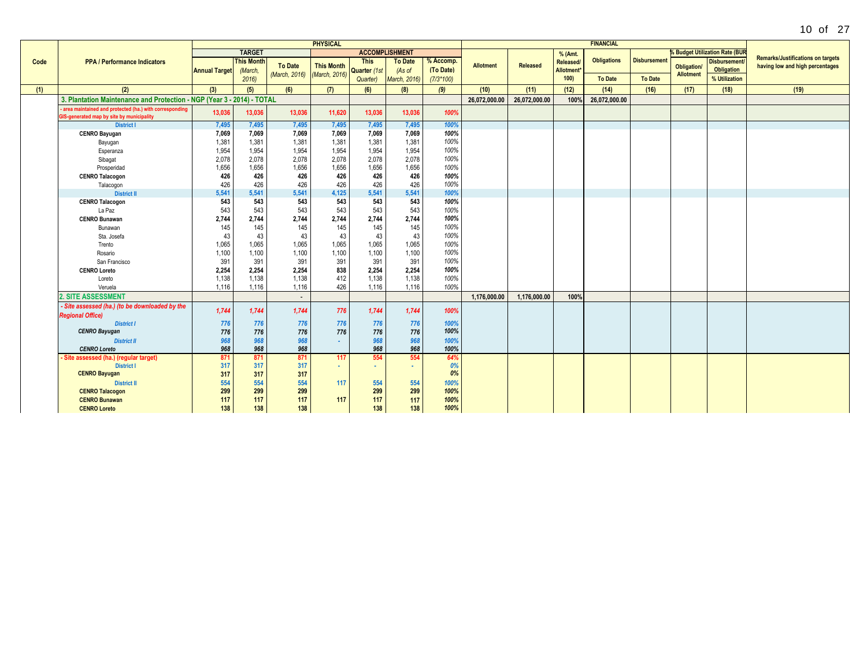|      |                                                                                                     |                      |                   |                             | <b>PHYSICAL</b>   |                |                       |             |                  |               |                  | <b>FINANCIAL</b>   |                     |                    |                                       |                                          |
|------|-----------------------------------------------------------------------------------------------------|----------------------|-------------------|-----------------------------|-------------------|----------------|-----------------------|-------------|------------------|---------------|------------------|--------------------|---------------------|--------------------|---------------------------------------|------------------------------------------|
|      |                                                                                                     |                      | <b>TARGET</b>     |                             |                   |                | <b>ACCOMPLISHMENT</b> |             |                  |               | % (Amt.          |                    |                     |                    | <b>6 Budget Utilization Rate (BUF</b> |                                          |
| Code | <b>PPA / Performance Indicators</b>                                                                 |                      | <b>This Month</b> |                             |                   | <b>This</b>    | <b>To Date</b>        | % Accomp.   |                  |               | Released/        | <b>Obligations</b> | <b>Disbursement</b> |                    | <b>Disbursement</b>                   | <b>Remarks/Justifications on targets</b> |
|      |                                                                                                     | <b>Annual Target</b> | (March,           | <b>To Date</b>              | <b>This Month</b> | Quarter (1st   | (As of                | (To Date)   | <b>Allotment</b> | Released      | <b>Allotment</b> |                    |                     | <b>Obligation/</b> | Obligation                            | having low and high percentages          |
|      |                                                                                                     |                      | 2016              | (March, 2016) (March, 2016) |                   | Quarter)       | March, 2016)          | $(7/3*100)$ |                  |               | 100)             | <b>To Date</b>     | <b>To Date</b>      | <b>Allotment</b>   | % Utilization                         |                                          |
| (1)  | (2)                                                                                                 | (3)                  | (5)               | (6)                         | (7)               | (6)            | (8)                   | (9)         | (10)             | (11)          | (12)             | (14)               | (16)                | (17)               | (18)                                  | (19)                                     |
|      | 3. Plantation Maintenance and Protection - NGP (Year 3 - 2014) - TOTAL                              |                      |                   |                             |                   |                |                       |             | 26.072.000.00    | 26.072.000.00 | 100%             | 26.072.000.00      |                     |                    |                                       |                                          |
|      | area maintained and protected (ha.) with corresponding<br>GIS-generated map by site by municipality | 13,036               | 13.036            | 13,036                      | 11,620            | 13,036         | 13,036                | 100%        |                  |               |                  |                    |                     |                    |                                       |                                          |
|      | <b>District I</b>                                                                                   | 7,495                | 7,495             | 7,495                       | 7,495             | 7,495          | 7,495                 | 100%        |                  |               |                  |                    |                     |                    |                                       |                                          |
|      | <b>CENRO Bayugan</b>                                                                                | 7,069                | 7,069             | 7,069                       | 7,069             | 7,069          | 7,069                 | 100%        |                  |               |                  |                    |                     |                    |                                       |                                          |
|      | Bayugan                                                                                             | 1,381                | 1,381             | 1,381                       | 1,381             | 1,381          | 1,381                 | 100%        |                  |               |                  |                    |                     |                    |                                       |                                          |
|      | Esperanza                                                                                           | 1,954                | 1,954             | 1,954                       | 1,954             | 1,954          | 1,954                 | 100%        |                  |               |                  |                    |                     |                    |                                       |                                          |
|      | Sibagat                                                                                             | 2,078                | 2,078             | 2,078                       | 2,078             | 2,078          | 2,078                 | 100%        |                  |               |                  |                    |                     |                    |                                       |                                          |
|      | Prosperidad                                                                                         | 1,656                | 1,656             | 1,656                       | 1,656             | 1,656          | 1,656                 | 100%        |                  |               |                  |                    |                     |                    |                                       |                                          |
|      | <b>CENRO Talacogon</b>                                                                              | 426                  | 426               | 426                         | 426               | 426            | 426                   | 100%        |                  |               |                  |                    |                     |                    |                                       |                                          |
|      | Talacogon                                                                                           | 426                  | 426               | 426                         | 426               | 426            | 426                   | 100%        |                  |               |                  |                    |                     |                    |                                       |                                          |
|      | <b>District II</b>                                                                                  | 5,541                | 5,541             | 5,541                       | 4,125             | 5,541          | 5,541                 | 100%        |                  |               |                  |                    |                     |                    |                                       |                                          |
|      | <b>CENRO Talacogon</b>                                                                              | 543                  | 543               | 543                         | 543               | 543            | 543                   | 100%        |                  |               |                  |                    |                     |                    |                                       |                                          |
|      | La Paz                                                                                              | 543                  | 543               | 543                         | 543               | 543            | 543                   | 100%        |                  |               |                  |                    |                     |                    |                                       |                                          |
|      | <b>CENRO Bunawan</b>                                                                                | 2,744                | 2,744             | 2.744                       | 2,744             | 2,744          | 2,744                 | 100%        |                  |               |                  |                    |                     |                    |                                       |                                          |
|      | Bunawan                                                                                             | 145                  | 145               | 145                         | 145               | 145            | 145                   | 100%        |                  |               |                  |                    |                     |                    |                                       |                                          |
|      | Sta. Josefa                                                                                         | 43                   | 43                | 43                          | 43                | 43             | 43                    | 100%        |                  |               |                  |                    |                     |                    |                                       |                                          |
|      | Trento                                                                                              | 1,065                | 1,065             | 1,065                       | 1,065             | 1,065          | 1,065                 | 100%        |                  |               |                  |                    |                     |                    |                                       |                                          |
|      | Rosario                                                                                             | 1,100                | 1,100             | 1,100                       | 1,100             | 1,100          | 1,100                 | 100%        |                  |               |                  |                    |                     |                    |                                       |                                          |
|      | San Francisco                                                                                       | 391                  | 391               | 391                         | 391               | 391            | 391                   | 100%        |                  |               |                  |                    |                     |                    |                                       |                                          |
|      | <b>CENRO Loreto</b>                                                                                 | 2,254                | 2,254             | 2,254                       | 838               | 2,254          | 2,254                 | 100%        |                  |               |                  |                    |                     |                    |                                       |                                          |
|      | Loreto                                                                                              | 1,138                | 1,138             | 1,138                       | 412               | 1,138          | 1,138                 | 100%        |                  |               |                  |                    |                     |                    |                                       |                                          |
|      | Veruela                                                                                             | 1.116                | 1,116             | 1.116                       | 426               | 1.116          | 1.116                 | 100%        |                  |               |                  |                    |                     |                    |                                       |                                          |
|      | 2. SITE ASSESSMENT                                                                                  |                      |                   | $\sim$                      |                   |                |                       |             | 1.176.000.00     | 1.176.000.00  | 100%             |                    |                     |                    |                                       |                                          |
|      | - Site assessed (ha.) (to be downloaded by the<br><b>Regional Office)</b>                           | 1,744                | 1,744             | 1,744                       | 776               | 1,744          | 1,744                 | 100%        |                  |               |                  |                    |                     |                    |                                       |                                          |
|      | <b>District I</b>                                                                                   | 776                  | 776               | 776                         | 776               | 776            | 776                   | 100%        |                  |               |                  |                    |                     |                    |                                       |                                          |
|      | <b>CENRO Bayugan</b>                                                                                | 776                  | 776               | 776                         | 776               | 776            | 776                   | 100%        |                  |               |                  |                    |                     |                    |                                       |                                          |
|      | <b>District II</b>                                                                                  | 968                  | 968               | 968                         | $\sim$            | 968            | 968                   | 100%        |                  |               |                  |                    |                     |                    |                                       |                                          |
|      | <b>CENRO Loreto</b>                                                                                 | 968                  | 968               | 968                         |                   | 968            | 968                   | 100%        |                  |               |                  |                    |                     |                    |                                       |                                          |
|      | Site assessed (ha.) (regular target)                                                                | 871                  | 871               | 871                         | 117               | 554            | 554                   | 64%         |                  |               |                  |                    |                     |                    |                                       |                                          |
|      | <b>District I</b>                                                                                   | 317                  | 317               | 317                         | $\sim$            | $\mathbf{a}$ . | $\sim$                | 0%          |                  |               |                  |                    |                     |                    |                                       |                                          |
|      | <b>CENRO Bayugan</b>                                                                                | 317                  | 317               | 317                         |                   |                |                       | 0%          |                  |               |                  |                    |                     |                    |                                       |                                          |
|      | <b>District II</b>                                                                                  | 554                  | 554               | 554                         | 117               | 554            | 554                   | 100%        |                  |               |                  |                    |                     |                    |                                       |                                          |
|      | <b>CENRO Talacogon</b>                                                                              | 299                  | 299               | 299                         |                   | 299            | 299                   | 100%        |                  |               |                  |                    |                     |                    |                                       |                                          |
|      | <b>CENRO Bunawan</b>                                                                                | 117                  | 117               | 117                         | 117               | 117            | 117                   | 100%        |                  |               |                  |                    |                     |                    |                                       |                                          |
|      | <b>CENRO Loreto</b>                                                                                 | 138                  | 138               | 138                         |                   | 138            | 138                   | 100%        |                  |               |                  |                    |                     |                    |                                       |                                          |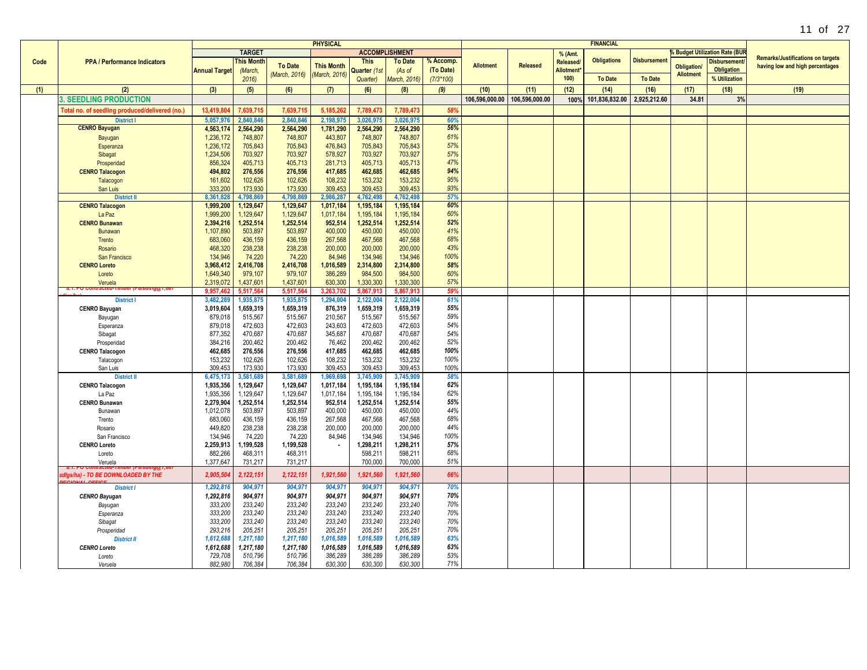|      |                                                |                        |                      |                      | <b>PHYSICAL</b>    |                       |                |             |                  |                 |                  | <b>FINANCIAL</b>   |                    |                    |                                     |                                          |
|------|------------------------------------------------|------------------------|----------------------|----------------------|--------------------|-----------------------|----------------|-------------|------------------|-----------------|------------------|--------------------|--------------------|--------------------|-------------------------------------|------------------------------------------|
|      |                                                |                        | <b>TARGET</b>        |                      |                    | <b>ACCOMPLISHMENT</b> |                |             |                  |                 | % (Amt.          |                    |                    |                    | <b>Budget Utilization Rate (BUR</b> |                                          |
| Code | <b>PPA / Performance Indicators</b>            |                        | <b>his Month</b>     |                      |                    | <b>This</b>           | <b>To Date</b> | % Accomp.   |                  |                 | <b>Released</b>  | <b>Obligations</b> | <b>Disbursemen</b> |                    | <b>Disbursement</b>                 | <b>Remarks/Justifications on targets</b> |
|      |                                                | <b>Annual Target</b>   | (March,              | <b>To Date</b>       | <b>This Month</b>  | Quarter (1st          | (As of         | (To Date)   | <b>Allotment</b> | <b>Released</b> | <b>Allotment</b> |                    |                    | <b>Obligation/</b> | <b>Obligation</b>                   | having low and high percentages          |
|      |                                                |                        | 2016                 | (March, 2016)        | (March, 2016)      | Quarter)              | March, 2016)   | $(7/3*100)$ |                  |                 | 100)             | <b>To Date</b>     | <b>To Date</b>     | <b>Allotment</b>   | % Utilization                       |                                          |
|      |                                                |                        |                      |                      |                    |                       |                |             |                  |                 |                  |                    |                    |                    |                                     |                                          |
| (1)  | (2)                                            | (3)                    | (5)                  | (6)                  | (7)                | (6)                   | (8)            | (9)         | (10)             | (11)            | (12)             | (14)               | (16)               | (17)               | (18)                                | (19)                                     |
|      | <b>3. SEEDLING PRODUCTION</b>                  |                        |                      |                      |                    |                       |                |             | 106,596,000.00   | 106,596,000.00  | 100%             | 101,836,832.00     | 2,925,212.60       | 34.81              | 3%                                  |                                          |
|      | Total no. of seedling produced/delivered (no.) | 13.419.80              | 7,639,71             | 7,639,71             | 5,185,26           | 7,789,47              | 7,789,473      | 58%         |                  |                 |                  |                    |                    |                    |                                     |                                          |
|      | <b>District I</b>                              | 5,057,976              | 2.840.846            | 2.840.846            | 2,198,975          | 3,026,975             | 3,026,975      | 60%         |                  |                 |                  |                    |                    |                    |                                     |                                          |
|      | <b>CENRO Bayugan</b>                           | 4,563,174              | 2,564,290            | 2,564,290            | 1,781,290          | 2,564,290             | 2,564,290      | 56%         |                  |                 |                  |                    |                    |                    |                                     |                                          |
|      |                                                |                        |                      |                      |                    |                       |                | 61%         |                  |                 |                  |                    |                    |                    |                                     |                                          |
|      | Bayugan                                        | 1,236,172              | 748,807              | 748,807              | 443,807            | 748,807               | 748,807        | 57%         |                  |                 |                  |                    |                    |                    |                                     |                                          |
|      | Esperanza                                      | 1,236,172              | 705,843              | 705,843              | 476,843            | 705,843               | 705,843        |             |                  |                 |                  |                    |                    |                    |                                     |                                          |
|      | Sibagat                                        | 1,234,506              | 703,927              | 703,927              | 578,927            | 703,927               | 703,927        | 57%         |                  |                 |                  |                    |                    |                    |                                     |                                          |
|      | Prosperidad                                    | 856,324                | 405,713              | 405,713              | 281,713            | 405,713               | 405,713        | 47%         |                  |                 |                  |                    |                    |                    |                                     |                                          |
|      | <b>CENRO Talacogon</b>                         | 494,802                | 276,556              | 276,556              | 417,685            | 462,685               | 462,685        | 94%         |                  |                 |                  |                    |                    |                    |                                     |                                          |
|      | Talacogon                                      | 161,602                | 102,626              | 102,626              | 108,232            | 153,232               | 153,232        | 95%         |                  |                 |                  |                    |                    |                    |                                     |                                          |
|      | San Luis                                       | 333,200                | 173,930              | 173,930              | 309,453            | 309,453               | 309.453        | 93%         |                  |                 |                  |                    |                    |                    |                                     |                                          |
|      | <b>District II</b>                             | 8.361.828              | 4.798.869            | 4.798.869            | 2,986,287          | 4,762,498             | 4.762.498      | 57%         |                  |                 |                  |                    |                    |                    |                                     |                                          |
|      | <b>CENRO Talacogon</b>                         | 1,999,200              | 1,129,647            | 1,129,647            | 1,017,184          | 1,195,184             | 1,195,184      | 60%         |                  |                 |                  |                    |                    |                    |                                     |                                          |
|      | La Paz                                         | 1,999,200              | 1,129,647            | 1,129,647            | 1,017,184          | 1,195,184             | 1,195,184      | 60%         |                  |                 |                  |                    |                    |                    |                                     |                                          |
|      | <b>CENRO Bunawan</b>                           | 2,394,216              | 1,252,514            | 1,252,514            | 952,514            | 1,252,514             | 1,252,514      | 52%         |                  |                 |                  |                    |                    |                    |                                     |                                          |
|      | Bunawan                                        | 1,107,890              | 503,897              | 503,897              | 400,000            | 450,000               | 450,000        | 41%         |                  |                 |                  |                    |                    |                    |                                     |                                          |
|      | Trento                                         | 683,060                | 436,159              | 436,159              | 267,568            | 467,568               | 467,568        | 68%         |                  |                 |                  |                    |                    |                    |                                     |                                          |
|      | Rosario                                        | 468,320                | 238,238              | 238,238              | 200,000            | 200,000               | 200,000        | 43%         |                  |                 |                  |                    |                    |                    |                                     |                                          |
|      | San Francisco                                  | 134,946                | 74,220               | 74,220               | 84,946             | 134,946               | 134.946        | 100%        |                  |                 |                  |                    |                    |                    |                                     |                                          |
|      | <b>CENRO Loreto</b>                            | 3,968,412              | 2,416,708            | 2,416,708            | 1,016,589          | 2,314,800             | 2,314,800      | 58%         |                  |                 |                  |                    |                    |                    |                                     |                                          |
|      | Loreto                                         | 1,649,340              | 979,107              | 979,107              | 386,289            | 984,500               | 984,500        | 60%         |                  |                 |                  |                    |                    |                    |                                     |                                          |
|      | Veruela                                        | 2,319,072              | 1,437,601            | 1,437,601            | 630,300            | 1,330,300             | 1,330,300      | 57%         |                  |                 |                  |                    |                    |                    |                                     |                                          |
|      |                                                | 9.957.462              | 5.517.564            | 5,517,564            | 3,263,702          | 5.867.91              | 5.867.913      | 59%         |                  |                 |                  |                    |                    |                    |                                     |                                          |
|      | <b>District I</b>                              | 3,482,28               | 1,935,875            | 1,935,875            | 1,294,004          | 2,122,004             | 2,122,004      | 61%         |                  |                 |                  |                    |                    |                    |                                     |                                          |
|      | <b>CENRO Bayugan</b>                           | 3,019,604              | 1,659,319            | 1,659,319            | 876,319            | 1,659,319             | 1,659,319      | 55%         |                  |                 |                  |                    |                    |                    |                                     |                                          |
|      | Bayugan                                        | 879,018                | 515,567              | 515,567              | 210,567            | 515,567               | 515,567        | 59%         |                  |                 |                  |                    |                    |                    |                                     |                                          |
|      | Esperanza                                      | 879,018                | 472,603              | 472.603              | 243,603            | 472,603               | 472.603        | 54%         |                  |                 |                  |                    |                    |                    |                                     |                                          |
|      | Sibagat                                        | 877,352                | 470,687              | 470,687              | 345,687            | 470,687               | 470,687        | 54%         |                  |                 |                  |                    |                    |                    |                                     |                                          |
|      | Prosperidad                                    | 384,216                | 200,462              | 200,462              | 76,462             | 200,462               | 200,462        | 52%         |                  |                 |                  |                    |                    |                    |                                     |                                          |
|      | <b>CENRO Talacogon</b>                         | 462,685                | 276,556              | 276,556              | 417,685            | 462,685               | 462,685        | 100%        |                  |                 |                  |                    |                    |                    |                                     |                                          |
|      | Talacogon                                      | 153,232                | 102,626              | 102,626              | 108,232            | 153,232               | 153,232        | 100%        |                  |                 |                  |                    |                    |                    |                                     |                                          |
|      | San Luis                                       | 309.453                | 173,930              | 173,930              | 309,453            | 309,453               | 309.453        | 100%        |                  |                 |                  |                    |                    |                    |                                     |                                          |
|      | <b>District II</b>                             | 6,475,173              | 3,581,689            | 3.581.689            | 1,969,698          | 3,745,909             | 3,745,909      | 58%         |                  |                 |                  |                    |                    |                    |                                     |                                          |
|      | <b>CENRO Talacogon</b>                         | 1,935,356              | 1,129,647            | 1,129,647            | 1,017,184          | 1,195,184             | 1,195,184      | 62%         |                  |                 |                  |                    |                    |                    |                                     |                                          |
|      |                                                | 1,935,356              | 1,129,647            | 1,129,647            |                    | 1,195,184             | 1,195,184      | 62%         |                  |                 |                  |                    |                    |                    |                                     |                                          |
|      | La Paz                                         |                        |                      |                      | 1,017,184          |                       | 1,252,514      | 55%         |                  |                 |                  |                    |                    |                    |                                     |                                          |
|      | <b>CENRO Bunawan</b><br>Bunawan                | 2,279,904<br>1,012,078 | 1,252,514<br>503,897 | 1,252,514<br>503,897 | 952,514<br>400,000 | 1,252,514<br>450,000  | 450,000        | 44%         |                  |                 |                  |                    |                    |                    |                                     |                                          |
|      |                                                |                        | 436,159              | 436,159              | 267,568            |                       | 467,568        | 68%         |                  |                 |                  |                    |                    |                    |                                     |                                          |
|      | Trento                                         | 683,060                |                      |                      |                    | 467,568               |                |             |                  |                 |                  |                    |                    |                    |                                     |                                          |
|      | Rosario                                        | 449,820                | 238,238              | 238,238              | 200,000            | 200,000               | 200,000        | 44%<br>100% |                  |                 |                  |                    |                    |                    |                                     |                                          |
|      | San Francisco                                  | 134,946                | 74,220               | 74,220               | 84,946             | 134,946               | 134,946        |             |                  |                 |                  |                    |                    |                    |                                     |                                          |
|      | <b>CENRO Loreto</b>                            | 2,259,913              | 1,199,528            | 1,199,528            | $\blacksquare$     | 1,298,211             | 1,298,211      | 57%         |                  |                 |                  |                    |                    |                    |                                     |                                          |
|      | Loreto                                         | 882.266                | 468.311              | 468.311              |                    | 598,211               | 598.211        | 68%         |                  |                 |                  |                    |                    |                    |                                     |                                          |
|      | Veruela                                        | 1,377,647              | 731,217              | 731,217              |                    | 700,000               | 700,000        | 51%         |                  |                 |                  |                    |                    |                    |                                     |                                          |
|      | digs/ha) - TO BE DOWNLOADED BY THE             | 2,905,504              | 2,122,151            | 2,122,151            | 1,921,560          | 1,921,560             | 1,921,560      | 66%         |                  |                 |                  |                    |                    |                    |                                     |                                          |
|      | <b>District I</b>                              | 1,292,816              | 904,971              | 904,971              | 904,971            | 904,971               | 904,971        | 70%         |                  |                 |                  |                    |                    |                    |                                     |                                          |
|      | <b>CENRO Bayugan</b>                           | 1,292,816              | 904.971              | 904.971              | 904,971            | 904,971               | 904.971        | 70%         |                  |                 |                  |                    |                    |                    |                                     |                                          |
|      | Bayugan                                        | 333,200                | 233,240              | 233,240              | 233,240            | 233,240               | 233,240        | 70%         |                  |                 |                  |                    |                    |                    |                                     |                                          |
|      | Esperanza                                      | 333,200                | 233,240              | 233,240              | 233,240            | 233,240               | 233,240        | 70%         |                  |                 |                  |                    |                    |                    |                                     |                                          |
|      | Sibagat                                        | 333,200                | 233,240              | 233,240              | 233,240            | 233,240               | 233,240        | 70%         |                  |                 |                  |                    |                    |                    |                                     |                                          |
|      | Prosperidad                                    | 293,216                | 205,251              | 205,251              | 205,251            | 205,251               | 205,251        | 70%         |                  |                 |                  |                    |                    |                    |                                     |                                          |
|      | <b>District II</b>                             | 1,612,688              | 1,217,180            | 1,217,180            | 1,016,589          | 1,016,589             | 1,016,589      | 63%         |                  |                 |                  |                    |                    |                    |                                     |                                          |
|      | <b>CENRO Loreto</b>                            | 1,612,688              | 1,217,180            | 1,217,180            | 1,016,589          | 1,016,589             | 1,016,589      | 63%         |                  |                 |                  |                    |                    |                    |                                     |                                          |
|      | Loreto                                         | 729,708                | 510,796              | 510,796              | 386,289            | 386,289               | 386,289        | 53%         |                  |                 |                  |                    |                    |                    |                                     |                                          |
|      | Veruela                                        | 882.980                | 706.384              | 706.384              | 630.300            | 630.300               | 630.300        | 71%         |                  |                 |                  |                    |                    |                    |                                     |                                          |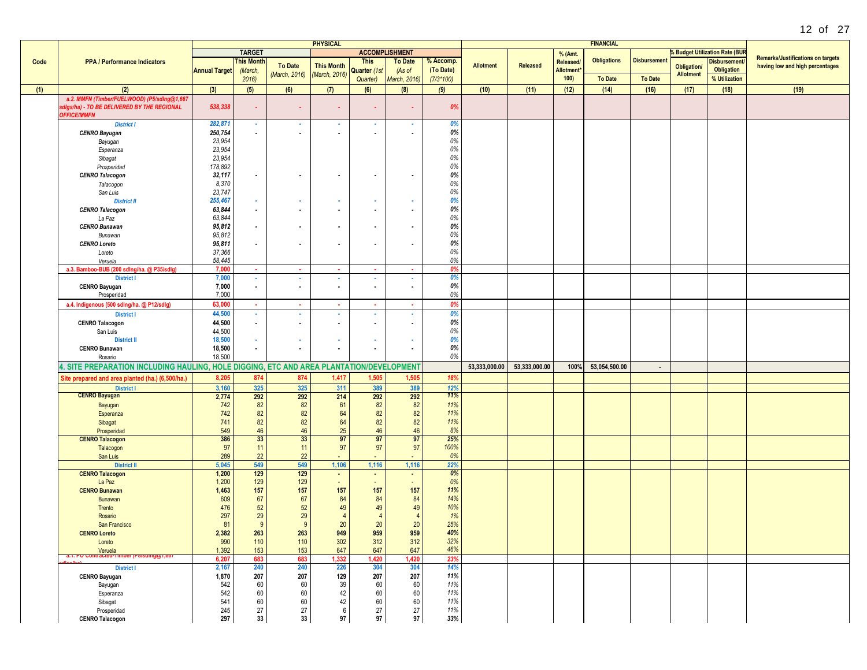|      |                                                                                          |                      |                          |                          | <b>PHYSICAL</b>          |                          |                       |             |                  |               |                        | <b>FINANCIAL</b>   |                     |                    |                                       |                                          |
|------|------------------------------------------------------------------------------------------|----------------------|--------------------------|--------------------------|--------------------------|--------------------------|-----------------------|-------------|------------------|---------------|------------------------|--------------------|---------------------|--------------------|---------------------------------------|------------------------------------------|
|      |                                                                                          |                      | <b>TARGET</b>            |                          |                          |                          | <b>ACCOMPLISHMENT</b> |             |                  |               | % (Amt.                |                    |                     |                    | <b>6 Budget Utilization Rate (BUR</b> |                                          |
| Code | <b>PPA / Performance Indicators</b>                                                      |                      | <b>This Month</b>        |                          |                          | <b>This</b>              | <b>To Date</b>        | % Accomp.   |                  |               | Released/              | <b>Obligations</b> | <b>Disbursement</b> |                    | Disbursement/                         | <b>Remarks/Justifications on targets</b> |
|      |                                                                                          | <b>Annual Target</b> | (March,                  | <b>To Date</b>           | <b>This Month</b>        | Quarter (1st             | (As of                | (To Date)   | <b>Allotment</b> | Released      | Allotment <sup>*</sup> |                    |                     | <b>Obligation/</b> | <b>Obligation</b>                     | having low and high percentages          |
|      |                                                                                          |                      |                          | (March, 2016)            | (March, 2016)            |                          |                       |             |                  |               | 100                    | <b>To Date</b>     | <b>To Date</b>      | <b>Allotment</b>   |                                       |                                          |
|      |                                                                                          |                      | 2016                     |                          |                          | Quarter)                 | March, 2016)          | $(7/3*100)$ |                  |               |                        |                    |                     |                    | % Utilization                         |                                          |
| (1)  | (2)                                                                                      | (3)                  | (5)                      | (6)                      | (7)                      | (6)                      | (8)                   | (9)         | (10)             | (11)          | (12)                   | (14)               | (16)                | (17)               | (18)                                  | (19)                                     |
|      | a.2. MMFN (Timber/FUELWOOD) (P5/sdlng@1,667                                              |                      |                          |                          |                          |                          |                       |             |                  |               |                        |                    |                     |                    |                                       |                                          |
|      | sdigs/ha) - TO BE DELIVERED BY THE REGIONAL                                              | 538,338              | $\sim$                   | $\sim$                   |                          |                          |                       | 0%          |                  |               |                        |                    |                     |                    |                                       |                                          |
|      | <b>OFFICE/MMFN</b>                                                                       |                      |                          |                          |                          |                          |                       |             |                  |               |                        |                    |                     |                    |                                       |                                          |
|      | <b>District I</b>                                                                        | 282,871              |                          | $\sim$                   |                          | $\sim$                   | $\sim$                | 0%          |                  |               |                        |                    |                     |                    |                                       |                                          |
|      |                                                                                          |                      | $\sim$                   |                          | 18                       |                          |                       | 0%          |                  |               |                        |                    |                     |                    |                                       |                                          |
|      | <b>CENRO Bayugan</b>                                                                     | 250,754              | $\sim$                   | ۰.                       | $\sim$                   | ٠                        |                       |             |                  |               |                        |                    |                     |                    |                                       |                                          |
|      | Bayugan                                                                                  | 23,954               |                          |                          |                          |                          |                       | 0%          |                  |               |                        |                    |                     |                    |                                       |                                          |
|      | Esperanza                                                                                | 23,954               |                          |                          |                          |                          |                       | 0%          |                  |               |                        |                    |                     |                    |                                       |                                          |
|      | Sibagat                                                                                  | 23,954               |                          |                          |                          |                          |                       | 0%          |                  |               |                        |                    |                     |                    |                                       |                                          |
|      | Prosperidad                                                                              | 178,892              |                          |                          |                          |                          |                       | 0%          |                  |               |                        |                    |                     |                    |                                       |                                          |
|      | <b>CENRO Talacogon</b>                                                                   | 32,117               | $\sim$                   | $\overline{\phantom{a}}$ | $\sim$                   | $\overline{\phantom{a}}$ |                       | 0%          |                  |               |                        |                    |                     |                    |                                       |                                          |
|      | Talacogon                                                                                | 8,370                |                          |                          |                          |                          |                       | 0%          |                  |               |                        |                    |                     |                    |                                       |                                          |
|      | San Luis                                                                                 | 23,747               |                          |                          |                          |                          |                       | 0%          |                  |               |                        |                    |                     |                    |                                       |                                          |
|      | <b>District II</b>                                                                       | 255,467              | $\sim$                   | $\sim$                   | $\sim$                   |                          |                       | 0%          |                  |               |                        |                    |                     |                    |                                       |                                          |
|      |                                                                                          |                      | $\overline{\phantom{a}}$ | $\overline{\phantom{a}}$ | $\blacksquare$           | $\overline{\phantom{a}}$ |                       | 0%          |                  |               |                        |                    |                     |                    |                                       |                                          |
|      | <b>CENRO Talacogon</b>                                                                   | 63,844               |                          |                          |                          |                          |                       |             |                  |               |                        |                    |                     |                    |                                       |                                          |
|      | La Paz                                                                                   | 63,844               |                          |                          |                          |                          |                       | 0%          |                  |               |                        |                    |                     |                    |                                       |                                          |
|      | <b>CENRO Bunawan</b>                                                                     | 95,812               | $\overline{\phantom{a}}$ | $\overline{\phantom{a}}$ | $\sim$                   | $\overline{\phantom{a}}$ |                       | 0%          |                  |               |                        |                    |                     |                    |                                       |                                          |
|      | Bunawan                                                                                  | 95,812               |                          |                          |                          |                          |                       | 0%          |                  |               |                        |                    |                     |                    |                                       |                                          |
|      | <b>CENRO Loreto</b>                                                                      | 95,811               | $\overline{\phantom{a}}$ | $\overline{\phantom{a}}$ | $\overline{\phantom{a}}$ |                          |                       | 0%          |                  |               |                        |                    |                     |                    |                                       |                                          |
|      | Loreto                                                                                   | 37,366               |                          |                          |                          |                          |                       | 0%          |                  |               |                        |                    |                     |                    |                                       |                                          |
|      | Veruela                                                                                  | 58,445               |                          |                          |                          |                          |                       | 0%          |                  |               |                        |                    |                     |                    |                                       |                                          |
|      | a.3. Bamboo-BUB (200 sdlng/ha. @ P35/sdlg)                                               | 7,000                | ×.                       | х.                       | $\sim$                   | х.                       | ×                     | 0%          |                  |               |                        |                    |                     |                    |                                       |                                          |
|      | <b>District I</b>                                                                        | 7,000                |                          |                          | ×                        |                          |                       | 0%          |                  |               |                        |                    |                     |                    |                                       |                                          |
|      | <b>CENRO Bayugan</b>                                                                     | 7,000                | $\sim$                   | $\sim$                   | $\sim$                   | ٠                        |                       | 0%          |                  |               |                        |                    |                     |                    |                                       |                                          |
|      | Prosperidad                                                                              | 7,000                |                          |                          |                          |                          |                       | 0%          |                  |               |                        |                    |                     |                    |                                       |                                          |
|      |                                                                                          |                      |                          |                          |                          |                          |                       |             |                  |               |                        |                    |                     |                    |                                       |                                          |
|      | a.4. Indigenous (500 sdlng/ha. @ P12/sdlg)                                               | 63.000               | ×.                       | ×                        | ×.                       |                          | ×                     | 0%          |                  |               |                        |                    |                     |                    |                                       |                                          |
|      | <b>District I</b>                                                                        | 44,500               | $\sim$                   | ٠                        | $\sim$                   | ×.                       | $\sim$                | 0%          |                  |               |                        |                    |                     |                    |                                       |                                          |
|      | <b>CENRO Talacogon</b>                                                                   | 44,500               | $\sim$                   | $\sim$                   | $\sim$                   |                          | ٠                     | 0%          |                  |               |                        |                    |                     |                    |                                       |                                          |
|      | San Luis                                                                                 | 44,500               |                          |                          |                          |                          |                       | 0%          |                  |               |                        |                    |                     |                    |                                       |                                          |
|      | <b>District II</b>                                                                       | 18,500               | ×.                       | . .                      | ж.                       | ×.                       |                       | 0%          |                  |               |                        |                    |                     |                    |                                       |                                          |
|      | <b>CENRO Bunawan</b>                                                                     | 18,500               | $\sim$                   | $\blacksquare$           | $\sim$                   | $\sim$                   |                       | 0%          |                  |               |                        |                    |                     |                    |                                       |                                          |
|      | Rosario                                                                                  | 18,500               |                          |                          |                          |                          |                       | 0%          |                  |               |                        |                    |                     |                    |                                       |                                          |
|      |                                                                                          |                      |                          |                          |                          |                          |                       |             | 53,333,000.00    | 53,333,000.00 |                        | 53,054,500.00      |                     |                    |                                       |                                          |
|      | 4. SITE PREPARATION INCLUDING HAULING, HOLE DIGGING, ETC AND AREA PLANTATION/DEVELOPMENT |                      |                          |                          |                          |                          |                       |             |                  |               | 100%                   |                    | $\sim$              |                    |                                       |                                          |
|      | Site prepared and area planted (ha.) (6,500/ha.)                                         | 8,205                | 874                      | 874                      | 1,417                    | 1,505                    | 1,505                 | 18%         |                  |               |                        |                    |                     |                    |                                       |                                          |
|      | <b>District I</b>                                                                        | 3,160                | 325                      | 325                      | 311                      | 389                      | 389                   | 12%         |                  |               |                        |                    |                     |                    |                                       |                                          |
|      | <b>CENRO Bayugan</b>                                                                     | 2,774                | 292                      | 292                      | 214                      | 292                      | 292                   | 11%         |                  |               |                        |                    |                     |                    |                                       |                                          |
|      | Bayugan                                                                                  | 742                  | 82                       | 82                       | 61                       | 82                       | 82                    | 11%         |                  |               |                        |                    |                     |                    |                                       |                                          |
|      | Esperanza                                                                                | 742                  | 82                       | 82                       | 64                       | 82                       | 82                    | 11%         |                  |               |                        |                    |                     |                    |                                       |                                          |
|      | Sibagat                                                                                  | 741                  | 82                       | 82                       | 64                       | 82                       | 82                    | 11%         |                  |               |                        |                    |                     |                    |                                       |                                          |
|      | Prosperidad                                                                              | 549                  | 46                       | 46                       | 25                       | 46                       | 46                    | 8%          |                  |               |                        |                    |                     |                    |                                       |                                          |
|      |                                                                                          | 386                  | 33                       | 33                       | 97                       | 97                       | 97                    | 25%         |                  |               |                        |                    |                     |                    |                                       |                                          |
|      | <b>CENRO Talacogon</b>                                                                   |                      |                          |                          |                          |                          |                       |             |                  |               |                        |                    |                     |                    |                                       |                                          |
|      | Talacogon                                                                                | 97                   | 11                       | 11                       | 97                       | 97                       | 97                    | 100%        |                  |               |                        |                    |                     |                    |                                       |                                          |
|      | San Luis                                                                                 | 289                  | 22                       | 22                       |                          |                          |                       | 0%          |                  |               |                        |                    |                     |                    |                                       |                                          |
|      | <b>District II</b>                                                                       | 5,045                | 549                      | 549                      | 1,106                    | 1,116                    | 1,116                 | 22%         |                  |               |                        |                    |                     |                    |                                       |                                          |
|      | <b>CENRO Talacogon</b>                                                                   | 1,200                | 129                      | 129                      | $\sim$                   |                          | $\blacksquare$        | 0%          |                  |               |                        |                    |                     |                    |                                       |                                          |
|      | La Paz                                                                                   | 1,200                | 129                      | 129                      | $\sim$                   |                          | $\sim$                | 0%          |                  |               |                        |                    |                     |                    |                                       |                                          |
|      | <b>CENRO Bunawan</b>                                                                     | 1,463                | 157                      | 157                      | 157                      | 157                      | 157                   | 11%         |                  |               |                        |                    |                     |                    |                                       |                                          |
|      | Bunawan                                                                                  | 609                  | 67                       | 67                       | 84                       | 84                       | 84                    | 14%         |                  |               |                        |                    |                     |                    |                                       |                                          |
|      | Trento                                                                                   | 476                  | 52                       | 52                       | 49                       | 49                       | 49                    | 10%         |                  |               |                        |                    |                     |                    |                                       |                                          |
|      | Rosario                                                                                  | 297                  | 29                       | 29                       | $\overline{4}$           | $\overline{4}$           | $\overline{4}$        | 1%          |                  |               |                        |                    |                     |                    |                                       |                                          |
|      | San Francisco                                                                            | 81                   | 9                        | 9                        | 20                       | 20                       | 20                    | 25%         |                  |               |                        |                    |                     |                    |                                       |                                          |
|      | <b>CENRO Loreto</b>                                                                      | 2,382                | 263                      | 263                      | 949                      | 959                      | 959                   | 40%         |                  |               |                        |                    |                     |                    |                                       |                                          |
|      | Loreto                                                                                   | 990                  | 110                      | 110                      | 302                      | 312                      | 312                   | 32%         |                  |               |                        |                    |                     |                    |                                       |                                          |
|      | Veruela                                                                                  | 1,392                | 153                      | 153                      | 647                      | 647                      | 647                   | 46%         |                  |               |                        |                    |                     |                    |                                       |                                          |
|      | ni acteu-                                                                                |                      |                          |                          |                          |                          |                       |             |                  |               |                        |                    |                     |                    |                                       |                                          |
|      |                                                                                          | 6,207                | 683                      | 683                      | 1,332                    | 1,420                    | 1,420                 | 23%         |                  |               |                        |                    |                     |                    |                                       |                                          |
|      | <b>District I</b>                                                                        | 2,167                | 240                      | 240                      | 226                      | 304                      | 304                   | 14%         |                  |               |                        |                    |                     |                    |                                       |                                          |
|      | <b>CENRO Bayugan</b>                                                                     | 1,870                | 207                      | 207                      | 129                      | 207                      | 207                   | 11%         |                  |               |                        |                    |                     |                    |                                       |                                          |
|      | Bayugan                                                                                  | 542                  | 60                       | 60                       | 39                       | 60                       | 60                    | 11%         |                  |               |                        |                    |                     |                    |                                       |                                          |
|      | Esperanza                                                                                | 542                  | 60                       | 60                       | 42                       | 60                       | 60                    | 11%         |                  |               |                        |                    |                     |                    |                                       |                                          |
|      | Sibagat                                                                                  | 541                  | 60                       | 60                       | 42                       | 60                       | 60                    | 11%         |                  |               |                        |                    |                     |                    |                                       |                                          |
|      | Prosperidad                                                                              | 245                  | 27                       | 27                       | 6                        | 27                       | 27                    | 11%         |                  |               |                        |                    |                     |                    |                                       |                                          |
|      | <b>CENRO Talacogon</b>                                                                   | 297                  | 33                       | 33                       | 97                       | 97                       | 97                    | 33%         |                  |               |                        |                    |                     |                    |                                       |                                          |
|      |                                                                                          |                      |                          |                          |                          |                          |                       |             |                  |               |                        |                    |                     |                    |                                       |                                          |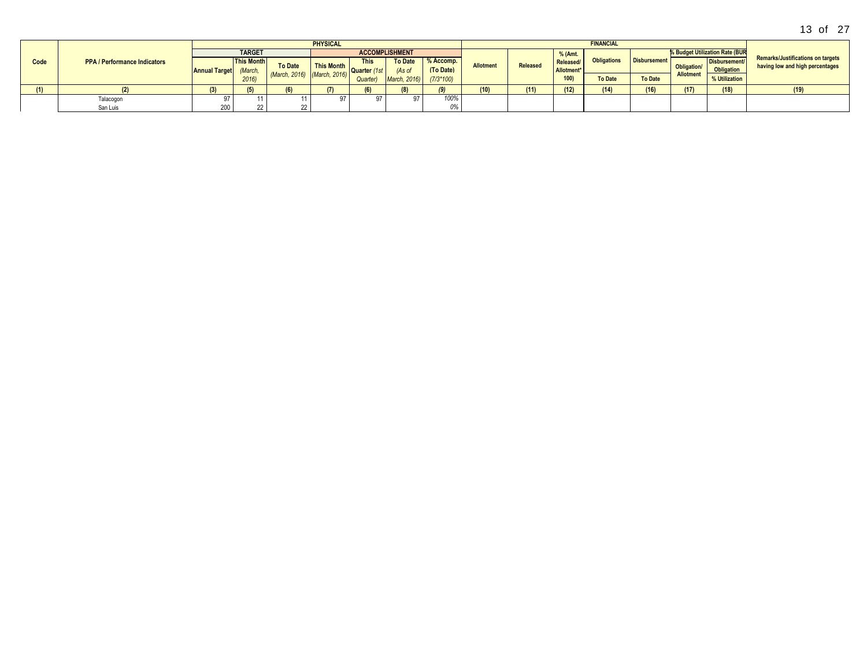|      |                                     |                              |                   |                             | <b>PHYSICAL</b> |             |                       |             |                  |          |            | <b>FINANCIAL</b>   |                     |                    |                                |                                                                             |
|------|-------------------------------------|------------------------------|-------------------|-----------------------------|-----------------|-------------|-----------------------|-------------|------------------|----------|------------|--------------------|---------------------|--------------------|--------------------------------|-----------------------------------------------------------------------------|
|      |                                     |                              | <b>TARGET</b>     |                             |                 |             | <b>ACCOMPLISHMENT</b> |             |                  |          | % (Amt.    |                    |                     |                    | % Budget Utilization Rate (BUR |                                                                             |
| Code | <b>PPA / Performance Indicators</b> |                              | <b>This Month</b> | <b>To Date</b>              | This Month      | <b>This</b> | <b>To Date</b>        | % Accomp.   | <b>Allotment</b> | Released | Released/  | <b>Obligations</b> | <b>Disbursement</b> | <b>Obligation/</b> | <b>Disbursement</b>            | <b>Remarks/Justifications on targets</b><br>having low and high percentages |
|      |                                     | <b>Annual Target</b> (March, |                   |                             |                 | Quarter     | (As of                | (To Date)   |                  |          | Allotment* |                    |                     |                    | <b>Obligation</b>              |                                                                             |
|      |                                     |                              | 2016              | (March, 2016) (March, 2016) |                 | Quarter     | n. 2016<br>March.     | $(7/3*100)$ |                  |          | 100)       | <b>To Date</b>     | <b>To Date</b>      | Allotment          | % Utilization                  |                                                                             |
|      |                                     |                              |                   | (6)                         | (7)             | (6)         |                       |             | <b>10)</b>       | (11)     | (12)       | (14)               | (16)                | (17)               | (18)                           | (19)                                                                        |
|      | Talacogon                           |                              |                   |                             |                 |             |                       | 100%        |                  |          |            |                    |                     |                    |                                |                                                                             |
|      | San Luis                            | 200                          |                   |                             |                 |             |                       | 0%          |                  |          |            |                    |                     |                    |                                |                                                                             |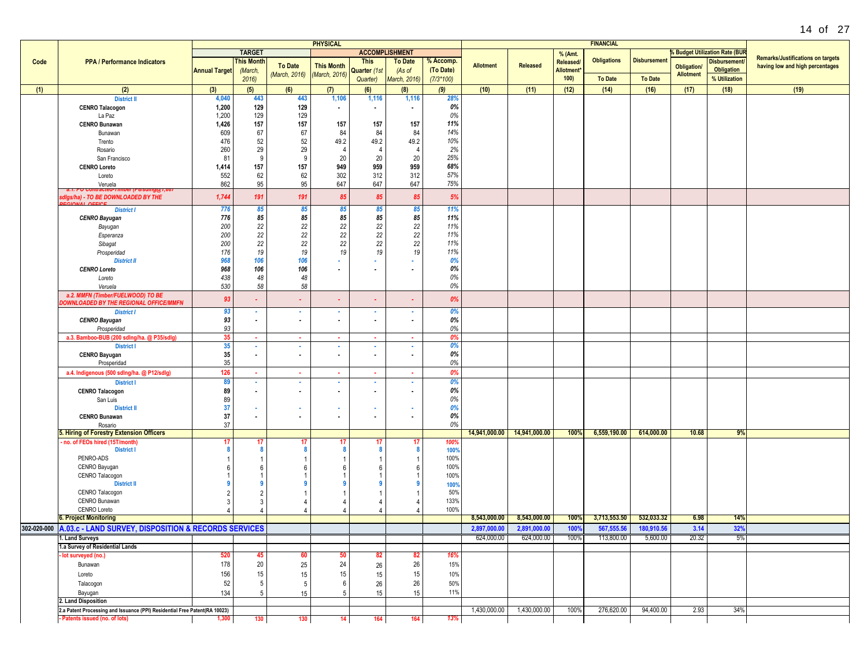|      |                                                                            |                      |                          |                          | <b>PHYSICAL</b>          |                |                          |             |                  |                             |                 | <b>FINANCIAL</b>   |                     |                    |                                           |                                          |
|------|----------------------------------------------------------------------------|----------------------|--------------------------|--------------------------|--------------------------|----------------|--------------------------|-------------|------------------|-----------------------------|-----------------|--------------------|---------------------|--------------------|-------------------------------------------|------------------------------------------|
|      |                                                                            |                      | <b>TARGET</b>            |                          |                          |                | <b>ACCOMPLISHMENT</b>    |             |                  |                             | % (Amt.         |                    |                     |                    | <b>&amp; Budget Utilization Rate (BUR</b> |                                          |
| Code | <b>PPA / Performance Indicators</b>                                        |                      | <b>This Month</b>        |                          |                          | <b>This</b>    | <b>To Date</b>           | % Accomp.   |                  |                             | <b>Released</b> | <b>Obligations</b> | <b>Disbursement</b> |                    | <b>Disbursement</b>                       | <b>Remarks/Justifications on targets</b> |
|      |                                                                            | <b>Annual Target</b> | (March,                  | <b>To Date</b>           | <b>This Month</b>        | Quarter (1st   | (As of                   | (To Date)   | <b>Allotment</b> | Released                    | Allotment       |                    |                     | <b>Obligation/</b> | <b>Obligation</b>                         | having low and high percentages          |
|      |                                                                            |                      | 2016                     | (March, 2016)            | (March, 2016)            | Quarter)       | March, 2016)             | $(7/3*100)$ |                  |                             | 100)            | <b>To Date</b>     | <b>To Date</b>      | <b>Allotment</b>   | % Utilization                             |                                          |
|      |                                                                            |                      |                          |                          |                          |                |                          |             |                  |                             |                 |                    |                     |                    |                                           |                                          |
| (1)  | (2)                                                                        | (3)                  | (5)                      | (6)                      | (7)                      | (6)            | (8)                      | (9)         | (10)             | (11)                        | (12)            | (14)               | (16)                | (17)               | (18)                                      | (19)                                     |
|      | <b>District II</b>                                                         | 4,040                | 443                      | 443                      | 1,106                    | 1,116          | 1,116                    | 28%         |                  |                             |                 |                    |                     |                    |                                           |                                          |
|      | <b>CENRO Talacogon</b>                                                     | 1,200                | 129                      | 129                      | $\sim$                   |                | $\blacksquare$           | 0%          |                  |                             |                 |                    |                     |                    |                                           |                                          |
|      | La Paz                                                                     | 1,200                | 129                      | 129                      |                          |                |                          | 0%          |                  |                             |                 |                    |                     |                    |                                           |                                          |
|      | <b>CENRO Bunawan</b>                                                       | 1,426                | 157                      | 157                      | 157                      | 157            | 157                      | 11%         |                  |                             |                 |                    |                     |                    |                                           |                                          |
|      | Bunawan                                                                    | 609                  | 67                       | 67                       | 84                       | 84             | 84                       | 14%         |                  |                             |                 |                    |                     |                    |                                           |                                          |
|      | Trento                                                                     | 476                  | 52                       | 52                       | 49.2                     | 49.2           | 49.2                     | 10%         |                  |                             |                 |                    |                     |                    |                                           |                                          |
|      | Rosario                                                                    | 260                  | 29                       | 29                       |                          | $\overline{4}$ | $\overline{4}$           | 2%          |                  |                             |                 |                    |                     |                    |                                           |                                          |
|      | San Francisco                                                              | 81                   | 9                        | 9                        | 20                       | 20             | 20                       | 25%         |                  |                             |                 |                    |                     |                    |                                           |                                          |
|      | <b>CENRO Loreto</b>                                                        | 1,414                | 157                      | 157                      | 949                      | 959            | 959                      | 68%         |                  |                             |                 |                    |                     |                    |                                           |                                          |
|      | Loreto                                                                     | 552                  | 62                       | 62                       | 302                      | 312            | 312                      | 57%         |                  |                             |                 |                    |                     |                    |                                           |                                          |
|      | Veruela                                                                    | 862                  | 95                       | 95                       | 647                      | 647            | 647                      | 75%         |                  |                             |                 |                    |                     |                    |                                           |                                          |
|      |                                                                            |                      |                          |                          |                          |                |                          |             |                  |                             |                 |                    |                     |                    |                                           |                                          |
|      | sdigs/ha) - TO BE DOWNLOADED BY THE                                        | 1,744                | 191                      | 191                      | 85                       | 85             | 85                       | 5%          |                  |                             |                 |                    |                     |                    |                                           |                                          |
|      |                                                                            | 776                  | 85                       | 85                       | 85                       | 85             | 85                       | 11%         |                  |                             |                 |                    |                     |                    |                                           |                                          |
|      | <b>District I</b>                                                          |                      |                          |                          |                          |                |                          |             |                  |                             |                 |                    |                     |                    |                                           |                                          |
|      | <b>CENRO Bayugan</b>                                                       | 776                  | 85                       | 85                       | 85                       | 85             | 85                       | 11%         |                  |                             |                 |                    |                     |                    |                                           |                                          |
|      | Bayugan                                                                    | 200                  | 22                       | 22                       | 22                       | 22             | 22                       | 11%         |                  |                             |                 |                    |                     |                    |                                           |                                          |
|      | Esperanza                                                                  | 200                  | 22                       | 22                       | 22                       | 22             | 22                       | 11%         |                  |                             |                 |                    |                     |                    |                                           |                                          |
|      | Sibagat                                                                    | 200                  | 22                       | 22                       | 22                       | 22             | 22                       | 11%         |                  |                             |                 |                    |                     |                    |                                           |                                          |
|      | Prosperidad                                                                | 176                  | 19                       | 19                       | 19                       | 19             | 19                       | 11%         |                  |                             |                 |                    |                     |                    |                                           |                                          |
|      | <b>District II</b>                                                         | 968                  | 106                      | 106                      |                          |                | ٠                        | 0%          |                  |                             |                 |                    |                     |                    |                                           |                                          |
|      | <b>CENRO Loreto</b>                                                        | 968                  | 106                      | 106                      | $\overline{\phantom{a}}$ |                | $\overline{\phantom{a}}$ | 0%          |                  |                             |                 |                    |                     |                    |                                           |                                          |
|      | Loreto                                                                     | 438                  | 48                       | 48                       |                          |                |                          | 0%          |                  |                             |                 |                    |                     |                    |                                           |                                          |
|      | Veruela                                                                    | 530                  | 58                       | 58                       |                          |                |                          | 0%          |                  |                             |                 |                    |                     |                    |                                           |                                          |
|      | a.2. MMFN (Timber/FUELWOOD) TO BE                                          |                      |                          |                          |                          |                |                          |             |                  |                             |                 |                    |                     |                    |                                           |                                          |
|      | <b>DOWNLOADED BY THE REGIONAL OFFICE/MMFN</b>                              | 93                   | $\blacksquare$           | $\blacksquare$           | $\sim$                   |                | ٠                        | 0%          |                  |                             |                 |                    |                     |                    |                                           |                                          |
|      | <b>District I</b>                                                          | 93                   | ٠                        | ٠                        | $\sim$                   |                | ٠                        | 0%          |                  |                             |                 |                    |                     |                    |                                           |                                          |
|      | <b>CENRO Bayugan</b>                                                       | 93                   | $\overline{\phantom{a}}$ | $\overline{\phantom{a}}$ | $\sim$                   |                | $\overline{\phantom{a}}$ | 0%          |                  |                             |                 |                    |                     |                    |                                           |                                          |
|      | Prosperidad                                                                | 93                   |                          |                          |                          |                |                          | 0%          |                  |                             |                 |                    |                     |                    |                                           |                                          |
|      | a.3. Bamboo-BUB (200 sdlng/ha. @ P35/sdlg)                                 | 35                   | $\sim$                   | $\sim$                   | ×.                       | $\sim$         | $\sim$                   | 0%          |                  |                             |                 |                    |                     |                    |                                           |                                          |
|      | <b>District I</b>                                                          | 35                   | $\sim$                   | ×                        | $\sim$                   | $\sim$         | ×.                       | 0%          |                  |                             |                 |                    |                     |                    |                                           |                                          |
|      |                                                                            | 35                   | $\blacksquare$           |                          |                          |                | $\blacksquare$           | 0%          |                  |                             |                 |                    |                     |                    |                                           |                                          |
|      | <b>CENRO Bayugan</b>                                                       |                      |                          | $\sim$                   | $\sim$                   | $\sim$         |                          |             |                  |                             |                 |                    |                     |                    |                                           |                                          |
|      | Prosperidad                                                                | 35                   |                          |                          |                          |                |                          | 0%          |                  |                             |                 |                    |                     |                    |                                           |                                          |
|      | a.4. Indigenous (500 sdlng/ha. @ P12/sdlg)                                 | 126                  | . .                      | . .                      | ×.                       | 18             | $\sim$                   | 0%          |                  |                             |                 |                    |                     |                    |                                           |                                          |
|      | <b>District I</b>                                                          | 89                   | ×.                       | $\sim$                   | <b>A</b>                 | ж.             | ٠                        | 0%          |                  |                             |                 |                    |                     |                    |                                           |                                          |
|      | <b>CENRO Talacogon</b>                                                     | 89                   | $\sim$                   | $\sim$                   | $\sim$                   | $\sim$         | $\sim$                   | 0%          |                  |                             |                 |                    |                     |                    |                                           |                                          |
|      | San Luis                                                                   | 89                   |                          |                          |                          |                |                          | 0%          |                  |                             |                 |                    |                     |                    |                                           |                                          |
|      | <b>District II</b>                                                         | 37                   | ٠                        | ٠                        |                          |                | ٠                        | 0%          |                  |                             |                 |                    |                     |                    |                                           |                                          |
|      | <b>CENRO Bunawan</b>                                                       | 37                   | $\blacksquare$           | $\sim$                   | $\sim$                   | $\sim$         | $\sim$                   | 0%          |                  |                             |                 |                    |                     |                    |                                           |                                          |
|      | Rosario                                                                    | 37                   |                          |                          |                          |                |                          | 0%          |                  |                             |                 |                    |                     |                    |                                           |                                          |
|      | 5. Hiring of Forestry Extension Officers                                   |                      |                          |                          |                          |                |                          |             |                  | 14,941,000.00 14,941,000.00 | 100%            | 6,559,190.00       | 614,000.00          | 10.68              | 9%                                        |                                          |
|      | - no. of FEOs hired (15T/month)                                            | 17                   | 17                       | -17                      | -17                      | -17            | 17                       | 100%        |                  |                             |                 |                    |                     |                    |                                           |                                          |
|      | <b>District I</b>                                                          |                      | 8                        |                          |                          | -8             | 8                        | 100%        |                  |                             |                 |                    |                     |                    |                                           |                                          |
|      | PENRO-ADS                                                                  |                      |                          |                          |                          |                |                          | 100%        |                  |                             |                 |                    |                     |                    |                                           |                                          |
|      | CENRO Bayugan                                                              |                      | 6                        |                          |                          |                | 6                        | 100%        |                  |                             |                 |                    |                     |                    |                                           |                                          |
|      | CENRO Talacogon                                                            |                      |                          |                          |                          |                |                          | 100%        |                  |                             |                 |                    |                     |                    |                                           |                                          |
|      | <b>District II</b>                                                         |                      |                          |                          |                          |                |                          |             |                  |                             |                 |                    |                     |                    |                                           |                                          |
|      | CENRO Talacogon                                                            |                      |                          |                          |                          |                |                          | 100%<br>50% |                  |                             |                 |                    |                     |                    |                                           |                                          |
|      |                                                                            |                      | 2                        |                          |                          |                |                          |             |                  |                             |                 |                    |                     |                    |                                           |                                          |
|      | CENRO Bunawan                                                              |                      | 3                        |                          |                          |                |                          | 133%        |                  |                             |                 |                    |                     |                    |                                           |                                          |
|      | CENRO Loreto                                                               |                      |                          |                          |                          |                |                          | 100%        |                  |                             |                 |                    |                     |                    |                                           |                                          |
|      | <b>6. Project Monitoring</b>                                               |                      |                          |                          |                          |                |                          |             | 8,543,000.00     | 8,543,000.00                | 100%            | 3,713,553.50       | 532,033.32          | 6.98               | 14%                                       |                                          |
|      | 302-020-000 A.03.c - LAND SURVEY, DISPOSITION & RECORDS SERVICES           |                      |                          |                          |                          |                |                          |             | 2,897,000.00     | 2.891.000.00                | 100%            | 567,555.56         | 180,910.56          | 3.14               | 32%                                       |                                          |
|      | 1. Land Surveys                                                            |                      |                          |                          |                          |                |                          |             | 624,000.00       | 624,000.00                  | 100%            | 113,800.00         | 5,600.00            | 20.32              | 5%                                        |                                          |
|      | 1.a Survey of Residential Lands                                            |                      |                          |                          |                          |                |                          |             |                  |                             |                 |                    |                     |                    |                                           |                                          |
|      | - lot surveyed (no.)                                                       | 520                  | 45                       | 60                       |                          |                | 82                       | 16%         |                  |                             |                 |                    |                     |                    |                                           |                                          |
|      | Bunawan                                                                    | 178                  | 20                       | 25                       | 24                       | 26             | 26                       | 15%         |                  |                             |                 |                    |                     |                    |                                           |                                          |
|      |                                                                            |                      |                          |                          |                          |                |                          |             |                  |                             |                 |                    |                     |                    |                                           |                                          |
|      | Loreto                                                                     | 156                  | 15                       | 15                       | 15                       | 15             | 15                       | 10%         |                  |                             |                 |                    |                     |                    |                                           |                                          |
|      | Talacogon                                                                  | 52                   | 5                        | 5                        | -6                       | 26             | 26                       | 50%         |                  |                             |                 |                    |                     |                    |                                           |                                          |
|      | Bayugan                                                                    | 134                  | 5                        | 15                       |                          | 15             | 15                       | 11%         |                  |                             |                 |                    |                     |                    |                                           |                                          |
|      | 2. Land Disposition                                                        |                      |                          |                          |                          |                |                          |             |                  |                             |                 |                    |                     |                    |                                           |                                          |
|      | 2.a Patent Processing and Issuance (PPI) Residential Free Patent(RA 10023) |                      |                          |                          |                          |                |                          |             | 1,430,000.00     | 1,430,000.00                | 100%            | 276,620.00         | 94,400.00           | 2.93               | 34%                                       |                                          |
|      | - Patents issued (no. of lots)                                             | 1,300                | 130                      | 130                      | 14                       | 164            | 164                      | 13%         |                  |                             |                 |                    |                     |                    |                                           |                                          |
|      |                                                                            |                      |                          |                          |                          |                |                          |             |                  |                             |                 |                    |                     |                    |                                           |                                          |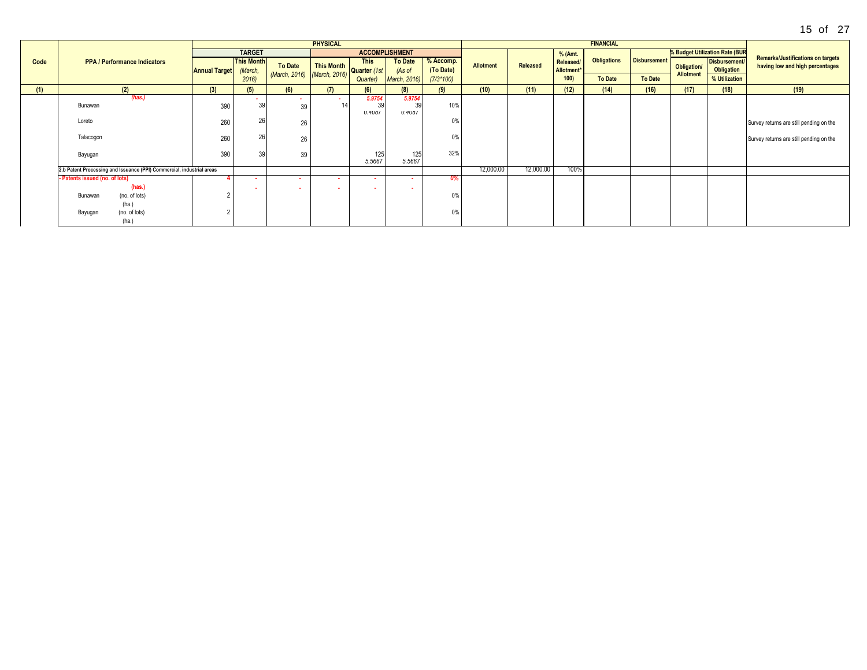|      |                                                                       |                      |                              |                             | <b>PHYSICAL</b>            |                                              |                               |                        |                  |           |                         | <b>FINANCIAL</b>   |                     |                  |                                |                                                                             |
|------|-----------------------------------------------------------------------|----------------------|------------------------------|-----------------------------|----------------------------|----------------------------------------------|-------------------------------|------------------------|------------------|-----------|-------------------------|--------------------|---------------------|------------------|--------------------------------|-----------------------------------------------------------------------------|
|      |                                                                       |                      | <b>TARGET</b>                |                             |                            |                                              | <b>ACCOMPLISHMENT</b>         |                        |                  |           | % (Amt.                 |                    |                     |                  | % Budget Utilization Rate (BUR |                                                                             |
| Code | <b>PPA / Performance Indicators</b>                                   | <b>Annual Target</b> | <b>This Month</b><br>(March, | <b>To Date</b>              | This Month<br>Quarter (1st | <b>This</b>                                  | <b>To Date</b><br>(As of      | % Accomp.<br>(To Date) | <b>Allotment</b> | Released  | Released/<br>Allotment* | <b>Obligations</b> | <b>Disbursement</b> | Obligation/      | Disbursement/<br>Obligation    | <b>Remarks/Justifications on targets</b><br>having low and high percentages |
|      |                                                                       |                      | 2016                         | (March, 2016) (March, 2016) |                            | Quarter)                                     | March, 2016)                  | $(7/3*100)$            |                  |           | 100)                    | <b>To Date</b>     | <b>To Date</b>      | <b>Allotment</b> | % Utilization                  |                                                                             |
| (1)  | (2)                                                                   | (3)                  | (5)                          | (6)                         | (7)                        | (6)                                          | (8)                           | (9)                    | (10)             | (11)      | (12)                    | (14)               | (16)                | (17)             | (18)                           | (19)                                                                        |
|      | (has.)<br>Bunawan                                                     | 390                  | . .<br>39                    | 39                          |                            | 5.9754<br>39<br>0.408/                       | 5.9754<br>39<br><b>U.4U8/</b> | 10%                    |                  |           |                         |                    |                     |                  |                                |                                                                             |
|      | Loreto                                                                | 260                  | 26                           | 26                          |                            |                                              |                               | 0%                     |                  |           |                         |                    |                     |                  |                                | Survey returns are still pending on the                                     |
|      | Talacogon                                                             | 260                  | 26                           | 26                          |                            |                                              |                               | 0%                     |                  |           |                         |                    |                     |                  |                                | Survey returns are still pending on the                                     |
|      | Bayugan                                                               | 390                  | 39                           | 39                          |                            | $\begin{array}{c} 125 \\ 5.5667 \end{array}$ | 125<br>5.5667                 | 32%                    |                  |           |                         |                    |                     |                  |                                |                                                                             |
|      | 2.b Patent Processing and Issuance (PPI) Commercial, industrial areas |                      |                              |                             |                            |                                              |                               |                        | 12,000.00        | 12,000.00 | 100%                    |                    |                     |                  |                                |                                                                             |
|      | - Patents issued (no. of lots)<br>(has.                               |                      |                              |                             |                            | ٠                                            |                               |                        |                  |           |                         |                    |                     |                  |                                |                                                                             |
|      | (no. of lots)<br>Bunawan<br>(ha.)                                     |                      | . .                          | ٠                           |                            |                                              |                               |                        |                  |           |                         |                    |                     |                  |                                |                                                                             |
|      | (no. of lots)<br>Bayugan<br>(ha.)                                     |                      |                              |                             |                            |                                              |                               | $\gamma\%$ .           |                  |           |                         |                    |                     |                  |                                |                                                                             |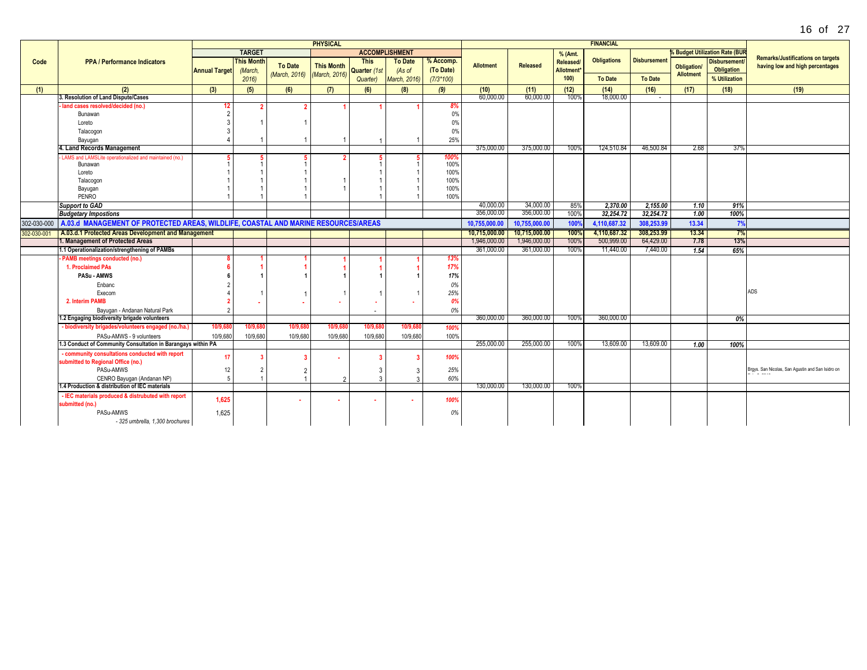|             |                                                                                                |                      |                   |                             | <b>PHYSICAL</b>   |                       |                     |              |                  |               |                        | <b>FINANCIAL</b>   |                     |                  |                                     |                                                   |
|-------------|------------------------------------------------------------------------------------------------|----------------------|-------------------|-----------------------------|-------------------|-----------------------|---------------------|--------------|------------------|---------------|------------------------|--------------------|---------------------|------------------|-------------------------------------|---------------------------------------------------|
|             |                                                                                                |                      | <b>TARGET</b>     |                             |                   | <b>ACCOMPLISHMENT</b> |                     |              |                  |               | % (Amt.                |                    |                     |                  | <b>Budget Utilization Rate (BUR</b> |                                                   |
| Code        | <b>PPA / Performance Indicators</b>                                                            |                      | <b>This Month</b> |                             |                   | <b>This</b>           | <b>To Date</b>      | % Accomp.    |                  |               | <b>Released/</b>       | <b>Obligations</b> | <b>Disbursement</b> |                  | <b>Disbursement</b>                 | <b>Remarks/Justifications on targets</b>          |
|             |                                                                                                | <b>Annual Target</b> | (March,           | <b>To Date</b>              | <b>This Month</b> | Quarter (1st          | (As of              | (To Date)    | <b>Allotment</b> | Released      | Allotment <sup>*</sup> |                    |                     | Obligation/      | Obligation                          | having low and high percentages                   |
|             |                                                                                                |                      | 2016              | (March, 2016) (March, 2016) |                   | Quarter)              | <b>March, 2016)</b> | $(7/3*100)$  |                  |               | 100                    | <b>To Date</b>     | <b>To Date</b>      | <b>Allotment</b> | % Utilization                       |                                                   |
| (1)         | (2)                                                                                            | (3)                  | (5)               | (6)                         | (7)               | (6)                   | (8)                 | (9)          | (10)             | (11)          | (12)                   | (14)               | (16)                | (17)             | (18)                                | (19)                                              |
|             | 3. Resolution of Land Dispute/Cases                                                            |                      |                   |                             |                   |                       |                     |              | 60.000.00        | 60,000.00     | 100%                   | 18.000.00          |                     |                  |                                     |                                                   |
|             | land cases resolved/decided (no.)                                                              | 12                   |                   |                             |                   |                       |                     | 8%           |                  |               |                        |                    |                     |                  |                                     |                                                   |
|             | Bunawan                                                                                        | $\overline{2}$       |                   |                             |                   |                       |                     | 0%           |                  |               |                        |                    |                     |                  |                                     |                                                   |
|             | Loreto                                                                                         | $\mathcal{R}$        |                   |                             |                   |                       |                     | 0%           |                  |               |                        |                    |                     |                  |                                     |                                                   |
|             | Talacogon                                                                                      | 3                    |                   |                             |                   |                       |                     | 0%           |                  |               |                        |                    |                     |                  |                                     |                                                   |
|             | Bayugan                                                                                        | $\Delta$             |                   |                             | $\overline{1}$    |                       |                     | 25%          |                  |               |                        |                    |                     |                  |                                     |                                                   |
|             | 4. Land Records Management                                                                     |                      |                   |                             |                   |                       |                     |              | 375,000.00       | 375,000.00    | 100%                   | 124,510.84         | 46,500.84           | 2.68             | 37%                                 |                                                   |
|             | LAMS and LAMSLite operationalized and maintained (no.)                                         | -5                   |                   |                             |                   |                       |                     | 100%         |                  |               |                        |                    |                     |                  |                                     |                                                   |
|             | Bunawan                                                                                        |                      |                   |                             |                   |                       |                     | 100%<br>100% |                  |               |                        |                    |                     |                  |                                     |                                                   |
|             | Loreto                                                                                         |                      |                   |                             |                   |                       |                     | 100%         |                  |               |                        |                    |                     |                  |                                     |                                                   |
|             | Talacogon<br>Bayugan                                                                           |                      |                   |                             |                   |                       |                     | 100%         |                  |               |                        |                    |                     |                  |                                     |                                                   |
|             | PENRO                                                                                          |                      |                   |                             |                   |                       |                     | 100%         |                  |               |                        |                    |                     |                  |                                     |                                                   |
|             | <b>Support to GAD</b>                                                                          |                      |                   |                             |                   |                       |                     |              | 40.000.00        | 34.000.00     | 85%                    | 2,370.00           | 2,155.00            | 1.10             | 91%                                 |                                                   |
|             | <b>Budgetary Impostions</b>                                                                    |                      |                   |                             |                   |                       |                     |              | 356,000.00       | 356,000.00    | 100%                   | 32,254.72          | 32.254.72           | 1.00             | 100%                                |                                                   |
|             | 302-030-000 A.03.d MANAGEMENT OF PROTECTED AREAS, WILDLIFE, COASTAL AND MARINE RESOURCES/AREAS |                      |                   |                             |                   |                       |                     |              | 10.755.000.00    | 10.755.000.00 | 100%                   | 4.110.687.32       | 308.253.99          | 13.34            | 7%                                  |                                                   |
| 302-030-001 | A.03.d.1 Protected Areas Development and Management                                            |                      |                   |                             |                   |                       |                     |              | 10.715.000.00    | 10,715,000.00 | 100%                   | 4,110,687.32       | 308,253.99          | 13.34            | 7%                                  |                                                   |
|             | 1. Management of Protected Areas                                                               |                      |                   |                             |                   |                       |                     |              | 1,946,000.00     | 1,946,000.00  | 100%                   | 500,999.00         | 64,429.00           | 7.78             | 13%                                 |                                                   |
|             | 1.1 Operationalization/strengthening of PAMBs                                                  |                      |                   |                             |                   |                       |                     |              | 361.000.00       | 361.000.00    | 100%                   | 11.440.00          | 7.440.00            | 1.54             | 65%                                 |                                                   |
|             | - PAMB meetings conducted (no.)                                                                |                      |                   |                             |                   |                       |                     | 13%          |                  |               |                        |                    |                     |                  |                                     |                                                   |
|             | 1. Proclaimed PAs                                                                              | -6                   |                   |                             |                   |                       |                     | 17%          |                  |               |                        |                    |                     |                  |                                     |                                                   |
|             | <b>PASu - AMWS</b>                                                                             | 6                    |                   |                             |                   |                       |                     | 17%          |                  |               |                        |                    |                     |                  |                                     |                                                   |
|             | Enbanc                                                                                         |                      |                   |                             |                   |                       |                     | 0%           |                  |               |                        |                    |                     |                  |                                     |                                                   |
|             | Execom                                                                                         |                      |                   |                             |                   |                       |                     | 25%          |                  |               |                        |                    |                     |                  |                                     | <b>ADS</b>                                        |
|             | 2. Interim PAMB                                                                                |                      |                   |                             |                   |                       |                     | 0%           |                  |               |                        |                    |                     |                  |                                     |                                                   |
|             | Bayugan - Andanan Natural Park                                                                 | $\mathcal{P}$        |                   |                             |                   |                       |                     | 0%           |                  |               |                        |                    |                     |                  |                                     |                                                   |
|             | 1.2 Engaging biodiversity brigade volunteers                                                   |                      |                   |                             |                   |                       |                     |              | 360,000,00       | 360,000.00    | 100%                   | 360,000.00         |                     |                  | 0%                                  |                                                   |
|             | - biodiversity brigades/volunteers engaged (no./ha.)                                           | 10/9,68              | 10/9.68           | 10/9.6                      | 10/9,68           | 10/9,68               | 10/9,68             | 100%         |                  |               |                        |                    |                     |                  |                                     |                                                   |
|             | PASu-AMWS - 9 volunteers                                                                       | 10/9,680             | 10/9,680          | 10/9,680                    | 10/9,680          | 10/9,680              | 10/9,680            | 100%         |                  |               |                        |                    |                     |                  |                                     |                                                   |
|             | 1.3 Conduct of Community Consultation in Barangays within PA                                   |                      |                   |                             |                   |                       |                     |              | 255,000.00       | 255,000.00    | 100%                   | 13,609.00          | 13,609.00           | 1.00             | 100%                                |                                                   |
|             | - community consultations conducted with report                                                | 17                   | ె                 |                             |                   |                       |                     | 100%         |                  |               |                        |                    |                     |                  |                                     |                                                   |
|             | submitted to Regional Office (no.)                                                             |                      |                   |                             |                   |                       |                     |              |                  |               |                        |                    |                     |                  |                                     |                                                   |
|             | PASu-AMWS                                                                                      | 12                   | $\overline{2}$    |                             |                   |                       |                     | 25%          |                  |               |                        |                    |                     |                  |                                     | Brgys. San Nicolas, San Agustin and San Isidro on |
|             | CENRO Bayugan (Andanan NP)<br>1.4 Production & distribution of IEC materials                   | 5                    |                   |                             | $\mathcal{D}$     |                       |                     | 60%          | 130,000,00       | 130,000.00    | 100%                   |                    |                     |                  |                                     |                                                   |
|             | - IEC materials produced & distrubuted with report                                             |                      |                   |                             |                   |                       |                     |              |                  |               |                        |                    |                     |                  |                                     |                                                   |
|             | submitted (no.)                                                                                | 1,625                |                   |                             |                   |                       |                     | 100%         |                  |               |                        |                    |                     |                  |                                     |                                                   |
|             | PASu-AMWS                                                                                      | 1.625                |                   |                             |                   |                       |                     | 0%           |                  |               |                        |                    |                     |                  |                                     |                                                   |
|             | - 325 umbrella, 1,300 brochures                                                                |                      |                   |                             |                   |                       |                     |              |                  |               |                        |                    |                     |                  |                                     |                                                   |
|             |                                                                                                |                      |                   |                             |                   |                       |                     |              |                  |               |                        |                    |                     |                  |                                     |                                                   |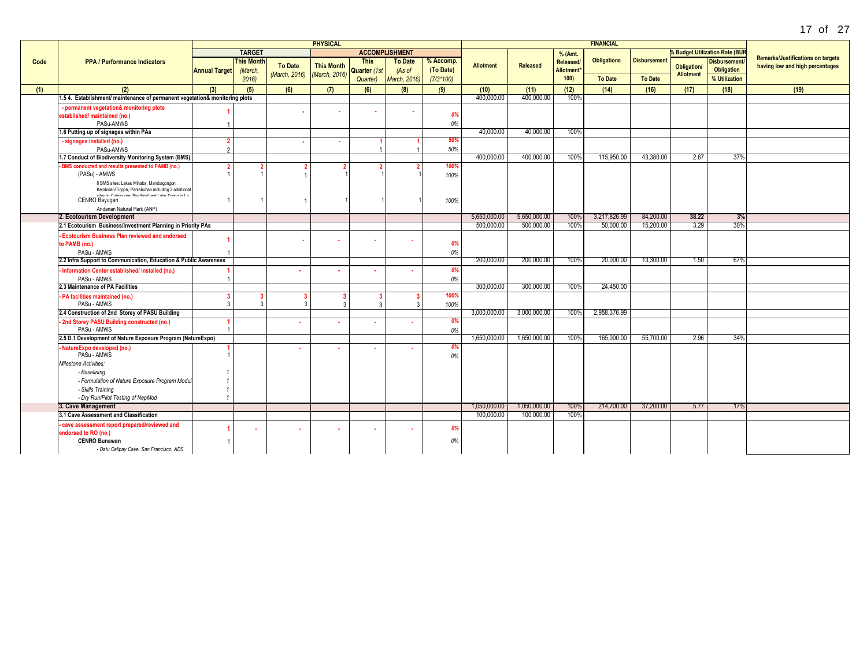|      |                                                                                                         |                      |                   |                | <b>PHYSICAL</b>   |              |                       |             |                  |                 |                        | <b>FINANCIAL</b>   |                     |                  |                                     |                                          |
|------|---------------------------------------------------------------------------------------------------------|----------------------|-------------------|----------------|-------------------|--------------|-----------------------|-------------|------------------|-----------------|------------------------|--------------------|---------------------|------------------|-------------------------------------|------------------------------------------|
|      |                                                                                                         |                      | <b>TARGET</b>     |                |                   |              | <b>ACCOMPLISHMENT</b> |             |                  |                 | % (Amt.                |                    |                     |                  | <b>Budget Utilization Rate (BUF</b> |                                          |
| Code | <b>PPA / Performance Indicators</b>                                                                     |                      | <b>This Month</b> |                |                   | <b>This</b>  | <b>To Date</b>        | % Accomp.   |                  |                 | Released/              | <b>Obligations</b> | <b>Disbursement</b> |                  | <b>Disbursement</b>                 | <b>Remarks/Justifications on targets</b> |
|      |                                                                                                         | <b>Annual Target</b> | (March,           | <b>To Date</b> | <b>This Month</b> | Quarter (1st | (As of                | (To Date)   | <b>Allotment</b> | <b>Released</b> | Allotment <sup>*</sup> |                    |                     | Obligation/      | <b>Obligation</b>                   | having low and high percentages          |
|      |                                                                                                         |                      | 2016              | (March, 2016)  | (March, 2016)     | Quarter)     | March, 2016)          | $(7/3*100)$ |                  |                 | 100                    | <b>To Date</b>     | <b>To Date</b>      | <b>Allotment</b> | % Utilization                       |                                          |
| (1)  | (2)                                                                                                     | (3)                  | (5)               | (6)            | (7)               | (6)          | (8)                   | (9)         | (10)             | (11)            | (12)                   | (14)               | (16)                | (17)             | (18)                                | (19)                                     |
|      | 1.5 4. Establishment/ maintenance of permanent vegetation& monitoring plots                             |                      |                   |                |                   |              |                       |             | 400,000.00       | 400.000.00      | 100%                   |                    |                     |                  |                                     |                                          |
|      | - permanent vegetation& monitoring plots                                                                |                      |                   |                |                   |              |                       |             |                  |                 |                        |                    |                     |                  |                                     |                                          |
|      | established/ maintained (no.)                                                                           |                      |                   |                |                   |              |                       | 0%          |                  |                 |                        |                    |                     |                  |                                     |                                          |
|      | PASu-AMWS                                                                                               |                      |                   |                |                   |              |                       | 0%          |                  |                 |                        |                    |                     |                  |                                     |                                          |
|      | 1.6 Putting up of signages within PAs                                                                   |                      |                   |                |                   |              |                       |             | 40.000.00        | 40.000.00       | 100%                   |                    |                     |                  |                                     |                                          |
|      | signages installed (no.)                                                                                |                      |                   |                |                   |              |                       | 50%         |                  |                 |                        |                    |                     |                  |                                     |                                          |
|      | PASu-AMWS                                                                                               |                      |                   |                |                   |              |                       | 50%         |                  |                 |                        |                    |                     |                  |                                     |                                          |
|      | 1.7 Conduct of Biodiversity Monitoring System (BMS)                                                     |                      |                   |                |                   |              |                       |             | 400,000.00       | 400,000.00      | 100%                   | 115,950.00         | 43.380.00           | 2.67             | 37%                                 |                                          |
|      | BMS conducted and results presented to PAMB (no.)                                                       |                      |                   |                |                   |              |                       | 100%        |                  |                 |                        |                    |                     |                  |                                     |                                          |
|      | (PASu) - AMWS                                                                                           |                      |                   |                |                   |              |                       | 100%        |                  |                 |                        |                    |                     |                  |                                     |                                          |
|      | 6 BMS sites: Lakes Mihaba, Mambagongon,                                                                 |                      |                   |                |                   |              |                       |             |                  |                 |                        |                    |                     |                  |                                     |                                          |
|      | Kelobidan/Ticgon, Panlabuhan including 2 additional<br>eiter in Coimmunan Deatland and Lake Tuese in La |                      |                   |                |                   |              |                       |             |                  |                 |                        |                    |                     |                  |                                     |                                          |
|      | CENRO Bayugan                                                                                           |                      |                   |                |                   |              |                       | 100%        |                  |                 |                        |                    |                     |                  |                                     |                                          |
|      | Andanan Natural Park (ANP)                                                                              |                      |                   |                |                   |              |                       |             |                  |                 |                        |                    |                     |                  |                                     |                                          |
|      | 2. Ecotourism Development                                                                               |                      |                   |                |                   |              |                       |             | 5,650,000.00     | 5,650,000.00    | 100%                   | 3,217,826.99       | 84,200,00           | 38.22            | 3%                                  |                                          |
|      | 2.1 Ecotourism Business/Investment Planning in Priority PAs                                             |                      |                   |                |                   |              |                       |             | 500,000.00       | 500,000.00      | 100%                   | 50,000.00          | 15,200.00           | 3.29             | 30%                                 |                                          |
|      | <b>Ecotourism Business Plan reviewed and endorsed</b>                                                   |                      |                   |                |                   |              |                       |             |                  |                 |                        |                    |                     |                  |                                     |                                          |
|      | to PAMB (no.)                                                                                           |                      |                   |                |                   |              |                       | 0%          |                  |                 |                        |                    |                     |                  |                                     |                                          |
|      | PASu - AMWS                                                                                             |                      |                   |                |                   |              |                       | 0%          |                  |                 |                        |                    |                     |                  |                                     |                                          |
|      | 2.2 Infra Support to Communication, Education & Public Awareness                                        |                      |                   |                |                   |              |                       |             | 200.000.00       | 200,000.00      | 100%                   | 20,000.00          | 13,300.00           | 1.50             | -67%                                |                                          |
|      | Information Center established/ installed (no.)                                                         |                      |                   |                |                   |              |                       | 0%          |                  |                 |                        |                    |                     |                  |                                     |                                          |
|      | PASu - AMWS                                                                                             |                      |                   |                |                   |              |                       | 0%          |                  |                 |                        |                    |                     |                  |                                     |                                          |
|      | 2.3 Maintenance of PA Facilities                                                                        |                      |                   |                |                   |              |                       |             | 300,000.00       | 300,000,00      | 100%                   | 24,450.00          |                     |                  |                                     |                                          |
|      | PA facilities maintained (no.)                                                                          |                      |                   |                |                   |              |                       | 100%        |                  |                 |                        |                    |                     |                  |                                     |                                          |
|      | PASu - AMWS<br>2.4 Construction of 2nd Storey of PASU Building                                          |                      |                   | 3              | ্ব                |              |                       | 100%        |                  | 3,000,000.00    |                        | 2,958,376.99       |                     |                  |                                     |                                          |
|      |                                                                                                         |                      |                   |                |                   |              |                       |             | 3,000,000.00     |                 | 100%                   |                    |                     |                  |                                     |                                          |
|      | 2nd Storey PASU Building constructed (no.)<br>PASu - AMWS                                               |                      |                   |                |                   |              |                       | 0%<br>0%    |                  |                 |                        |                    |                     |                  |                                     |                                          |
|      | 2.5 D.1 Development of Nature Exposure Program (NatureExpo)                                             |                      |                   |                |                   |              |                       |             | 1.650.000.00     | 1.650.000.00    | 100%                   | 165,000.00         | 55,700.00           | 2.96             | 34%                                 |                                          |
|      | NatureExpo developed (no.)                                                                              |                      |                   |                |                   |              |                       | 0%          |                  |                 |                        |                    |                     |                  |                                     |                                          |
|      | PASu - AMWS                                                                                             |                      |                   |                |                   |              |                       | 0%          |                  |                 |                        |                    |                     |                  |                                     |                                          |
|      | Milestone Activities:                                                                                   |                      |                   |                |                   |              |                       |             |                  |                 |                        |                    |                     |                  |                                     |                                          |
|      | - Baselining                                                                                            |                      |                   |                |                   |              |                       |             |                  |                 |                        |                    |                     |                  |                                     |                                          |
|      | - Formulation of Nature Exposure Program Modul                                                          |                      |                   |                |                   |              |                       |             |                  |                 |                        |                    |                     |                  |                                     |                                          |
|      | - Skills Training                                                                                       |                      |                   |                |                   |              |                       |             |                  |                 |                        |                    |                     |                  |                                     |                                          |
|      | - Dry Run/Pilot Testing of NepMod                                                                       |                      |                   |                |                   |              |                       |             |                  |                 |                        |                    |                     |                  |                                     |                                          |
|      | 3. Cave Management                                                                                      |                      |                   |                |                   |              |                       |             | 1,050,000.00     | 1,050,000.00    | 100%                   | 214,700.00         | 37,200.00           | 5.77             | 17%                                 |                                          |
|      | 3.1 Cave Assessment and Classification                                                                  |                      |                   |                |                   |              |                       |             | 100,000.00       | 100,000.00      | 100%                   |                    |                     |                  |                                     |                                          |
|      | cave assessment report prepared/reviewed and                                                            |                      | . .               | ж.             |                   |              |                       | 0%          |                  |                 |                        |                    |                     |                  |                                     |                                          |
|      | endorsed to RO (no.)                                                                                    |                      |                   |                |                   |              |                       |             |                  |                 |                        |                    |                     |                  |                                     |                                          |
|      | <b>CENRO Bunawan</b>                                                                                    |                      |                   |                |                   |              |                       | 0%          |                  |                 |                        |                    |                     |                  |                                     |                                          |
|      | - Datu Calipay Cave, San Francisco, ADS                                                                 |                      |                   |                |                   |              |                       |             |                  |                 |                        |                    |                     |                  |                                     |                                          |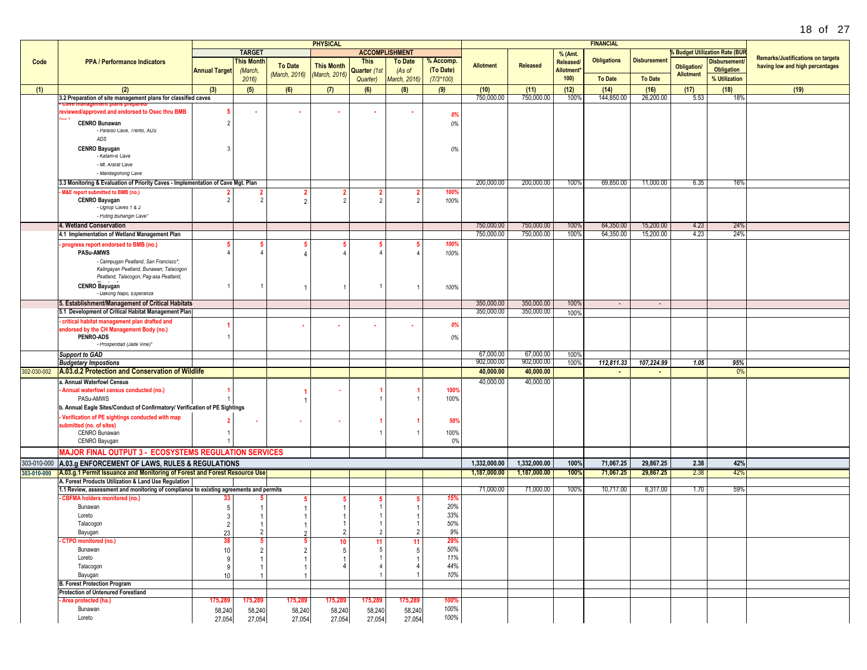| 18<br>Ωt | 27 |
|----------|----|
|----------|----|

|      |                                                                                                                                |                      |                |                | <b>PHYSICAL</b>   |                                  |                       |             |                         |                         |                        | <b>FINANCIAL</b>   |                     |                    |                                       |                                          |
|------|--------------------------------------------------------------------------------------------------------------------------------|----------------------|----------------|----------------|-------------------|----------------------------------|-----------------------|-------------|-------------------------|-------------------------|------------------------|--------------------|---------------------|--------------------|---------------------------------------|------------------------------------------|
|      |                                                                                                                                |                      | <b>TARGET</b>  |                |                   |                                  | <b>ACCOMPLISHMENT</b> |             |                         |                         | % (Amt.                |                    |                     |                    | <b>6 Budget Utilization Rate (BUR</b> | <b>Remarks/Justifications on targets</b> |
| Code | <b>PPA / Performance Indicators</b>                                                                                            |                      | This Month     | <b>To Date</b> | <b>This Month</b> | <b>This</b>                      | <b>To Date</b>        | % Accomp.   | <b>Allotment</b>        | Released                | Released/              | <b>Obligations</b> | <b>Disbursement</b> | <b>Obligation/</b> | <b>Disbursement</b>                   | having low and high percentages          |
|      |                                                                                                                                | <b>Annual Target</b> | (March,        | (March, 2016)  | (March, 2016)     | Quarter (1st                     | (As of                | (To Date)   |                         |                         | Allotment <sup>®</sup> |                    |                     | <b>Allotment</b>   | <b>Obligation</b>                     |                                          |
|      |                                                                                                                                |                      | 2016           |                |                   | Quarter)                         | March, 2016)          | $(7/3*100)$ |                         |                         | 100)                   | <b>To Date</b>     | <b>To Date</b>      |                    | % Utilization                         |                                          |
| (1)  | (2)                                                                                                                            | (3)                  | (5)            | (6)            | (7)               | (6)                              | (8)                   | (9)         | (10)                    | (11)                    | (12)                   | (14)               | (16)                | (17)               | (18)                                  | (19)                                     |
|      | 3.2 Preparation of site management plans for classified caves                                                                  |                      |                |                |                   |                                  |                       |             | 750,000.00              | 750,000.00              | 100%                   | 144,850.00         | 26,200.00           | 5.53               | 18%                                   |                                          |
|      | reviewed/approved and endorsed to Osec thru BMB                                                                                |                      |                |                |                   |                                  |                       |             |                         |                         |                        |                    |                     |                    |                                       |                                          |
|      | <b>CENRO Bunawan</b>                                                                                                           |                      |                |                |                   |                                  |                       | 0%          |                         |                         |                        |                    |                     |                    |                                       |                                          |
|      | - Paraiso Cave, Trento, ADS                                                                                                    |                      |                |                |                   |                                  |                       | 0%          |                         |                         |                        |                    |                     |                    |                                       |                                          |
|      | ADS                                                                                                                            |                      |                |                |                   |                                  |                       |             |                         |                         |                        |                    |                     |                    |                                       |                                          |
|      | <b>CENRO Bayugan</b>                                                                                                           |                      |                |                |                   |                                  |                       | 0%          |                         |                         |                        |                    |                     |                    |                                       |                                          |
|      | - Katam-is Cave                                                                                                                |                      |                |                |                   |                                  |                       |             |                         |                         |                        |                    |                     |                    |                                       |                                          |
|      | - Mt. Ararat Cave                                                                                                              |                      |                |                |                   |                                  |                       |             |                         |                         |                        |                    |                     |                    |                                       |                                          |
|      | - Mandagohong Cave                                                                                                             |                      |                |                |                   |                                  |                       |             |                         |                         |                        |                    |                     |                    |                                       |                                          |
|      | 3.3 Monitoring & Evaluation of Priority Caves - Implementation of Cave Mgt. Plan                                               |                      |                |                |                   |                                  |                       |             | 200,000.00              | 200,000.00              | 100%                   | 69,850.00          | 11,000.00           | 6.35               | 16%                                   |                                          |
|      | M&E report submitted to BMB (no.)                                                                                              |                      |                |                |                   |                                  |                       | 100%        |                         |                         |                        |                    |                     |                    |                                       |                                          |
|      | <b>CENRO Bayugan</b><br>- Ognop Caves 1 & 2                                                                                    |                      |                |                |                   | $\overline{2}$                   |                       | 100%        |                         |                         |                        |                    |                     |                    |                                       |                                          |
|      | - Puting Buhangin Cave*                                                                                                        |                      |                |                |                   |                                  |                       |             |                         |                         |                        |                    |                     |                    |                                       |                                          |
|      | 4. Wetland Conservation                                                                                                        |                      |                |                |                   |                                  |                       |             | 750,000.00              | 750,000.00              | 100%                   | 64,350.00          | 15,200.00           | 4.23               | 24%                                   |                                          |
|      | 4.1 Implementation of Wetland Management Plan                                                                                  |                      |                |                |                   |                                  |                       |             | 750,000.00              | 750,000.00              | 100%                   | 64,350.00          | 15,200.00           | 4.23               | 24%                                   |                                          |
|      | progress report endorsed to BMB (no.)                                                                                          |                      |                |                |                   |                                  |                       | 100%        |                         |                         |                        |                    |                     |                    |                                       |                                          |
|      | <b>PASu-AMWS</b>                                                                                                               |                      |                |                |                   |                                  |                       | 100%        |                         |                         |                        |                    |                     |                    |                                       |                                          |
|      | - Caimpugan Peatland, San Francisco*;                                                                                          |                      |                |                |                   |                                  |                       |             |                         |                         |                        |                    |                     |                    |                                       |                                          |
|      | Kalingayan Peatland, Bunawan; Talacogon                                                                                        |                      |                |                |                   |                                  |                       |             |                         |                         |                        |                    |                     |                    |                                       |                                          |
|      | Peatland, Talacogon; Pag-asa Peatland,                                                                                         |                      |                |                |                   |                                  |                       |             |                         |                         |                        |                    |                     |                    |                                       |                                          |
|      | <b>CENRO</b> Bayugan<br>- Dakong Napo, Esperanza                                                                               |                      |                |                |                   |                                  |                       | 100%        |                         |                         |                        |                    |                     |                    |                                       |                                          |
|      | 5. Establishment/Management of Critical Habitats                                                                               |                      |                |                |                   |                                  |                       |             | 350,000.00              | 350,000.00              | 100%                   | $\sim$             | $\sim$              |                    |                                       |                                          |
|      | 5.1 Development of Critical Habitat Management Plan                                                                            |                      |                |                |                   |                                  |                       |             | 350,000.00              | 350,000.00              | 100%                   |                    |                     |                    |                                       |                                          |
|      | critical habitat management plan drafted and                                                                                   |                      |                |                |                   |                                  |                       |             |                         |                         |                        |                    |                     |                    |                                       |                                          |
|      | endorsed by the CH Management Body (no.)                                                                                       |                      |                |                |                   |                                  |                       | 0%          |                         |                         |                        |                    |                     |                    |                                       |                                          |
|      | <b>PENRO-ADS</b>                                                                                                               |                      |                |                |                   |                                  |                       | 0%          |                         |                         |                        |                    |                     |                    |                                       |                                          |
|      | - Prosperidad (Jade Vine)*                                                                                                     |                      |                |                |                   |                                  |                       |             |                         |                         |                        |                    |                     |                    |                                       |                                          |
|      | <b>Support to GAD</b>                                                                                                          |                      |                |                |                   |                                  |                       |             | 67,000.00<br>902,000.00 | 67,000.00               | 100%                   |                    |                     |                    |                                       |                                          |
|      | <b>Budgetary Impostions</b><br>302-030-002 A.03.d.2 Protection and Conservation of Wildlife                                    |                      |                |                |                   |                                  |                       |             | 40,000.00               | 902,000.00<br>40,000.00 | 100%                   | 112,811.33         | 107,224.99          | 1.05               | 95%<br>0%                             |                                          |
|      |                                                                                                                                |                      |                |                |                   |                                  |                       |             |                         |                         |                        | $\sim$             | $\sim$              |                    |                                       |                                          |
|      | a. Annual Waterfowl Census<br>Annual waterfowl census conducted (no.)                                                          |                      |                |                |                   |                                  |                       | 100%        | 40,000.00               | 40,000.00               |                        |                    |                     |                    |                                       |                                          |
|      | PASu-AMWS                                                                                                                      |                      |                |                |                   |                                  |                       | 100%        |                         |                         |                        |                    |                     |                    |                                       |                                          |
|      | b. Annual Eagle Sites/Conduct of Confirmatory/ Verification of PE Sightings                                                    |                      |                |                |                   |                                  |                       |             |                         |                         |                        |                    |                     |                    |                                       |                                          |
|      | Verification of PE sightings conducted with map                                                                                |                      |                |                |                   |                                  |                       |             |                         |                         |                        |                    |                     |                    |                                       |                                          |
|      | submitted (no. of sites)                                                                                                       |                      | ٠              |                |                   |                                  |                       | 50%         |                         |                         |                        |                    |                     |                    |                                       |                                          |
|      | CENRO Bunawan                                                                                                                  |                      |                |                |                   |                                  |                       | 100%        |                         |                         |                        |                    |                     |                    |                                       |                                          |
|      | CENRO Bayugan                                                                                                                  |                      |                |                |                   |                                  |                       | 0%          |                         |                         |                        |                    |                     |                    |                                       |                                          |
|      | <b>MAJOR FINAL OUTPUT 3 - ECOSYSTEMS REGULATION SERVICES</b>                                                                   |                      |                |                |                   |                                  |                       |             |                         |                         |                        |                    |                     |                    |                                       |                                          |
|      | 303-010-000 A.03.g ENFORCEMENT OF LAWS, RULES & REGULATIONS                                                                    |                      |                |                |                   |                                  |                       |             | 1,332,000.00            | 1,332,000.00            | 100%                   | 71,067.25          | 29,867.25           | 2.38               | 42%                                   |                                          |
|      | 303-010-000   A.03.g.1 Permit Issuance and Monitoring of Forest and Forest Resource Use                                        |                      |                |                |                   |                                  |                       |             | 1,187,000.00            | 1,187,000.00            | 100%                   | 71,067.25          | 29,867.25           | 2.38               | 42%                                   |                                          |
|      | A. Forest Products Utilization & Land Use Regulation                                                                           |                      |                |                |                   |                                  |                       |             |                         |                         |                        |                    |                     |                    |                                       |                                          |
|      | 1.1 Review, assessment and monitoring of compliance to exixting agreements and permits<br><b>CBFMA holders monitored (no.)</b> |                      |                |                |                   |                                  |                       | 159         | 71,000.00               | 71,000.00               | 100%                   | 10,717.00          | 6,317.00            | 1.70               | 59%                                   |                                          |
|      | Bunawan                                                                                                                        |                      |                |                |                   |                                  |                       | 20%         |                         |                         |                        |                    |                     |                    |                                       |                                          |
|      | Loreto                                                                                                                         | 3                    |                |                |                   |                                  |                       | 33%         |                         |                         |                        |                    |                     |                    |                                       |                                          |
|      | Talacogon                                                                                                                      | $\overline{2}$       |                |                |                   |                                  |                       | 50%         |                         |                         |                        |                    |                     |                    |                                       |                                          |
|      | Bayugan                                                                                                                        | 23                   | z              |                |                   |                                  | z                     | 9%          |                         |                         |                        |                    |                     |                    |                                       |                                          |
|      | <b>CTPO</b> monitored (no.)                                                                                                    |                      |                |                | 10                | 11                               | 11                    | 29%         |                         |                         |                        |                    |                     |                    |                                       |                                          |
|      | Bunawan                                                                                                                        | 10                   | $\overline{2}$ |                | 5                 | -5                               | -5                    | 50%         |                         |                         |                        |                    |                     |                    |                                       |                                          |
|      | Loreto                                                                                                                         | 9                    |                |                |                   | $\overline{1}$<br>$\overline{4}$ |                       | 11%<br>44%  |                         |                         |                        |                    |                     |                    |                                       |                                          |
|      | Talacogon<br>Bayugan                                                                                                           | 9<br>10              |                |                |                   |                                  |                       | 10%         |                         |                         |                        |                    |                     |                    |                                       |                                          |
|      | <b>B. Forest Protection Program</b>                                                                                            |                      |                |                |                   |                                  |                       |             |                         |                         |                        |                    |                     |                    |                                       |                                          |
|      | <b>Protection of Untenured Forestland</b>                                                                                      |                      |                |                |                   |                                  |                       |             |                         |                         |                        |                    |                     |                    |                                       |                                          |
|      | Area protected (ha.)                                                                                                           | 175,289              | 175,289        | 175,289        | 175,289           | 175,289                          | 175,289               | 100%        |                         |                         |                        |                    |                     |                    |                                       |                                          |
|      | Bunawan                                                                                                                        | 58,240               | 58,240         | 58,240         | 58,240            | 58,240                           | 58,240                | 100%        |                         |                         |                        |                    |                     |                    |                                       |                                          |
|      | Loreto                                                                                                                         | 27,054               | 27,054         | 27,054         | 27,054            | 27,054                           | 27,054                | 100%        |                         |                         |                        |                    |                     |                    |                                       |                                          |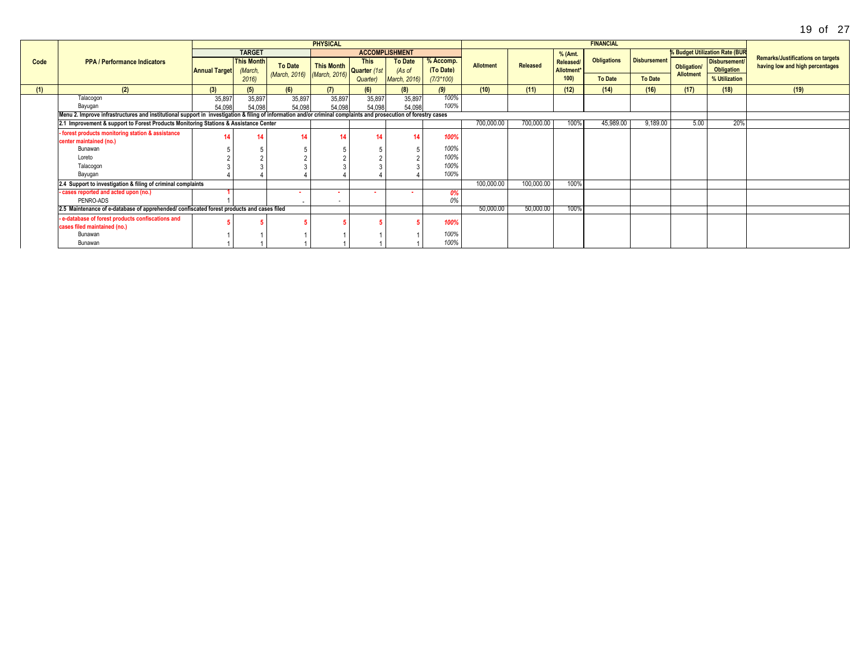|      |                                                                                                                                                                 |                      |                              |                                               | <b>PHYSICAL</b>            |             |                          |                        |                  |            |                              | <b>FINANCIAL</b>   |                     |                                        |                                       |                                                                             |
|------|-----------------------------------------------------------------------------------------------------------------------------------------------------------------|----------------------|------------------------------|-----------------------------------------------|----------------------------|-------------|--------------------------|------------------------|------------------|------------|------------------------------|--------------------|---------------------|----------------------------------------|---------------------------------------|-----------------------------------------------------------------------------|
|      |                                                                                                                                                                 |                      | <b>TARGET</b>                |                                               |                            |             | <b>ACCOMPLISHMENT</b>    |                        |                  |            | % (Amt.                      |                    |                     |                                        | <b>% Budget Utilization Rate (BUR</b> |                                                                             |
| Code | <b>PPA / Performance Indicators</b>                                                                                                                             | <b>Annual Target</b> | <b>This Month</b><br>(March, | <b>To Date</b><br>(March, 2016) (March, 2016) | This Month<br>Quarter (1st | <b>This</b> | <b>To Date</b><br>(As of | % Accomp.<br>(To Date) | <b>Allotment</b> | Released   | Released<br><b>Allotment</b> | <b>Obligations</b> | <b>Disbursement</b> | <b>Obligation/</b><br><b>Allotment</b> | <b>Disbursement</b><br>Obligation     | <b>Remarks/Justifications on targets</b><br>having low and high percentages |
|      |                                                                                                                                                                 |                      | 2016)                        |                                               |                            | Quarter)    | March, 2016)             | $(7/3*100)$            |                  |            | 100)                         | <b>To Date</b>     | <b>To Date</b>      |                                        | % Utilization                         |                                                                             |
| (1)  | (2)                                                                                                                                                             | (3)                  |                              | (6)                                           | (7)                        | (6)         | (8)                      | (9)                    | (10)             | (11)       | (12)                         | (14)               | (16)                | (17)                                   | (18)                                  | (19)                                                                        |
|      | Talacogon                                                                                                                                                       | 35,897               | 35,897                       | 35,897                                        | 35,897                     | 35,897      | 35,897                   | 100%                   |                  |            |                              |                    |                     |                                        |                                       |                                                                             |
|      | Bayugan                                                                                                                                                         | 54,098               | 54.098                       | 54,098                                        | 54,098                     | 54,098      | 54,098                   | 100%                   |                  |            |                              |                    |                     |                                        |                                       |                                                                             |
|      | Menu 2. Improve infrastructures and institutional support in investigation & filing of information and/or criminal complaints and prosecution of forestry cases |                      |                              |                                               |                            |             |                          |                        |                  |            |                              |                    |                     |                                        |                                       |                                                                             |
|      | 2.1 Improvement & support to Forest Products Monitoring Stations & Assistance Center                                                                            |                      |                              |                                               |                            |             |                          |                        | 700,000.00       | 700,000.00 | IUU%                         | 45,989.00          | 9,189.00            | 5.00                                   | 20%                                   |                                                                             |
|      | - forest products monitoring station & assistance                                                                                                               |                      |                              |                                               |                            | 14          |                          | 100%                   |                  |            |                              |                    |                     |                                        |                                       |                                                                             |
|      | center maintained (no.)                                                                                                                                         |                      |                              |                                               |                            |             |                          |                        |                  |            |                              |                    |                     |                                        |                                       |                                                                             |
|      | Bunawan                                                                                                                                                         |                      |                              |                                               |                            |             |                          | 100%                   |                  |            |                              |                    |                     |                                        |                                       |                                                                             |
|      | Loreto                                                                                                                                                          |                      |                              |                                               |                            |             |                          | 100%                   |                  |            |                              |                    |                     |                                        |                                       |                                                                             |
|      | Talacogon                                                                                                                                                       |                      |                              |                                               |                            |             |                          | 100%                   |                  |            |                              |                    |                     |                                        |                                       |                                                                             |
|      | Bayugan                                                                                                                                                         |                      |                              |                                               |                            |             |                          | 100%                   |                  |            |                              |                    |                     |                                        |                                       |                                                                             |
|      | 2.4 Support to investigation & filing of criminal complaints                                                                                                    |                      |                              |                                               |                            |             |                          |                        | 100,000.00       | 100,000.00 | 100%                         |                    |                     |                                        |                                       |                                                                             |
|      | - cases reported and acted upon (no.)                                                                                                                           |                      |                              | . .                                           | . .                        |             |                          |                        |                  |            |                              |                    |                     |                                        |                                       |                                                                             |
|      | PENRO-ADS                                                                                                                                                       |                      |                              |                                               | $\sim$                     |             |                          | 0%                     |                  |            |                              |                    |                     |                                        |                                       |                                                                             |
|      | 2.5 Maintenance of e-database of apprehended/ confiscated forest products and cases filed                                                                       |                      |                              |                                               |                            |             |                          |                        | 50,000.00        | 50,000.00  | 100%                         |                    |                     |                                        |                                       |                                                                             |
|      | - e-database of forest products confiscations and<br>cases filed maintained (no.)                                                                               |                      |                              |                                               |                            |             |                          | 100%                   |                  |            |                              |                    |                     |                                        |                                       |                                                                             |
|      | Bunawan                                                                                                                                                         |                      |                              |                                               |                            |             |                          | 100%                   |                  |            |                              |                    |                     |                                        |                                       |                                                                             |
|      | Bunawan                                                                                                                                                         |                      |                              |                                               |                            |             |                          | 100%                   |                  |            |                              |                    |                     |                                        |                                       |                                                                             |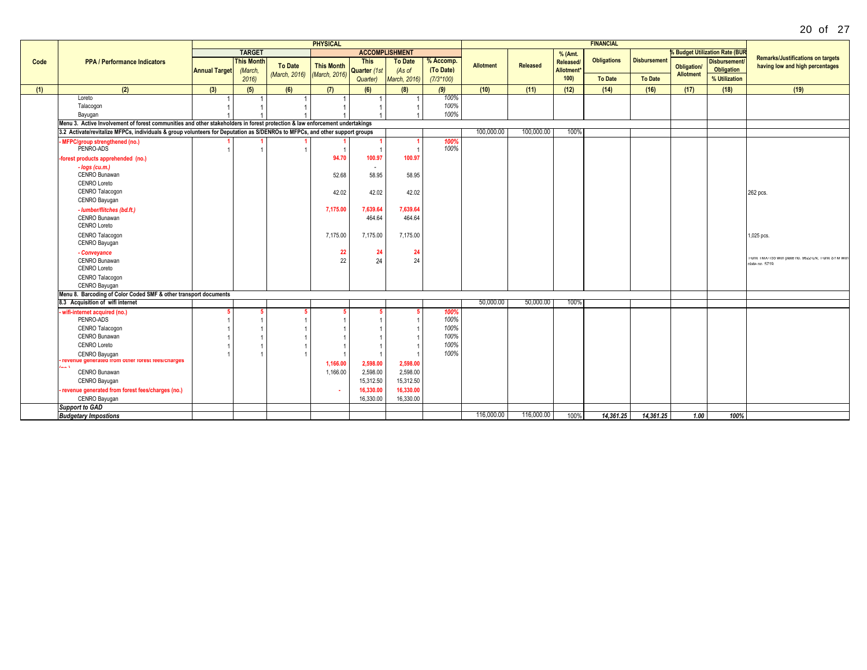| 20<br>Ωf | 27 |  |
|----------|----|--|
|----------|----|--|

|      |                                                                                                                             |                      |                   |               | <b>PHYSICAL</b>   |                |                       |              |            |            |                        | <b>FINANCIAL</b>   |                        |                  |                                           |                                                                             |
|------|-----------------------------------------------------------------------------------------------------------------------------|----------------------|-------------------|---------------|-------------------|----------------|-----------------------|--------------|------------|------------|------------------------|--------------------|------------------------|------------------|-------------------------------------------|-----------------------------------------------------------------------------|
|      |                                                                                                                             |                      | <b>TARGET</b>     |               |                   |                | <b>ACCOMPLISHMENT</b> |              |            |            | % (Amt.                |                    |                        |                  | <b>&amp; Budget Utilization Rate (BUR</b> |                                                                             |
| Code | <b>PPA / Performance Indicators</b>                                                                                         |                      | <b>This Month</b> |               |                   | <b>This</b>    | <b>To Date</b>        | % Accomp.    |            |            | Released/              | <b>Obligations</b> | <b>Disbursement</b>    |                  | <b>Disbursement</b>                       | <b>Remarks/Justifications on targets</b>                                    |
|      |                                                                                                                             | <b>Annual Target</b> | (March,           | To Date       | <b>This Month</b> | Quarter (1st   | (As of                | (To Date)    | Allotment  | Released   | Allotment <sup>*</sup> |                    |                        | Obligation/      | <b>Obligation</b>                         | having low and high percentages                                             |
|      |                                                                                                                             |                      | 2016              | (March, 2016) | (March, 2016)     | Quarter)       | <b>March, 2016)</b>   | $(7/3*100)$  |            |            | 100                    | <b>To Date</b>     | <b>To Date</b>         | <b>Allotment</b> | % Utilization                             |                                                                             |
| (1)  | (2)                                                                                                                         | (3)                  | (5)               | (6)           | (7)               | (6)            | (8)                   | (9)          | (10)       | (11)       | (12)                   | (14)               | (16)                   | (17)             | (18)                                      | (19)                                                                        |
|      | Loreto                                                                                                                      |                      |                   |               |                   |                |                       | 100%         |            |            |                        |                    |                        |                  |                                           |                                                                             |
|      | Talacogon                                                                                                                   |                      |                   |               |                   |                |                       | 100%         |            |            |                        |                    |                        |                  |                                           |                                                                             |
|      | Bayugan                                                                                                                     |                      |                   |               |                   |                |                       | 100%         |            |            |                        |                    |                        |                  |                                           |                                                                             |
|      | Menu 3. Active Involvement of forest communities and other stakeholders in forest protection & law enforcement undertakings |                      |                   |               |                   |                |                       |              |            |            |                        |                    |                        |                  |                                           |                                                                             |
|      | 3.2 Activate/revitalize MFPCs, individuals & group volunteers for Deputation as S/DENROs to MFPCs, and other support groups |                      |                   |               |                   |                |                       |              | 100,000,00 | 100.000.00 | 100%                   |                    |                        |                  |                                           |                                                                             |
|      | MFPC/group strengthened (no.)<br>PENRO-ADS                                                                                  |                      |                   |               |                   | $\overline{1}$ |                       | 100%<br>100% |            |            |                        |                    |                        |                  |                                           |                                                                             |
|      | -forest products apprehended (no.)                                                                                          |                      |                   |               | 94.70             | 100.97         | 100.97                |              |            |            |                        |                    |                        |                  |                                           |                                                                             |
|      | $- log s (cu.m.)$                                                                                                           |                      |                   |               |                   | $\sim$         |                       |              |            |            |                        |                    |                        |                  |                                           |                                                                             |
|      | CENRO Bunawan                                                                                                               |                      |                   |               | 52.68             | 58.95          | 58.95                 |              |            |            |                        |                    |                        |                  |                                           |                                                                             |
|      | CENRO Loreto                                                                                                                |                      |                   |               |                   |                |                       |              |            |            |                        |                    |                        |                  |                                           |                                                                             |
|      | CENRO Talacogon<br>CENRO Bayugan                                                                                            |                      |                   |               | 42.02             | 42.02          | 42.02                 |              |            |            |                        |                    |                        |                  |                                           | 262 pcs.                                                                    |
|      | - lumber/flitches (bd.ft.)                                                                                                  |                      |                   |               | 7,175.00          | 7.639.64       | 7,639.64              |              |            |            |                        |                    |                        |                  |                                           |                                                                             |
|      | CENRO Bunawan                                                                                                               |                      |                   |               |                   | 464.64         | 464.64                |              |            |            |                        |                    |                        |                  |                                           |                                                                             |
|      | <b>CENRO Loreto</b>                                                                                                         |                      |                   |               |                   |                |                       |              |            |            |                        |                    |                        |                  |                                           |                                                                             |
|      | CENRO Talacogon<br>CENRO Bayugan                                                                                            |                      |                   |               | 7,175.00          | 7,175.00       | 7,175.00              |              |            |            |                        |                    |                        |                  |                                           | .025 pcs.                                                                   |
|      | - Conveyance                                                                                                                |                      |                   |               | 22                | 24             | -24                   |              |            |            |                        |                    |                        |                  |                                           |                                                                             |
|      | CENRO Bunawan                                                                                                               |                      |                   |               | 22                | 24             | 24                    |              |            |            |                        |                    |                        |                  |                                           | 1-unit IMX-155 with plate no. 9622-LN; 1-unit SYM with<br>$data$ no. $E740$ |
|      | CENRO Loreto                                                                                                                |                      |                   |               |                   |                |                       |              |            |            |                        |                    |                        |                  |                                           |                                                                             |
|      | CENRO Talacogon                                                                                                             |                      |                   |               |                   |                |                       |              |            |            |                        |                    |                        |                  |                                           |                                                                             |
|      | CENRO Bayugan<br>Menu 8. Barcoding of Color Coded SMF & other transport documents                                           |                      |                   |               |                   |                |                       |              |            |            |                        |                    |                        |                  |                                           |                                                                             |
|      | 8.3 Acquisition of wifi internet                                                                                            |                      |                   |               |                   |                |                       |              | 50,000.00  | 50,000.00  | 100%                   |                    |                        |                  |                                           |                                                                             |
|      | wifi-internet acquired (no.)                                                                                                |                      |                   |               |                   |                |                       | 100%         |            |            |                        |                    |                        |                  |                                           |                                                                             |
|      | PENRO-ADS                                                                                                                   |                      |                   |               |                   |                |                       | 100%         |            |            |                        |                    |                        |                  |                                           |                                                                             |
|      | CENRO Talacogon                                                                                                             |                      |                   |               |                   |                |                       | 100%         |            |            |                        |                    |                        |                  |                                           |                                                                             |
|      | CENRO Bunawan                                                                                                               |                      |                   |               |                   |                |                       | 100%         |            |            |                        |                    |                        |                  |                                           |                                                                             |
|      | <b>CENRO Loreto</b>                                                                                                         |                      |                   |               |                   |                |                       | 100%         |            |            |                        |                    |                        |                  |                                           |                                                                             |
|      | CENRO Bayugan                                                                                                               |                      |                   |               |                   | $\overline{1}$ |                       | 100%         |            |            |                        |                    |                        |                  |                                           |                                                                             |
|      | revenue generated from other forest rees/charges<br>$\sim$ $\sim$                                                           |                      |                   |               | 1,166.00          | 2.598.00       | 2,598.00              |              |            |            |                        |                    |                        |                  |                                           |                                                                             |
|      | CENRO Bunawan                                                                                                               |                      |                   |               | 1,166.00          | 2,598.00       | 2,598.00              |              |            |            |                        |                    |                        |                  |                                           |                                                                             |
|      | CENRO Bayugan                                                                                                               |                      |                   |               |                   | 15,312.50      | 15,312.50             |              |            |            |                        |                    |                        |                  |                                           |                                                                             |
|      | revenue generated from forest fees/charges (no.)                                                                            |                      |                   |               |                   | 16.330.00      | 16,330.00             |              |            |            |                        |                    |                        |                  |                                           |                                                                             |
|      | CENRO Bayugan                                                                                                               |                      |                   |               |                   | 16,330.00      | 16,330.00             |              |            |            |                        |                    |                        |                  |                                           |                                                                             |
|      | <b>Support to GAD</b>                                                                                                       |                      |                   |               |                   |                |                       |              |            |            |                        |                    |                        |                  |                                           |                                                                             |
|      | <b>Budgetary Impostions</b>                                                                                                 |                      |                   |               |                   |                |                       |              | 116,000.00 | 116,000.00 | 100%                   | 14.361.25          | $\overline{14,361.25}$ | 1.00             | 100%                                      |                                                                             |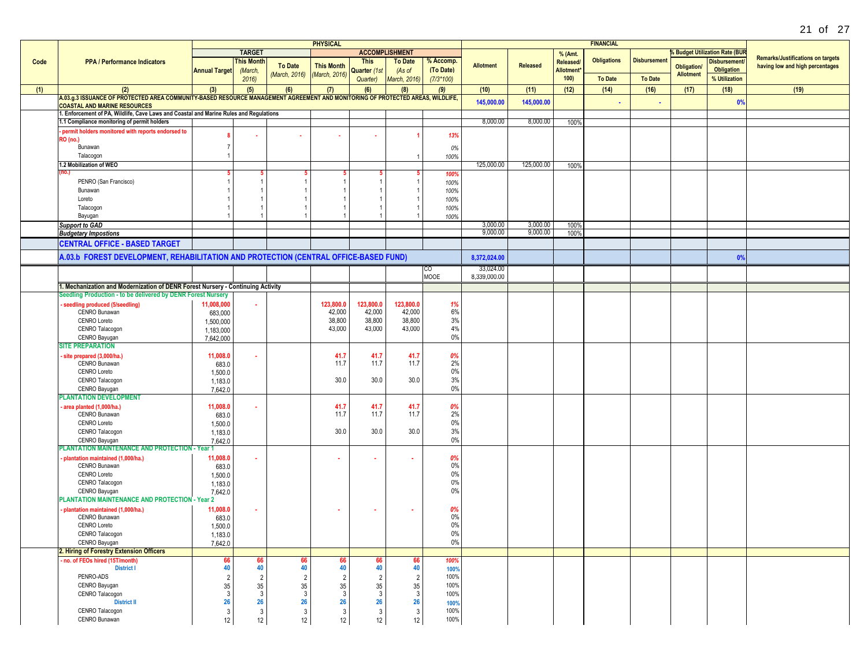|      |                                                                                                                                                                       |                      |                   |                | <b>PHYSICAL</b>   |                       |                |             |                  |                 |                  | <b>FINANCIAL</b>   |                     |                    |                                     |                                          |
|------|-----------------------------------------------------------------------------------------------------------------------------------------------------------------------|----------------------|-------------------|----------------|-------------------|-----------------------|----------------|-------------|------------------|-----------------|------------------|--------------------|---------------------|--------------------|-------------------------------------|------------------------------------------|
|      |                                                                                                                                                                       |                      | <b>TARGET</b>     |                |                   | <b>ACCOMPLISHMENT</b> |                |             |                  |                 | % (Amt.          |                    |                     |                    | <b>Budget Utilization Rate (BUR</b> |                                          |
| Code | <b>PPA / Performance Indicators</b>                                                                                                                                   |                      | <b>This Month</b> |                |                   | <b>This</b>           | <b>To Date</b> | % Accomp.   |                  |                 | Released/        | <b>Obligations</b> | <b>Disbursement</b> |                    | <b>Disbursement</b>                 | <b>Remarks/Justifications on targets</b> |
|      |                                                                                                                                                                       | <b>Annual Target</b> | (March,           | <b>To Date</b> | <b>This Month</b> | Quarter (1st          | (As of         | (To Date)   | <b>Allotment</b> | <b>Released</b> | <b>Allotment</b> |                    |                     | <b>Obligation/</b> | <b>Obligation</b>                   | having low and high percentages          |
|      |                                                                                                                                                                       |                      | 2016              | (March, 2016)  | (March, 2016)     | Quarter)              | March, 2016)   | $(7/3*100)$ |                  |                 | 100)             | <b>To Date</b>     | <b>To Date</b>      | <b>Allotment</b>   | % Utilization                       |                                          |
|      |                                                                                                                                                                       |                      |                   |                |                   |                       |                |             |                  |                 | (12)             |                    |                     |                    |                                     |                                          |
| (1)  | (2)                                                                                                                                                                   | (3)                  | (5)               | (6)            | (7)               | (6)                   | (8)            | (9)         | (10)             | (11)            |                  | (14)               | (16)                | (17)               | (18)                                | (19)                                     |
|      | A.03.g.3 ISSUANCE OF PROTECTED AREA COMMUNITY-BASED RESOURCE MANAGEMENT AGREEMENT AND MONITORING OF PROTECTED AREAS, WILDLIFE,<br><b>COASTAL AND MARINE RESOURCES</b> |                      |                   |                |                   |                       |                |             | 145,000.00       | 145,000.00      |                  |                    |                     |                    | 0%                                  |                                          |
|      | 1. Enforcement of PA, Wildlife, Cave Laws and Coastal and Marine Rules and Regulations                                                                                |                      |                   |                |                   |                       |                |             |                  |                 |                  |                    |                     |                    |                                     |                                          |
|      | 1.1 Compliance monitoring of permit holders                                                                                                                           |                      |                   |                |                   |                       |                |             | 8,000.00         | 8,000.00        | 100%             |                    |                     |                    |                                     |                                          |
|      |                                                                                                                                                                       |                      |                   |                |                   |                       |                |             |                  |                 |                  |                    |                     |                    |                                     |                                          |
|      | permit holders monitored with reports endorsed to                                                                                                                     |                      |                   |                |                   |                       |                | 13%         |                  |                 |                  |                    |                     |                    |                                     |                                          |
|      | <b>RO</b> (no.)                                                                                                                                                       |                      |                   |                |                   |                       |                |             |                  |                 |                  |                    |                     |                    |                                     |                                          |
|      | Bunawan                                                                                                                                                               |                      |                   |                |                   |                       |                | 0%          |                  |                 |                  |                    |                     |                    |                                     |                                          |
|      | Talacogon                                                                                                                                                             |                      |                   |                |                   |                       |                | 100%        |                  |                 |                  |                    |                     |                    |                                     |                                          |
|      | 1.2 Mobilization of WEO                                                                                                                                               |                      |                   |                |                   |                       |                |             | 125,000.00       | 125,000.00      | 100%             |                    |                     |                    |                                     |                                          |
|      |                                                                                                                                                                       |                      |                   |                |                   |                       |                | 100%        |                  |                 |                  |                    |                     |                    |                                     |                                          |
|      | PENRO (San Francisco)                                                                                                                                                 |                      |                   |                |                   |                       |                | 100%        |                  |                 |                  |                    |                     |                    |                                     |                                          |
|      | Bunawan                                                                                                                                                               |                      |                   |                |                   |                       |                | 100%        |                  |                 |                  |                    |                     |                    |                                     |                                          |
|      | Loreto                                                                                                                                                                |                      |                   |                |                   |                       |                | 100%        |                  |                 |                  |                    |                     |                    |                                     |                                          |
|      | Talacogon                                                                                                                                                             |                      |                   |                |                   |                       |                | 100%        |                  |                 |                  |                    |                     |                    |                                     |                                          |
|      | Bayugan                                                                                                                                                               |                      |                   |                |                   |                       |                | 100%        |                  |                 |                  |                    |                     |                    |                                     |                                          |
|      | <b>Support to GAD</b>                                                                                                                                                 |                      |                   |                |                   |                       |                |             | 3,000.00         | 3,000.00        | 100%             |                    |                     |                    |                                     |                                          |
|      | <b>Budgetary Impostions</b>                                                                                                                                           |                      |                   |                |                   |                       |                |             | 9,000.00         | 9,000.00        | 100%             |                    |                     |                    |                                     |                                          |
|      | <b>CENTRAL OFFICE - BASED TARGET</b>                                                                                                                                  |                      |                   |                |                   |                       |                |             |                  |                 |                  |                    |                     |                    |                                     |                                          |
|      | A.03.b FOREST DEVELOPMENT, REHABILITATION AND PROTECTION (CENTRAL OFFICE-BASED FUND)                                                                                  |                      |                   |                |                   |                       |                |             | 8.372.024.00     |                 |                  |                    |                     |                    | 0%                                  |                                          |
|      |                                                                                                                                                                       |                      |                   |                |                   |                       |                | CO          | 33,024.00        |                 |                  |                    |                     |                    |                                     |                                          |
|      |                                                                                                                                                                       |                      |                   |                |                   |                       |                | <b>MOOE</b> | 8,339,000.00     |                 |                  |                    |                     |                    |                                     |                                          |
|      | 1. Mechanization and Modernization of DENR Forest Nursery - Continuing Activity                                                                                       |                      |                   |                |                   |                       |                |             |                  |                 |                  |                    |                     |                    |                                     |                                          |
|      | Seedling Production - to be delivered by DENR Forest Nursery                                                                                                          |                      |                   |                |                   |                       |                |             |                  |                 |                  |                    |                     |                    |                                     |                                          |
|      | seedling produced (5/seedling)                                                                                                                                        | 11,008,000           | ٠                 |                | 123,800.0         | 123,800.0             | 123,800.0      | 1%          |                  |                 |                  |                    |                     |                    |                                     |                                          |
|      | CENRO Bunawan                                                                                                                                                         | 683,000              |                   |                | 42,000            | 42,000                | 42,000         | 6%          |                  |                 |                  |                    |                     |                    |                                     |                                          |
|      | CENRO Loreto                                                                                                                                                          | 1,500,000            |                   |                | 38,800            | 38,800                | 38,800         | 3%          |                  |                 |                  |                    |                     |                    |                                     |                                          |
|      | CENRO Talacogon                                                                                                                                                       | 1,183,000            |                   |                | 43,000            | 43,000                | 43,000         | 4%          |                  |                 |                  |                    |                     |                    |                                     |                                          |
|      | CENRO Bayugan                                                                                                                                                         | 7,642,000            |                   |                |                   |                       |                | $0\%$       |                  |                 |                  |                    |                     |                    |                                     |                                          |
|      | <b>SITE PREPARATION</b>                                                                                                                                               |                      |                   |                |                   |                       |                |             |                  |                 |                  |                    |                     |                    |                                     |                                          |
|      | site prepared (3,000/ha.)                                                                                                                                             | 11,008.0             |                   |                | 41.7              | 41.7                  | 41.7           | 0%          |                  |                 |                  |                    |                     |                    |                                     |                                          |
|      | CENRO Bunawan                                                                                                                                                         | 683.0                |                   |                | 11.7              | 11.7                  | 11.7           | 2%          |                  |                 |                  |                    |                     |                    |                                     |                                          |
|      | CENRO Loreto                                                                                                                                                          | 1,500.0              |                   |                |                   |                       |                | $0\%$       |                  |                 |                  |                    |                     |                    |                                     |                                          |
|      | CENRO Talacogon                                                                                                                                                       | 1,183.0              |                   |                | 30.0              | 30.0                  | 30.0           | 3%          |                  |                 |                  |                    |                     |                    |                                     |                                          |
|      | CENRO Bayugan                                                                                                                                                         | 7,642.0              |                   |                |                   |                       |                | $0\%$       |                  |                 |                  |                    |                     |                    |                                     |                                          |
|      | <b>PLANTATION DEVELOPMENT</b>                                                                                                                                         |                      |                   |                |                   |                       |                |             |                  |                 |                  |                    |                     |                    |                                     |                                          |
|      | area planted (1,000/ha.)                                                                                                                                              | 11,008.0             |                   |                | 41.7              | 41.7                  | 41.7           | 0%          |                  |                 |                  |                    |                     |                    |                                     |                                          |
|      | CENRO Bunawan                                                                                                                                                         |                      |                   |                | 11.7              | 11.7                  | 11.7           | 2%          |                  |                 |                  |                    |                     |                    |                                     |                                          |
|      | CENRO Loreto                                                                                                                                                          | 683.0                |                   |                |                   |                       |                | $0\%$       |                  |                 |                  |                    |                     |                    |                                     |                                          |
|      | CENRO Talacogon                                                                                                                                                       | 1,500.0              |                   |                | 30.0              | 30.0                  | 30.0           | 3%          |                  |                 |                  |                    |                     |                    |                                     |                                          |
|      |                                                                                                                                                                       | 1,183.0<br>7.642.0   |                   |                |                   |                       |                | $0\%$       |                  |                 |                  |                    |                     |                    |                                     |                                          |
|      | CENRO Bayugan<br>PLANTATION MAINTENANCE AND PROTECTION - Year 1                                                                                                       |                      |                   |                |                   |                       |                |             |                  |                 |                  |                    |                     |                    |                                     |                                          |
|      |                                                                                                                                                                       |                      |                   |                |                   |                       |                |             |                  |                 |                  |                    |                     |                    |                                     |                                          |
|      | plantation maintained (1,000/ha.)<br>CENRO Bunawan                                                                                                                    | 11,008.0             |                   |                |                   |                       |                | 0%<br>0%    |                  |                 |                  |                    |                     |                    |                                     |                                          |
|      | CENRO Loreto                                                                                                                                                          | 683.0                |                   |                |                   |                       |                | $0\%$       |                  |                 |                  |                    |                     |                    |                                     |                                          |
|      |                                                                                                                                                                       | 1,500.0              |                   |                |                   |                       |                | $0\%$       |                  |                 |                  |                    |                     |                    |                                     |                                          |
|      | CENRO Talacogon                                                                                                                                                       | 1,183.0              |                   |                |                   |                       |                | $0\%$       |                  |                 |                  |                    |                     |                    |                                     |                                          |
|      | CENRO Bayugan<br>PLANTATION MAINTENANCE AND PROTECTION - Year 2                                                                                                       | 7,642.0              |                   |                |                   |                       |                |             |                  |                 |                  |                    |                     |                    |                                     |                                          |
|      |                                                                                                                                                                       |                      |                   |                |                   |                       |                |             |                  |                 |                  |                    |                     |                    |                                     |                                          |
|      | · plantation maintained (1.000/ha.)                                                                                                                                   | 11.008.0             |                   |                |                   |                       |                | 0%          |                  |                 |                  |                    |                     |                    |                                     |                                          |
|      | CENRO Bunawan                                                                                                                                                         | 683.0                |                   |                |                   |                       |                | $0\%$       |                  |                 |                  |                    |                     |                    |                                     |                                          |
|      | CENRO Loreto                                                                                                                                                          | 1,500.0              |                   |                |                   |                       |                | $0\%$       |                  |                 |                  |                    |                     |                    |                                     |                                          |
|      | CENRO Talacogon                                                                                                                                                       | 1,183.0              |                   |                |                   |                       |                | $0\%$       |                  |                 |                  |                    |                     |                    |                                     |                                          |
|      | CENRO Bayugan                                                                                                                                                         | 7,642.0              |                   |                |                   |                       |                | $0\%$       |                  |                 |                  |                    |                     |                    |                                     |                                          |
|      | 2. Hiring of Forestry Extension Officers                                                                                                                              |                      |                   |                |                   |                       |                |             |                  |                 |                  |                    |                     |                    |                                     |                                          |
|      | - no. of FEOs hired (15T/month)                                                                                                                                       | 66                   | 66<br>40          | 66             | 66                | 66                    | 66             | 100%        |                  |                 |                  |                    |                     |                    |                                     |                                          |
|      | <b>District I</b>                                                                                                                                                     | 40                   |                   | 40             | 40                | 40                    | 40             | 100%        |                  |                 |                  |                    |                     |                    |                                     |                                          |
|      | PENRO-ADS                                                                                                                                                             | $\overline{2}$       | $\overline{2}$    | $\overline{2}$ | $\overline{2}$    | $\overline{2}$        | $\overline{2}$ | 100%        |                  |                 |                  |                    |                     |                    |                                     |                                          |
|      | CENRO Bayugan                                                                                                                                                         | $\frac{35}{3}$       | $\frac{35}{3}$    | 35             | 35                | $\frac{35}{3}$        | $35\,$         | 100%        |                  |                 |                  |                    |                     |                    |                                     |                                          |
|      | CENRO Talacogon                                                                                                                                                       |                      |                   | 3              | 3                 |                       | 3              | 100%        |                  |                 |                  |                    |                     |                    |                                     |                                          |
|      | <b>District II</b>                                                                                                                                                    | 26                   | 26                | 26             | 26                | 26                    | 26             | 100%        |                  |                 |                  |                    |                     |                    |                                     |                                          |
|      | CENRO Talacogon                                                                                                                                                       | $\sqrt{3}$           | $\mathbf{3}$      | 3              | 3                 | $\mathbf{3}$          | $\mathbf{3}$   | 100%        |                  |                 |                  |                    |                     |                    |                                     |                                          |
|      | CENRO Bunawan                                                                                                                                                         | 12                   | 12                | 12             | 12 <sup>°</sup>   | 12                    | 12             | 100%        |                  |                 |                  |                    |                     |                    |                                     |                                          |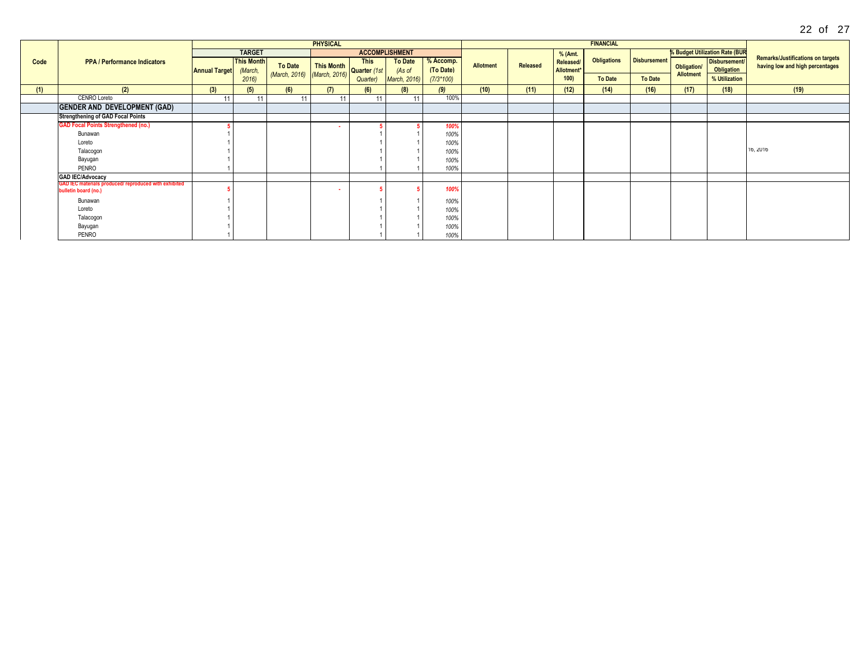|      |                                                                               |                      |                              |                          | <b>PHYSICAL</b>                             |             |                          |                        |                  |          |                         | <b>FINANCIAL</b>   |                     |                                 |                                       |                                                                             |
|------|-------------------------------------------------------------------------------|----------------------|------------------------------|--------------------------|---------------------------------------------|-------------|--------------------------|------------------------|------------------|----------|-------------------------|--------------------|---------------------|---------------------------------|---------------------------------------|-----------------------------------------------------------------------------|
|      |                                                                               |                      | <b>TARGET</b>                |                          |                                             |             | <b>ACCOMPLISHMENT</b>    |                        |                  |          | % (Amt.                 |                    |                     |                                 | <b>% Budget Utilization Rate (BUR</b> |                                                                             |
| Code | <b>PPA / Performance Indicators</b>                                           | <b>Annual Target</b> | <b>This Month</b><br>(March, | To Date<br>(March, 2016) | This Month<br>Quarter (1st<br>(March, 2016) | <b>This</b> | <b>To Date</b><br>(As of | % Accomp.<br>(To Date) | <b>Allotment</b> | Released | Released/<br>Allotment* | <b>Obligations</b> | <b>Disbursement</b> | Obligation/<br><b>Allotment</b> | Disbursement/<br>Obligation           | <b>Remarks/Justifications on targets</b><br>having low and high percentages |
|      |                                                                               |                      | 2016)                        |                          |                                             | Quarter)    | <b>March, 2016)</b>      | $(7/3*100)$            |                  |          | 100                     | <b>To Date</b>     | <b>To Date</b>      |                                 | % Utilization                         |                                                                             |
| (1)  | (2)                                                                           | (3)                  | (5)                          | (6)                      | (7)                                         | (6)         | (8)                      | (9)                    | (10)             | (11)     | (12)                    | (14)               | (16)                | (17)                            | (18)                                  | (19)                                                                        |
|      | <b>CENRO Loreto</b>                                                           | 44                   | $\overline{A}$               |                          | AA                                          | 44          |                          | 100%                   |                  |          |                         |                    |                     |                                 |                                       |                                                                             |
|      | <b>GENDER AND DEVELOPMENT (GAD)</b>                                           |                      |                              |                          |                                             |             |                          |                        |                  |          |                         |                    |                     |                                 |                                       |                                                                             |
|      | <b>Strengthening of GAD Focal Points</b>                                      |                      |                              |                          |                                             |             |                          |                        |                  |          |                         |                    |                     |                                 |                                       |                                                                             |
|      | <b>GAD Focal Points Strengthened (no.)</b>                                    |                      |                              |                          |                                             |             |                          | 100%                   |                  |          |                         |                    |                     |                                 |                                       |                                                                             |
|      | Bunawan                                                                       |                      |                              |                          |                                             |             |                          | 100%                   |                  |          |                         |                    |                     |                                 |                                       |                                                                             |
|      | Loreto                                                                        |                      |                              |                          |                                             |             |                          | 100%                   |                  |          |                         |                    |                     |                                 |                                       |                                                                             |
|      | Talacogon                                                                     |                      |                              |                          |                                             |             |                          | 100%                   |                  |          |                         |                    |                     |                                 |                                       | 16, 2016                                                                    |
|      | Bayugan                                                                       |                      |                              |                          |                                             |             |                          | 100%                   |                  |          |                         |                    |                     |                                 |                                       |                                                                             |
|      | <b>PENRO</b>                                                                  |                      |                              |                          |                                             |             |                          | 100%                   |                  |          |                         |                    |                     |                                 |                                       |                                                                             |
|      | <b>GAD IEC/Advocacy</b>                                                       |                      |                              |                          |                                             |             |                          |                        |                  |          |                         |                    |                     |                                 |                                       |                                                                             |
|      | GAD IEC materials produced/ reproduced with exhibited<br>bulletin board (no.) |                      |                              |                          |                                             |             |                          | 100%                   |                  |          |                         |                    |                     |                                 |                                       |                                                                             |
|      | Bunawan                                                                       |                      |                              |                          |                                             |             |                          | 100%                   |                  |          |                         |                    |                     |                                 |                                       |                                                                             |
|      | Loreto                                                                        |                      |                              |                          |                                             |             |                          | 100%                   |                  |          |                         |                    |                     |                                 |                                       |                                                                             |
|      | Talacogon                                                                     |                      |                              |                          |                                             |             |                          | 100%                   |                  |          |                         |                    |                     |                                 |                                       |                                                                             |
|      | Bayugan                                                                       |                      |                              |                          |                                             |             |                          | 100%                   |                  |          |                         |                    |                     |                                 |                                       |                                                                             |
|      | PENRO                                                                         |                      |                              |                          |                                             |             |                          | 100%                   |                  |          |                         |                    |                     |                                 |                                       |                                                                             |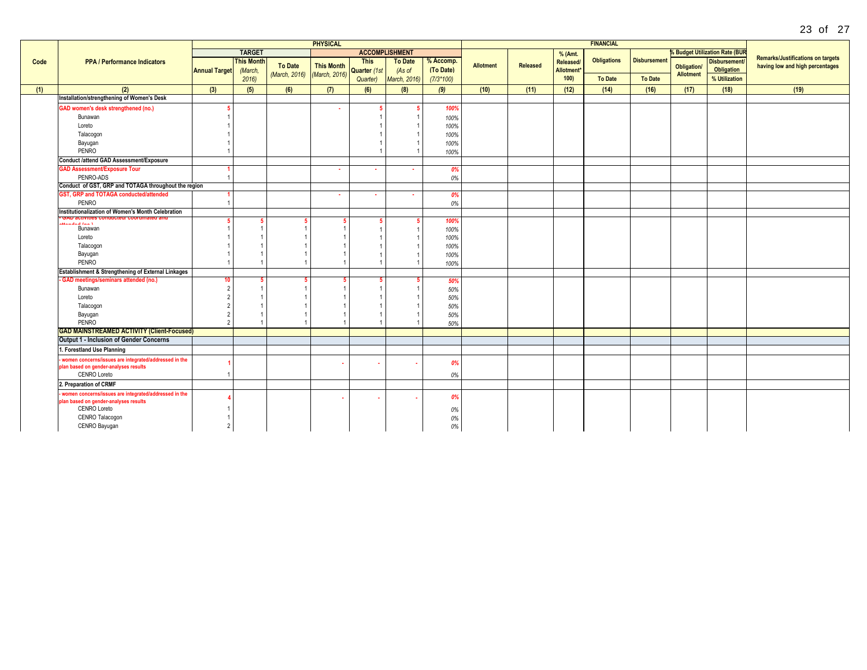|      |                                                               |                          |                   |               | <b>PHYSICAL</b>   |              |                       |             |                  |          |            | <b>FINANCIAL</b>   |                     |                          |                                       |                                                                             |
|------|---------------------------------------------------------------|--------------------------|-------------------|---------------|-------------------|--------------|-----------------------|-------------|------------------|----------|------------|--------------------|---------------------|--------------------------|---------------------------------------|-----------------------------------------------------------------------------|
|      |                                                               |                          | <b>TARGET</b>     |               |                   |              | <b>ACCOMPLISHMENT</b> |             |                  |          | % (Amt.    |                    |                     |                          | <b>% Budget Utilization Rate (BUR</b> |                                                                             |
| Code | <b>PPA / Performance Indicators</b>                           |                          | <b>This Month</b> |               | <b>This Month</b> | <b>This</b>  | <b>To Date</b>        | % Accomp.   |                  | Released | Released/  | <b>Obligations</b> | <b>Disbursement</b> |                          | <b>Disbursement</b>                   | <b>Remarks/Justifications on targets</b><br>having low and high percentages |
|      |                                                               | <b>Annual Target</b>     | (March,           | To Date       |                   | Quarter (1st | (As of                | (To Date)   | <b>Allotment</b> |          | Allotment* |                    |                     | Obligation/<br>Allotment | Obligation                            |                                                                             |
|      |                                                               |                          | 2016              | (March, 2016) | (March, 2016)     | Quarter)     | March, 2016)          | $(7/3*100)$ |                  |          | 100        | <b>To Date</b>     | <b>To Date</b>      |                          | % Utilization                         |                                                                             |
| (1)  | (2)                                                           | (3)                      | (5)               | (6)           | (7)               | (6)          | (8)                   | (9)         | (10)             | (11)     | (12)       | (14)               | (16)                | (17)                     | (18)                                  | (19)                                                                        |
|      | Installation/strengthening of Women's Desk                    |                          |                   |               |                   |              |                       |             |                  |          |            |                    |                     |                          |                                       |                                                                             |
|      | <b>GAD women's desk strengthened (no.)</b>                    |                          |                   |               | ٠                 |              |                       | 100%        |                  |          |            |                    |                     |                          |                                       |                                                                             |
|      | Bunawan                                                       |                          |                   |               |                   |              |                       | 100%        |                  |          |            |                    |                     |                          |                                       |                                                                             |
|      | Loreto                                                        |                          |                   |               |                   |              |                       | 100%        |                  |          |            |                    |                     |                          |                                       |                                                                             |
|      | Talacogon                                                     |                          |                   |               |                   |              |                       | 100%        |                  |          |            |                    |                     |                          |                                       |                                                                             |
|      | Bayugan                                                       |                          |                   |               |                   |              |                       | 100%        |                  |          |            |                    |                     |                          |                                       |                                                                             |
|      | PENRO                                                         |                          |                   |               |                   |              |                       | 100%        |                  |          |            |                    |                     |                          |                                       |                                                                             |
|      | <b>Conduct /attend GAD Assessment/Exposure</b>                |                          |                   |               |                   |              |                       |             |                  |          |            |                    |                     |                          |                                       |                                                                             |
|      | <b>GAD Assessment/Exposure Tour</b>                           |                          |                   |               | $\sim$            |              |                       | 0%          |                  |          |            |                    |                     |                          |                                       |                                                                             |
|      | PENRO-ADS                                                     |                          |                   |               |                   |              |                       | 0%          |                  |          |            |                    |                     |                          |                                       |                                                                             |
|      | Conduct of GST, GRP and TOTAGA throughout the region          |                          |                   |               |                   |              |                       |             |                  |          |            |                    |                     |                          |                                       |                                                                             |
|      | GST, GRP and TOTAGA conducted/attended                        |                          |                   |               | <b>COL</b>        |              |                       | 0%          |                  |          |            |                    |                     |                          |                                       |                                                                             |
|      | PENRO                                                         |                          |                   |               |                   |              |                       | 0%          |                  |          |            |                    |                     |                          |                                       |                                                                             |
|      | Institutionalization of Women's Month Celebration             |                          |                   |               |                   |              |                       |             |                  |          |            |                    |                     |                          |                                       |                                                                             |
|      | пинени соопи<br>أوالاستراف للمستقف                            |                          |                   |               |                   |              |                       | 100%        |                  |          |            |                    |                     |                          |                                       |                                                                             |
|      | Bunawan                                                       |                          |                   |               |                   |              |                       | 100%        |                  |          |            |                    |                     |                          |                                       |                                                                             |
|      | Loreto                                                        |                          |                   |               |                   |              |                       | 100%        |                  |          |            |                    |                     |                          |                                       |                                                                             |
|      | Talacogon                                                     |                          |                   |               |                   |              |                       | 100%        |                  |          |            |                    |                     |                          |                                       |                                                                             |
|      | Bayugan                                                       |                          |                   |               |                   |              |                       | 100%        |                  |          |            |                    |                     |                          |                                       |                                                                             |
|      | PENRO                                                         |                          |                   |               |                   |              |                       | 100%        |                  |          |            |                    |                     |                          |                                       |                                                                             |
|      | <b>Establishment &amp; Strengthening of External Linkages</b> |                          |                   |               |                   |              |                       |             |                  |          |            |                    |                     |                          |                                       |                                                                             |
|      | - GAD meetings/seminars attended (no.)                        | 10                       |                   |               |                   |              |                       | 50%         |                  |          |            |                    |                     |                          |                                       |                                                                             |
|      | Bunawan                                                       |                          |                   |               |                   |              |                       | 50%         |                  |          |            |                    |                     |                          |                                       |                                                                             |
|      | Loreto                                                        |                          |                   |               |                   |              |                       | 50%         |                  |          |            |                    |                     |                          |                                       |                                                                             |
|      | Talacogon                                                     |                          |                   |               |                   |              |                       | 50%         |                  |          |            |                    |                     |                          |                                       |                                                                             |
|      | Bayugan                                                       |                          |                   |               |                   |              |                       | 50%         |                  |          |            |                    |                     |                          |                                       |                                                                             |
|      | PENRO                                                         | $\overline{\phantom{a}}$ |                   |               |                   |              |                       | 50%         |                  |          |            |                    |                     |                          |                                       |                                                                             |
|      | <b>GAD MAINSTREAMED ACTIVITY (Client-Focused)</b>             |                          |                   |               |                   |              |                       |             |                  |          |            |                    |                     |                          |                                       |                                                                             |
|      | Output 1 - Inclusion of Gender Concerns                       |                          |                   |               |                   |              |                       |             |                  |          |            |                    |                     |                          |                                       |                                                                             |
|      | 1. Forestland Use Planning                                    |                          |                   |               |                   |              |                       |             |                  |          |            |                    |                     |                          |                                       |                                                                             |
|      | women concerns/issues are integrated/addressed in the         |                          |                   |               |                   |              |                       | 0%          |                  |          |            |                    |                     |                          |                                       |                                                                             |
|      | plan based on gender-analyses results                         |                          |                   |               |                   |              |                       |             |                  |          |            |                    |                     |                          |                                       |                                                                             |
|      | <b>CENRO Loreto</b>                                           |                          |                   |               |                   |              |                       | 0%          |                  |          |            |                    |                     |                          |                                       |                                                                             |
|      | 2. Preparation of CRMF                                        |                          |                   |               |                   |              |                       |             |                  |          |            |                    |                     |                          |                                       |                                                                             |
|      | women concerns/issues are integrated/addressed in the         |                          |                   |               |                   |              |                       | 0%          |                  |          |            |                    |                     |                          |                                       |                                                                             |
|      | plan based on gender-analyses results<br>CENRO Loreto         |                          |                   |               |                   |              |                       |             |                  |          |            |                    |                     |                          |                                       |                                                                             |
|      | CENRO Talacogon                                               |                          |                   |               |                   |              |                       | 0%          |                  |          |            |                    |                     |                          |                                       |                                                                             |
|      | CENRO Bayugan                                                 | -2                       |                   |               |                   |              |                       | 0%          |                  |          |            |                    |                     |                          |                                       |                                                                             |
|      |                                                               |                          |                   |               |                   |              |                       | 0%          |                  |          |            |                    |                     |                          |                                       |                                                                             |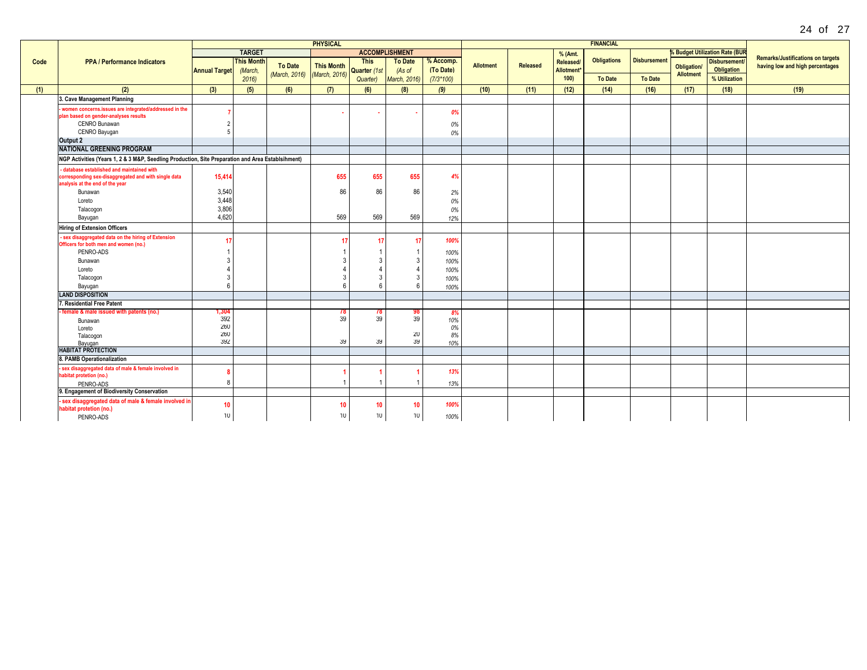| Δ | ΩT | 7 |
|---|----|---|
|   |    |   |

|      |                                                                                                                                       |                      |                              |                             | <b>PHYSICAL</b>   |                             |                          |                        |                  |                 |                         | <b>FINANCIAL</b>   |                     |             |                                           |                                                                             |
|------|---------------------------------------------------------------------------------------------------------------------------------------|----------------------|------------------------------|-----------------------------|-------------------|-----------------------------|--------------------------|------------------------|------------------|-----------------|-------------------------|--------------------|---------------------|-------------|-------------------------------------------|-----------------------------------------------------------------------------|
|      |                                                                                                                                       |                      | <b>TARGET</b>                |                             |                   |                             | <b>ACCOMPLISHMENT</b>    |                        |                  |                 | % (Amt.                 |                    |                     |             | <b>&amp; Budget Utilization Rate (BUR</b> |                                                                             |
| Code | <b>PPA / Performance Indicators</b>                                                                                                   | <b>Annual Target</b> | <b>This Month</b><br>(March, | To Date                     | <b>This Month</b> | <b>This</b><br>Quarter (1st | <b>To Date</b><br>(As of | % Accomp.<br>(To Date) | <b>Allotment</b> | <b>Released</b> | Released/<br>Allotment* | <b>Obligations</b> | <b>Disbursement</b> | Obligation/ | <b>Disbursement</b><br>Obligation         | <b>Remarks/Justifications on targets</b><br>having low and high percentages |
|      |                                                                                                                                       |                      | 2016                         | (March, 2016) (March, 2016) |                   | Quarter)                    | March, 2016)             | $(7/3*100)$            |                  |                 | 100                     | <b>To Date</b>     | <b>To Date</b>      | Allotment   | % Utilization                             |                                                                             |
| (1)  | (2)                                                                                                                                   | (3)                  | (5)                          | (6)                         | (7)               | (6)                         | (8)                      | (9)                    | (10)             | (11)            | (12)                    | (14)               | (16)                | (17)        | (18)                                      | (19)                                                                        |
|      | 3. Cave Management Planning                                                                                                           |                      |                              |                             |                   |                             |                          |                        |                  |                 |                         |                    |                     |             |                                           |                                                                             |
|      | women concerns.issues are integrated/addressed in the<br>plan based on gender-analyses results<br>CENRO Bunawan<br>CENRO Bayugan      |                      |                              |                             |                   |                             |                          | 0%<br>0%<br>0%         |                  |                 |                         |                    |                     |             |                                           |                                                                             |
|      | Output 2                                                                                                                              |                      |                              |                             |                   |                             |                          |                        |                  |                 |                         |                    |                     |             |                                           |                                                                             |
|      | <b>NATIONAL GREENING PROGRAM</b>                                                                                                      |                      |                              |                             |                   |                             |                          |                        |                  |                 |                         |                    |                     |             |                                           |                                                                             |
|      | NGP Activities (Years 1, 2 & 3 M&P, Seedling Production, Site Preparation and Area Establsihment)                                     |                      |                              |                             |                   |                             |                          |                        |                  |                 |                         |                    |                     |             |                                           |                                                                             |
|      | - database established and maintained with<br>corresponding sex-disaggregated and with single data<br>analysis at the end of the year | 15,414               |                              |                             | 655               | 655                         | 655                      | 4%                     |                  |                 |                         |                    |                     |             |                                           |                                                                             |
|      | Bunawan                                                                                                                               | 3,540<br>3,448       |                              |                             | 86                | 86                          | 86                       | 2%                     |                  |                 |                         |                    |                     |             |                                           |                                                                             |
|      | Loreto<br>Talacogon                                                                                                                   | 3,806                |                              |                             |                   |                             |                          | 0%<br>0%               |                  |                 |                         |                    |                     |             |                                           |                                                                             |
|      | Bayugan                                                                                                                               | 4,620                |                              |                             | 569               | 569                         | 569                      | 12%                    |                  |                 |                         |                    |                     |             |                                           |                                                                             |
|      | <b>Hiring of Extension Officers</b>                                                                                                   |                      |                              |                             |                   |                             |                          |                        |                  |                 |                         |                    |                     |             |                                           |                                                                             |
|      | - sex disaggregated data on the hiring of Extension<br>Officers for both men and women (no.)<br>PENRO-ADS                             | 17                   |                              |                             |                   |                             | 17                       | 100%<br>100%           |                  |                 |                         |                    |                     |             |                                           |                                                                             |
|      | Bunawan                                                                                                                               |                      |                              |                             |                   |                             |                          | 100%                   |                  |                 |                         |                    |                     |             |                                           |                                                                             |
|      | Loreto                                                                                                                                |                      |                              |                             |                   |                             |                          | 100%                   |                  |                 |                         |                    |                     |             |                                           |                                                                             |
|      | Talacogon                                                                                                                             |                      |                              |                             |                   |                             | 3                        | 100%                   |                  |                 |                         |                    |                     |             |                                           |                                                                             |
|      | Bayugan                                                                                                                               | $6\overline{6}$      |                              |                             | ĥ                 |                             |                          | 100%                   |                  |                 |                         |                    |                     |             |                                           |                                                                             |
|      | <b>LAND DISPOSITION</b>                                                                                                               |                      |                              |                             |                   |                             |                          |                        |                  |                 |                         |                    |                     |             |                                           |                                                                             |
|      | 7. Residential Free Patent                                                                                                            |                      |                              |                             |                   |                             |                          |                        |                  |                 |                         |                    |                     |             |                                           |                                                                             |
|      | - female & male issued with patents (no.)                                                                                             | 1,304<br>392         |                              |                             | 78<br>39          | 78<br>39                    | 98<br>39                 | 8%<br>10%              |                  |                 |                         |                    |                     |             |                                           |                                                                             |
|      | Bunawan<br>Loreto                                                                                                                     | 260                  |                              |                             |                   |                             |                          | 0%                     |                  |                 |                         |                    |                     |             |                                           |                                                                             |
|      | Talacogon                                                                                                                             | 260                  |                              |                             |                   |                             | 20                       | 8%                     |                  |                 |                         |                    |                     |             |                                           |                                                                             |
|      | Bayugan                                                                                                                               | 392                  |                              |                             | 39                | 39                          | 39                       | 10%                    |                  |                 |                         |                    |                     |             |                                           |                                                                             |
|      | <b>HABITAT PROTECTION</b>                                                                                                             |                      |                              |                             |                   |                             |                          |                        |                  |                 |                         |                    |                     |             |                                           |                                                                             |
|      | 8. PAMB Operationalization                                                                                                            |                      |                              |                             |                   |                             |                          |                        |                  |                 |                         |                    |                     |             |                                           |                                                                             |
|      | - sex disaggregated data of male & female involved in<br>habitat protetion (no.)                                                      | 8<br>8               |                              |                             |                   |                             |                          | 13%                    |                  |                 |                         |                    |                     |             |                                           |                                                                             |
|      | PENRO-ADS<br>9. Engagement of Biodiversity Conservation                                                                               |                      |                              |                             |                   |                             |                          | 13%                    |                  |                 |                         |                    |                     |             |                                           |                                                                             |
|      | sex disaggregated data of male & female involved in                                                                                   |                      |                              |                             |                   |                             |                          |                        |                  |                 |                         |                    |                     |             |                                           |                                                                             |
|      | habitat protetion (no.)                                                                                                               | 10                   |                              |                             | 10                | 10                          | 10                       | 100%                   |                  |                 |                         |                    |                     |             |                                           |                                                                             |
|      | PENRO-ADS                                                                                                                             | 10                   |                              |                             | 10 <sup>°</sup>   | 10                          | 10 <sup>°</sup>          | 100%                   |                  |                 |                         |                    |                     |             |                                           |                                                                             |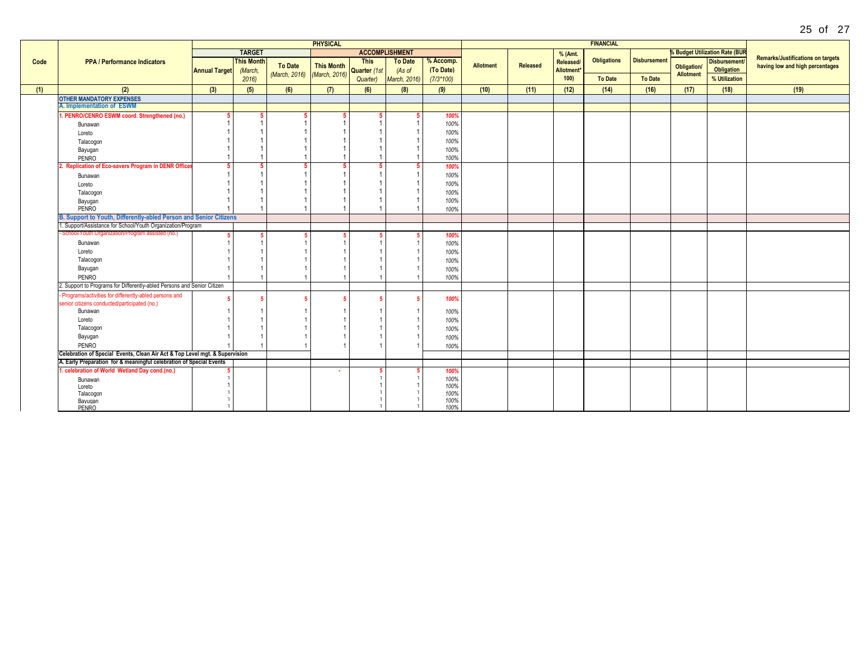| <b>% Budget Utilization Rate (BUR</b><br><b>TARGET</b><br><b>ACCOMPLISHMENT</b><br>% (Amt.<br><b>Remarks/Justifications on targets</b><br><b>Obligations</b><br><b>Disbursement</b><br><b>This Month</b><br>% Accomp.<br>Disbursement/<br><b>This</b><br><b>To Date</b><br><b>PPA / Performance Indicators</b><br>Released/<br>Code<br>To Date<br><b>This Month</b><br>Allotment<br>Released<br>having low and high percentages<br><b>Obligation/</b><br>Obligation<br>(To Date)<br>Quarter (1st<br>(As of<br><b>Annual Target</b><br>(March,<br>Allotment <sup>*</sup><br>(March, 2016) (March, 2016)<br><b>Allotment</b><br>100<br><b>To Date</b><br><b>To Date</b><br>% Utilization<br><b>March, 2016)</b><br>$(7/3*100)$<br>2016<br>Quarter)<br>(2)<br>(3)<br>(6)<br>(7)<br>(9)<br>(10)<br>(17)<br>(19)<br>(5)<br>(6)<br>(8)<br>(11)<br>(12)<br>(14)<br>(16)<br>(18)<br>(1)<br><b>OTHER MANDATORY EXPENSES</b><br>A. Implementation of ESWM<br>1. PENRO/CENRO ESWM coord. Strengthened (no.)<br>100%<br>5<br>-5<br>100%<br>Bunawan<br>100%<br>Loreto<br>100%<br>Talacogon<br>100%<br>Bayugan<br>100%<br>PENRO<br>2. Replication of Eco-savers Program in DENR Office<br>100%<br>100%<br>Bunawan<br>100%<br>Loreto<br>100%<br>Talacogon<br>100%<br>Bayugan<br>PENRO<br>100%<br>B. Support to Youth, Differently-abled Person and Senior Citizens<br>. Support/Assistance for School/Youth Organization/Program<br>School/Youth Organization/Program assisted (no.)<br>100%<br>100%<br>Bunawan<br>Loreto<br>100%<br>Talacogon<br>100%<br>Bayugan<br>100%<br>PENRO<br>100%<br>2. Support to Programs for Differently-abled Persons and Senior Citizen<br>- Programs/activities for differently-abled persons and |  |  |  |    | <b>PHYSICAL</b> |  |      |  | <b>FINANCIAL</b> |  |  |  |
|-------------------------------------------------------------------------------------------------------------------------------------------------------------------------------------------------------------------------------------------------------------------------------------------------------------------------------------------------------------------------------------------------------------------------------------------------------------------------------------------------------------------------------------------------------------------------------------------------------------------------------------------------------------------------------------------------------------------------------------------------------------------------------------------------------------------------------------------------------------------------------------------------------------------------------------------------------------------------------------------------------------------------------------------------------------------------------------------------------------------------------------------------------------------------------------------------------------------------------------------------------------------------------------------------------------------------------------------------------------------------------------------------------------------------------------------------------------------------------------------------------------------------------------------------------------------------------------------------------------------------------------------------------------------------------------------------------------------|--|--|--|----|-----------------|--|------|--|------------------|--|--|--|
|                                                                                                                                                                                                                                                                                                                                                                                                                                                                                                                                                                                                                                                                                                                                                                                                                                                                                                                                                                                                                                                                                                                                                                                                                                                                                                                                                                                                                                                                                                                                                                                                                                                                                                                   |  |  |  |    |                 |  |      |  |                  |  |  |  |
|                                                                                                                                                                                                                                                                                                                                                                                                                                                                                                                                                                                                                                                                                                                                                                                                                                                                                                                                                                                                                                                                                                                                                                                                                                                                                                                                                                                                                                                                                                                                                                                                                                                                                                                   |  |  |  |    |                 |  |      |  |                  |  |  |  |
|                                                                                                                                                                                                                                                                                                                                                                                                                                                                                                                                                                                                                                                                                                                                                                                                                                                                                                                                                                                                                                                                                                                                                                                                                                                                                                                                                                                                                                                                                                                                                                                                                                                                                                                   |  |  |  |    |                 |  |      |  |                  |  |  |  |
|                                                                                                                                                                                                                                                                                                                                                                                                                                                                                                                                                                                                                                                                                                                                                                                                                                                                                                                                                                                                                                                                                                                                                                                                                                                                                                                                                                                                                                                                                                                                                                                                                                                                                                                   |  |  |  |    |                 |  |      |  |                  |  |  |  |
|                                                                                                                                                                                                                                                                                                                                                                                                                                                                                                                                                                                                                                                                                                                                                                                                                                                                                                                                                                                                                                                                                                                                                                                                                                                                                                                                                                                                                                                                                                                                                                                                                                                                                                                   |  |  |  |    |                 |  |      |  |                  |  |  |  |
|                                                                                                                                                                                                                                                                                                                                                                                                                                                                                                                                                                                                                                                                                                                                                                                                                                                                                                                                                                                                                                                                                                                                                                                                                                                                                                                                                                                                                                                                                                                                                                                                                                                                                                                   |  |  |  |    |                 |  |      |  |                  |  |  |  |
|                                                                                                                                                                                                                                                                                                                                                                                                                                                                                                                                                                                                                                                                                                                                                                                                                                                                                                                                                                                                                                                                                                                                                                                                                                                                                                                                                                                                                                                                                                                                                                                                                                                                                                                   |  |  |  |    |                 |  |      |  |                  |  |  |  |
|                                                                                                                                                                                                                                                                                                                                                                                                                                                                                                                                                                                                                                                                                                                                                                                                                                                                                                                                                                                                                                                                                                                                                                                                                                                                                                                                                                                                                                                                                                                                                                                                                                                                                                                   |  |  |  |    |                 |  |      |  |                  |  |  |  |
|                                                                                                                                                                                                                                                                                                                                                                                                                                                                                                                                                                                                                                                                                                                                                                                                                                                                                                                                                                                                                                                                                                                                                                                                                                                                                                                                                                                                                                                                                                                                                                                                                                                                                                                   |  |  |  |    |                 |  |      |  |                  |  |  |  |
|                                                                                                                                                                                                                                                                                                                                                                                                                                                                                                                                                                                                                                                                                                                                                                                                                                                                                                                                                                                                                                                                                                                                                                                                                                                                                                                                                                                                                                                                                                                                                                                                                                                                                                                   |  |  |  |    |                 |  |      |  |                  |  |  |  |
|                                                                                                                                                                                                                                                                                                                                                                                                                                                                                                                                                                                                                                                                                                                                                                                                                                                                                                                                                                                                                                                                                                                                                                                                                                                                                                                                                                                                                                                                                                                                                                                                                                                                                                                   |  |  |  |    |                 |  |      |  |                  |  |  |  |
|                                                                                                                                                                                                                                                                                                                                                                                                                                                                                                                                                                                                                                                                                                                                                                                                                                                                                                                                                                                                                                                                                                                                                                                                                                                                                                                                                                                                                                                                                                                                                                                                                                                                                                                   |  |  |  |    |                 |  |      |  |                  |  |  |  |
|                                                                                                                                                                                                                                                                                                                                                                                                                                                                                                                                                                                                                                                                                                                                                                                                                                                                                                                                                                                                                                                                                                                                                                                                                                                                                                                                                                                                                                                                                                                                                                                                                                                                                                                   |  |  |  |    |                 |  |      |  |                  |  |  |  |
|                                                                                                                                                                                                                                                                                                                                                                                                                                                                                                                                                                                                                                                                                                                                                                                                                                                                                                                                                                                                                                                                                                                                                                                                                                                                                                                                                                                                                                                                                                                                                                                                                                                                                                                   |  |  |  |    |                 |  |      |  |                  |  |  |  |
|                                                                                                                                                                                                                                                                                                                                                                                                                                                                                                                                                                                                                                                                                                                                                                                                                                                                                                                                                                                                                                                                                                                                                                                                                                                                                                                                                                                                                                                                                                                                                                                                                                                                                                                   |  |  |  |    |                 |  |      |  |                  |  |  |  |
|                                                                                                                                                                                                                                                                                                                                                                                                                                                                                                                                                                                                                                                                                                                                                                                                                                                                                                                                                                                                                                                                                                                                                                                                                                                                                                                                                                                                                                                                                                                                                                                                                                                                                                                   |  |  |  |    |                 |  |      |  |                  |  |  |  |
|                                                                                                                                                                                                                                                                                                                                                                                                                                                                                                                                                                                                                                                                                                                                                                                                                                                                                                                                                                                                                                                                                                                                                                                                                                                                                                                                                                                                                                                                                                                                                                                                                                                                                                                   |  |  |  |    |                 |  |      |  |                  |  |  |  |
|                                                                                                                                                                                                                                                                                                                                                                                                                                                                                                                                                                                                                                                                                                                                                                                                                                                                                                                                                                                                                                                                                                                                                                                                                                                                                                                                                                                                                                                                                                                                                                                                                                                                                                                   |  |  |  |    |                 |  |      |  |                  |  |  |  |
|                                                                                                                                                                                                                                                                                                                                                                                                                                                                                                                                                                                                                                                                                                                                                                                                                                                                                                                                                                                                                                                                                                                                                                                                                                                                                                                                                                                                                                                                                                                                                                                                                                                                                                                   |  |  |  |    |                 |  |      |  |                  |  |  |  |
|                                                                                                                                                                                                                                                                                                                                                                                                                                                                                                                                                                                                                                                                                                                                                                                                                                                                                                                                                                                                                                                                                                                                                                                                                                                                                                                                                                                                                                                                                                                                                                                                                                                                                                                   |  |  |  |    |                 |  |      |  |                  |  |  |  |
|                                                                                                                                                                                                                                                                                                                                                                                                                                                                                                                                                                                                                                                                                                                                                                                                                                                                                                                                                                                                                                                                                                                                                                                                                                                                                                                                                                                                                                                                                                                                                                                                                                                                                                                   |  |  |  |    |                 |  |      |  |                  |  |  |  |
|                                                                                                                                                                                                                                                                                                                                                                                                                                                                                                                                                                                                                                                                                                                                                                                                                                                                                                                                                                                                                                                                                                                                                                                                                                                                                                                                                                                                                                                                                                                                                                                                                                                                                                                   |  |  |  |    |                 |  |      |  |                  |  |  |  |
|                                                                                                                                                                                                                                                                                                                                                                                                                                                                                                                                                                                                                                                                                                                                                                                                                                                                                                                                                                                                                                                                                                                                                                                                                                                                                                                                                                                                                                                                                                                                                                                                                                                                                                                   |  |  |  |    |                 |  |      |  |                  |  |  |  |
|                                                                                                                                                                                                                                                                                                                                                                                                                                                                                                                                                                                                                                                                                                                                                                                                                                                                                                                                                                                                                                                                                                                                                                                                                                                                                                                                                                                                                                                                                                                                                                                                                                                                                                                   |  |  |  |    |                 |  |      |  |                  |  |  |  |
|                                                                                                                                                                                                                                                                                                                                                                                                                                                                                                                                                                                                                                                                                                                                                                                                                                                                                                                                                                                                                                                                                                                                                                                                                                                                                                                                                                                                                                                                                                                                                                                                                                                                                                                   |  |  |  |    |                 |  |      |  |                  |  |  |  |
|                                                                                                                                                                                                                                                                                                                                                                                                                                                                                                                                                                                                                                                                                                                                                                                                                                                                                                                                                                                                                                                                                                                                                                                                                                                                                                                                                                                                                                                                                                                                                                                                                                                                                                                   |  |  |  |    |                 |  |      |  |                  |  |  |  |
|                                                                                                                                                                                                                                                                                                                                                                                                                                                                                                                                                                                                                                                                                                                                                                                                                                                                                                                                                                                                                                                                                                                                                                                                                                                                                                                                                                                                                                                                                                                                                                                                                                                                                                                   |  |  |  |    |                 |  |      |  |                  |  |  |  |
|                                                                                                                                                                                                                                                                                                                                                                                                                                                                                                                                                                                                                                                                                                                                                                                                                                                                                                                                                                                                                                                                                                                                                                                                                                                                                                                                                                                                                                                                                                                                                                                                                                                                                                                   |  |  |  |    |                 |  |      |  |                  |  |  |  |
|                                                                                                                                                                                                                                                                                                                                                                                                                                                                                                                                                                                                                                                                                                                                                                                                                                                                                                                                                                                                                                                                                                                                                                                                                                                                                                                                                                                                                                                                                                                                                                                                                                                                                                                   |  |  |  |    |                 |  |      |  |                  |  |  |  |
| senior citizens conducted/participated (no.)                                                                                                                                                                                                                                                                                                                                                                                                                                                                                                                                                                                                                                                                                                                                                                                                                                                                                                                                                                                                                                                                                                                                                                                                                                                                                                                                                                                                                                                                                                                                                                                                                                                                      |  |  |  | -5 |                 |  | 100% |  |                  |  |  |  |
| Bunawan<br>100%                                                                                                                                                                                                                                                                                                                                                                                                                                                                                                                                                                                                                                                                                                                                                                                                                                                                                                                                                                                                                                                                                                                                                                                                                                                                                                                                                                                                                                                                                                                                                                                                                                                                                                   |  |  |  |    |                 |  |      |  |                  |  |  |  |
| Loreto<br>100%                                                                                                                                                                                                                                                                                                                                                                                                                                                                                                                                                                                                                                                                                                                                                                                                                                                                                                                                                                                                                                                                                                                                                                                                                                                                                                                                                                                                                                                                                                                                                                                                                                                                                                    |  |  |  |    |                 |  |      |  |                  |  |  |  |
| Talacogon<br>100%                                                                                                                                                                                                                                                                                                                                                                                                                                                                                                                                                                                                                                                                                                                                                                                                                                                                                                                                                                                                                                                                                                                                                                                                                                                                                                                                                                                                                                                                                                                                                                                                                                                                                                 |  |  |  |    |                 |  |      |  |                  |  |  |  |
| Bayugan<br>100%                                                                                                                                                                                                                                                                                                                                                                                                                                                                                                                                                                                                                                                                                                                                                                                                                                                                                                                                                                                                                                                                                                                                                                                                                                                                                                                                                                                                                                                                                                                                                                                                                                                                                                   |  |  |  |    |                 |  |      |  |                  |  |  |  |
| PENRO<br>100%                                                                                                                                                                                                                                                                                                                                                                                                                                                                                                                                                                                                                                                                                                                                                                                                                                                                                                                                                                                                                                                                                                                                                                                                                                                                                                                                                                                                                                                                                                                                                                                                                                                                                                     |  |  |  |    |                 |  |      |  |                  |  |  |  |
| Celebration of Special Events, Clean Air Act & Top Level mgt. & Supervision                                                                                                                                                                                                                                                                                                                                                                                                                                                                                                                                                                                                                                                                                                                                                                                                                                                                                                                                                                                                                                                                                                                                                                                                                                                                                                                                                                                                                                                                                                                                                                                                                                       |  |  |  |    |                 |  |      |  |                  |  |  |  |
| A. Early Preparation for & meaningful celebration of Special Events                                                                                                                                                                                                                                                                                                                                                                                                                                                                                                                                                                                                                                                                                                                                                                                                                                                                                                                                                                                                                                                                                                                                                                                                                                                                                                                                                                                                                                                                                                                                                                                                                                               |  |  |  |    |                 |  |      |  |                  |  |  |  |
| 1. celebration of World Wetland Day cond.(no.)<br>100%<br>-5                                                                                                                                                                                                                                                                                                                                                                                                                                                                                                                                                                                                                                                                                                                                                                                                                                                                                                                                                                                                                                                                                                                                                                                                                                                                                                                                                                                                                                                                                                                                                                                                                                                      |  |  |  |    |                 |  |      |  |                  |  |  |  |
| 100%<br>Bunawan                                                                                                                                                                                                                                                                                                                                                                                                                                                                                                                                                                                                                                                                                                                                                                                                                                                                                                                                                                                                                                                                                                                                                                                                                                                                                                                                                                                                                                                                                                                                                                                                                                                                                                   |  |  |  |    |                 |  |      |  |                  |  |  |  |
| 100%<br>Loreto                                                                                                                                                                                                                                                                                                                                                                                                                                                                                                                                                                                                                                                                                                                                                                                                                                                                                                                                                                                                                                                                                                                                                                                                                                                                                                                                                                                                                                                                                                                                                                                                                                                                                                    |  |  |  |    |                 |  |      |  |                  |  |  |  |
| 100%<br>Talacogon                                                                                                                                                                                                                                                                                                                                                                                                                                                                                                                                                                                                                                                                                                                                                                                                                                                                                                                                                                                                                                                                                                                                                                                                                                                                                                                                                                                                                                                                                                                                                                                                                                                                                                 |  |  |  |    |                 |  |      |  |                  |  |  |  |
| 100%<br>Bayugan<br>100%<br>PENRO                                                                                                                                                                                                                                                                                                                                                                                                                                                                                                                                                                                                                                                                                                                                                                                                                                                                                                                                                                                                                                                                                                                                                                                                                                                                                                                                                                                                                                                                                                                                                                                                                                                                                  |  |  |  |    |                 |  |      |  |                  |  |  |  |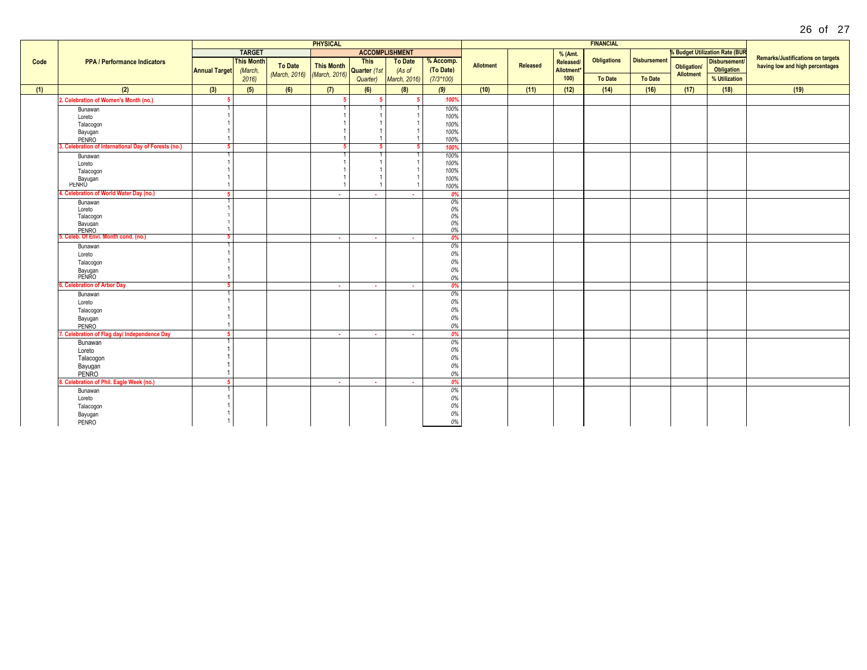|      |                                                      |                      |                              |                | <b>PHYSICAL</b>   |              |                       |             |                  |          |                        |                    |                     |                    |                                           |                                          |
|------|------------------------------------------------------|----------------------|------------------------------|----------------|-------------------|--------------|-----------------------|-------------|------------------|----------|------------------------|--------------------|---------------------|--------------------|-------------------------------------------|------------------------------------------|
|      |                                                      |                      | <b>TARGET</b>                |                |                   |              | <b>ACCOMPLISHMENT</b> |             |                  |          | % (Amt.                |                    |                     |                    | <b>&amp; Budget Utilization Rate (BUR</b> |                                          |
| Code | <b>PPA / Performance Indicators</b>                  |                      | <b>This Month</b><br>(March, | <b>To Date</b> |                   | <b>This</b>  | <b>To Date</b>        | % Accomp.   |                  |          | Released/              | <b>Obligations</b> | <b>Disbursement</b> |                    | Disbursement/                             | <b>Remarks/Justifications on targets</b> |
|      |                                                      | <b>Annual Target</b> |                              |                | <b>This Month</b> | Quarter (1st | (As of                | (To Date)   | <b>Allotment</b> | Released | Allotment <sup>*</sup> |                    |                     | <b>Obligation/</b> | Obligation                                | having low and high percentages          |
|      |                                                      |                      | 2016                         | (March, 2016)  | (March, 2016)     | Quarter)     | March, 2016)          | $(7/3*100)$ |                  |          | 100                    | To Date            | <b>To Date</b>      | <b>Allotment</b>   | % Utilization                             |                                          |
|      |                                                      |                      |                              |                |                   |              |                       |             |                  |          |                        |                    |                     |                    |                                           |                                          |
| (1)  | (2)                                                  | (3)                  | (5)                          | (6)            | (7)               | (6)          | (8)                   | (9)         | (10)             | (11)     | (12)                   | (14)               | (16)                | (17)               | (18)                                      | (19)                                     |
|      | 2. Celebration of Women's Month (no.)                |                      |                              |                | -5                | 5            |                       | 100%        |                  |          |                        |                    |                     |                    |                                           |                                          |
|      | Bunawan                                              |                      |                              |                |                   |              |                       | 100%        |                  |          |                        |                    |                     |                    |                                           |                                          |
|      | Loreto                                               |                      |                              |                |                   |              |                       | 100%        |                  |          |                        |                    |                     |                    |                                           |                                          |
|      | Talacogon                                            |                      |                              |                |                   |              |                       | 100%        |                  |          |                        |                    |                     |                    |                                           |                                          |
|      | Bayugan                                              |                      |                              |                |                   |              |                       | 100%        |                  |          |                        |                    |                     |                    |                                           |                                          |
|      | PENRO                                                |                      |                              |                |                   |              |                       | 100%        |                  |          |                        |                    |                     |                    |                                           |                                          |
|      | 3. Celebration of International Day of Forests (no.) | -51                  |                              |                |                   | 5            |                       | 100%        |                  |          |                        |                    |                     |                    |                                           |                                          |
|      | Bunawan                                              |                      |                              |                |                   |              |                       | 100%        |                  |          |                        |                    |                     |                    |                                           |                                          |
|      | Loreto                                               |                      |                              |                |                   |              |                       | 100%        |                  |          |                        |                    |                     |                    |                                           |                                          |
|      | Talacogon                                            |                      |                              |                |                   |              |                       | 100%        |                  |          |                        |                    |                     |                    |                                           |                                          |
|      | Bayugan<br>PENRO                                     |                      |                              |                |                   |              |                       | 100%        |                  |          |                        |                    |                     |                    |                                           |                                          |
|      | Celebration of World Water Day (no.)                 |                      |                              |                |                   |              |                       | 100%        |                  |          |                        |                    |                     |                    |                                           |                                          |
|      | Bunawan                                              | -51                  |                              |                | $\sim$            | $\sim$       | ч.                    | 0%<br>0%    |                  |          |                        |                    |                     |                    |                                           |                                          |
|      | Loreto                                               |                      |                              |                |                   |              |                       | $0\%$       |                  |          |                        |                    |                     |                    |                                           |                                          |
|      | Talacogon                                            |                      |                              |                |                   |              |                       | $0\%$       |                  |          |                        |                    |                     |                    |                                           |                                          |
|      | Bayugan                                              |                      |                              |                |                   |              |                       | $0\%$       |                  |          |                        |                    |                     |                    |                                           |                                          |
|      | PENRO                                                |                      |                              |                |                   |              |                       | 0%          |                  |          |                        |                    |                     |                    |                                           |                                          |
|      | 5. Celeb. Of Envi. Month cond. (no.)                 | 51                   |                              |                | $\sim$            | $\sim$       | $\sim$                | 0%          |                  |          |                        |                    |                     |                    |                                           |                                          |
|      | Bunawan                                              |                      |                              |                |                   |              |                       | 0%          |                  |          |                        |                    |                     |                    |                                           |                                          |
|      | Loreto                                               |                      |                              |                |                   |              |                       | 0%          |                  |          |                        |                    |                     |                    |                                           |                                          |
|      | Talacogon                                            |                      |                              |                |                   |              |                       | 0%          |                  |          |                        |                    |                     |                    |                                           |                                          |
|      | Bayugan<br>PENRO                                     |                      |                              |                |                   |              |                       | 0%          |                  |          |                        |                    |                     |                    |                                           |                                          |
|      |                                                      |                      |                              |                |                   |              |                       | 0%          |                  |          |                        |                    |                     |                    |                                           |                                          |
|      | . Celebration of Arbor Day                           | -5.                  |                              |                | $\sim$            | $\sim$       | $\sim$                | 0%          |                  |          |                        |                    |                     |                    |                                           |                                          |
|      | Bunawan                                              |                      |                              |                |                   |              |                       | 0%          |                  |          |                        |                    |                     |                    |                                           |                                          |
|      | Loreto                                               |                      |                              |                |                   |              |                       | 0%          |                  |          |                        |                    |                     |                    |                                           |                                          |
|      | Talacogon                                            |                      |                              |                |                   |              |                       | 0%          |                  |          |                        |                    |                     |                    |                                           |                                          |
|      | Bayugan                                              |                      |                              |                |                   |              |                       | 0%          |                  |          |                        |                    |                     |                    |                                           |                                          |
|      | PENRO                                                |                      |                              |                |                   |              |                       | $0\%$       |                  |          |                        |                    |                     |                    |                                           |                                          |
|      | Celebration of Flag day/ Independence Day            | 5 <sup>1</sup>       |                              |                | $\sim$            | $\sim$       | $\sim$                | 0%          |                  |          |                        |                    |                     |                    |                                           |                                          |
|      | Bunawan                                              |                      |                              |                |                   |              |                       | 0%          |                  |          |                        |                    |                     |                    |                                           |                                          |
|      | Loreto                                               |                      |                              |                |                   |              |                       | 0%          |                  |          |                        |                    |                     |                    |                                           |                                          |
|      | Talacogon                                            |                      |                              |                |                   |              |                       | 0%          |                  |          |                        |                    |                     |                    |                                           |                                          |
|      | Bayugan                                              |                      |                              |                |                   |              |                       | $0\%$       |                  |          |                        |                    |                     |                    |                                           |                                          |
|      | PENRO                                                |                      |                              |                |                   |              |                       | $0\%$       |                  |          |                        |                    |                     |                    |                                           |                                          |
|      | 3. Celebration of Phil. Eagle Week (no.)             | -51                  |                              |                | <b>A</b>          | <b>A</b>     | <b>A</b>              | 0%          |                  |          |                        |                    |                     |                    |                                           |                                          |
|      | Bunawan                                              |                      |                              |                |                   |              |                       | 0%          |                  |          |                        |                    |                     |                    |                                           |                                          |
|      | Loreto                                               |                      |                              |                |                   |              |                       | 0%          |                  |          |                        |                    |                     |                    |                                           |                                          |
|      | Talacogon                                            |                      |                              |                |                   |              |                       | 0%          |                  |          |                        |                    |                     |                    |                                           |                                          |
|      | Bayugan                                              |                      |                              |                |                   |              |                       | 0%          |                  |          |                        |                    |                     |                    |                                           |                                          |
|      | PENRO                                                |                      |                              |                |                   |              |                       | $0\%$       |                  |          |                        |                    |                     |                    |                                           |                                          |